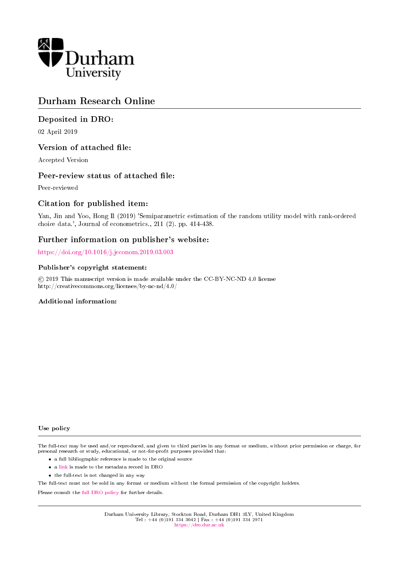

# Durham Research Online

# Deposited in DRO:

02 April 2019

## Version of attached file:

Accepted Version

## Peer-review status of attached file:

Peer-reviewed

# Citation for published item:

Yan, Jin and Yoo, Hong Il (2019) 'Semiparametric estimation of the random utility model with rank-ordered choice data.', Journal of econometrics., 211 (2). pp. 414-438.

# Further information on publisher's website:

<https://doi.org/10.1016/j.jeconom.2019.03.003>

### Publisher's copyright statement:

 c 2019 This manuscript version is made available under the CC-BY-NC-ND 4.0 license http://creativecommons.org/licenses/by-nc-nd/4.0/

### Additional information:

#### Use policy

The full-text may be used and/or reproduced, and given to third parties in any format or medium, without prior permission or charge, for personal research or study, educational, or not-for-profit purposes provided that:

- a full bibliographic reference is made to the original source
- a [link](http://dro.dur.ac.uk/27830/) is made to the metadata record in DRO
- the full-text is not changed in any way

The full-text must not be sold in any format or medium without the formal permission of the copyright holders.

Please consult the [full DRO policy](https://dro.dur.ac.uk/policies/usepolicy.pdf) for further details.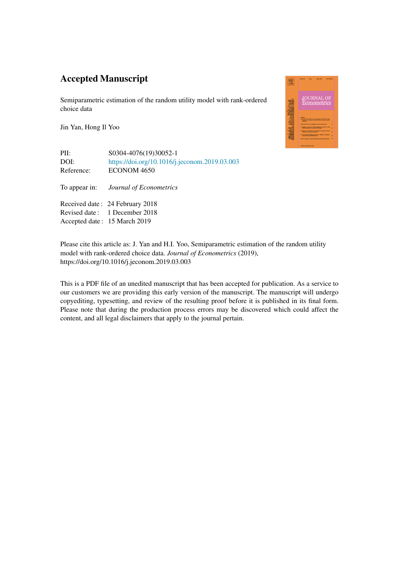# Accepted Manuscript

Semiparametric estimation of the random utility model with rank-ordered choice data

Jin Yan, Hong Il Yoo



| PII:       | S0304-4076(19)30052-1                         |
|------------|-----------------------------------------------|
| DOI:       | https://doi.org/10.1016/j.jeconom.2019.03.003 |
| Reference: | ECONOM 4650                                   |
|            |                                               |

To appear in: *Journal of Econometrics*

Received date : 24 February 2018 Revised date : 1 December 2018 Accepted date : 15 March 2019

Please cite this article as: J. Yan and H.I. Yoo, Semiparametric estimation of the random utility model with rank-ordered choice data. *Journal of Econometrics* (2019), https://doi.org/10.1016/j.jeconom.2019.03.003

This is a PDF file of an unedited manuscript that has been accepted for publication. As a service to our customers we are providing this early version of the manuscript. The manuscript will undergo copyediting, typesetting, and review of the resulting proof before it is published in its final form. Please note that during the production process errors may be discovered which could affect the content, and all legal disclaimers that apply to the journal pertain.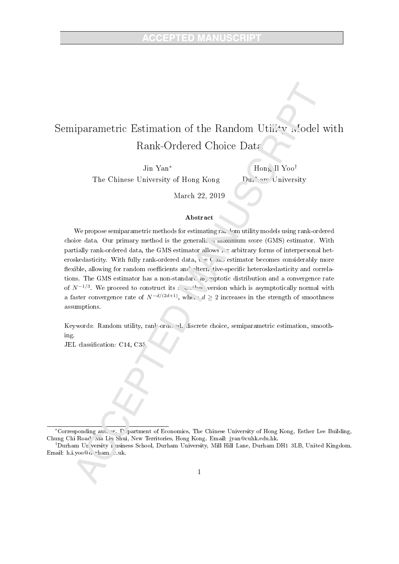# Semiparametric Estimation of the Random Utility Model with Rank-Ordered Choice Data

Jin Yan<sup>∗</sup> The Chinese University of Hong Kong

Hong Il Yoo† Durham University

March 22, 2019

#### Abstract

We propose semiparametric methods for estimating  $ra.$  <sup>1</sup> om utility models using rank-ordered choice data. Our primary method is the generalized maximum score (GMS) estimator. With partially rank-ordered data, the GMS estimator allows  $\ldots$  arbitrary forms of interpersonal heteroskedasticity. With fully rank-ordered data,  $t \in G_{M, S}$  estimator becomes considerably more flexible, allowing for random coefficients and alternative-specific heteroskedasticity and correlations. The GMS estimator has a non-standard as, mptotic distribution and a convergence rate of  $N^{-1/3}$ . We proceed to construct its smoothed version which is asymptotically normal with a faster convergence rate of  $N^{-d/(2d+1)}$ , where  $d \geq 2$  increases in the strength of smoothness assumptions.

Keywords: Random utility, ran<sup>1</sup>-ordered, discrete choice, semiparametric estimation, smoothing.

JEL classification: C14, C35

<sup>∗</sup>Corresponding author. Department of Economics, The Chinese University of Hong Kong, Esther Lee Building, Chung Chi Road, Ma Liu Shui, New Territories, Hong Kong. Email: jyan@cuhk.edu.hk.

<sup>&</sup>lt;sup>†</sup>Durham University Pusiness School, Durham University, Mill Hill Lane, Durham DH1 3LB, United Kingdom. Email: h.i.yoo@a rham c.uk.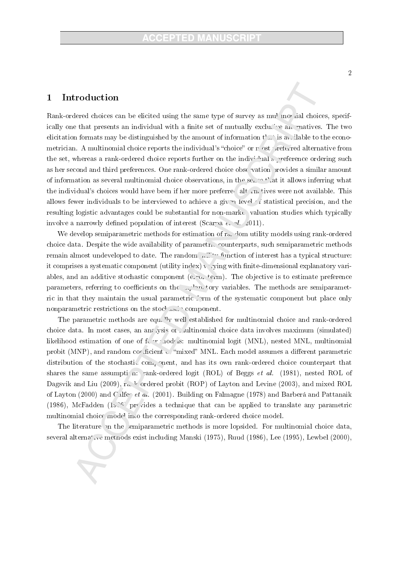# 1 Introduction

Rank-ordered choices can be elicited using the same type of survey as multinomial choices, specifically one that presents an individual with a finite set of mutually exclusive all ratives. The two elicitation formats may be distinguished by the amount of information  $t'$ . is available to the econometrician. A multinomial choice reports the individual's "choice" or  $\bar{r}$  ost preferred alternative from the set, whereas a rank-ordered choice reports further on the individual's preference ordering such as her second and third preferences. One rank-ordered choice observation provides a similar amount of information as several multinomial choice observations, in the sense that it allows inferring what the individual's choices would have been if her more preferred alternatives were not available. This allows fewer individuals to be interviewed to achieve a given level  $\alpha$  statistical precision, and the resulting logistic advantages could be substantial for non-market valuation studies which typically involve a narrowly defined population of interest (Scarpa  $e_t$  al., 2011).

We develop semiparametric methods for estimation of  $r_a$  dom utility models using rank-ordered choice data. Despite the wide availability of parametric counterparts, such semiparametric methods remain almost undeveloped to date. The random utility function of interest has a typical structure: it comprises a systematic component (utility index) varying with finite-dimensional explanatory variables, and an additive stochastic component (e.r., term). The objective is to estimate preference parameters, referring to coefficients on the  $\mathbb{Z}_r$ <sup>1, 1</sup>, tory variables. The methods are semiparametric in that they maintain the usual parametric  $\hat{\ }$ rm of the systematic component but place only nonparametric restrictions on the stochastic component.

The parametric methods are equ.  $v_{\text{V}}$  well established for multinomial choice and rank-ordered choice data. In most cases, an analysis of multinomial choice data involves maximum (simulated) likelihood estimation of one of functional is: multinomial logit (MNL), nested MNL, multinomial probit (MNP), and random coefficient of "mixed" MNL. Each model assumes a different parametric distribution of the stochastic component, and has its own rank-ordered choice counterpart that shares the same assumption: rank-ordered logit (ROL) of Beggs *et al.* (1981), nested ROL of Dagsvik and Liu (2009),  $r_{\alpha}$  <sup>t</sup> ordered probit (ROP) of Layton and Levine (2003), and mixed ROL of Layton (2000) and Calfee et al. (2001). Building on Falmagne (1978) and Barberá and Pattanaik (1986), McFadden (1986) provides a technique that can be applied to translate any parametric multinomial choice model into the corresponding rank-ordered choice model.

The literature on the semiparametric methods is more lopsided. For multinomial choice data, several alternative methods exist including Manski (1975), Ruud (1986), Lee (1995), Lewbel (2000),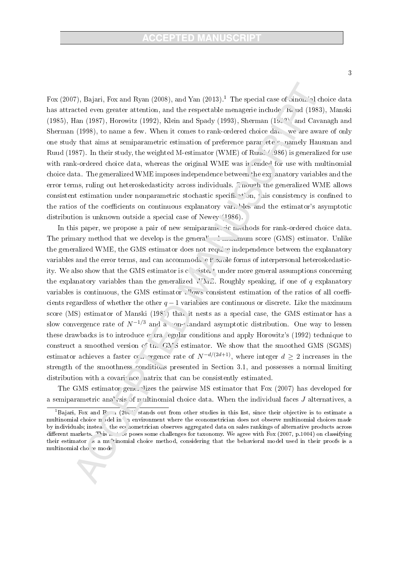Fox (2007), Bajari, Fox and Ryan (2008), and Yan (2013).<sup>1</sup> The special case of pinomial choice data has attracted even greater attention, and the respectable menagerie include  $K$ ud (1983), Manski (1985), Han (1987), Horowitz (1992), Klein and Spady (1993), Sherman  $(19.2)$ , and Cavanagh and Sherman (1998), to name a few. When it comes to rank-ordered choice  $d\mathfrak{a}_{\iota\iota}$  we are aware of only one study that aims at semiparametric estimation of preference parar ete mamely Hausman and Ruud (1987). In their study, the weighted M-estimator (WME) of Ruud (1986) is generalized for use with rank-ordered choice data, whereas the original WME was intended for use with multinomial choice data. The generalized WME imposes independence between the explanatory variables and the error terms, ruling out heteroskedasticity across individuals. Though the generalized WME allows consistent estimation under nonparametric stochastic specific  $\gamma^*$  on, this consistency is confined to the ratios of the coefficients on continuous explanatory variables and the estimator's asymptotic distribution is unknown outside a special case of Newey (1986).

In this paper, we propose a pair of new semiparametric methods for rank-ordered choice data. The primary method that we develop is the general  $\ldots$  maximum score (GMS) estimator. Unlike the generalized WME, the GMS estimator does not require independence between the explanatory variables and the error terms, and can accommodate  $f(x)$  is forms of interpersonal heteroskedasticity. We also show that the GMS estimator is  $\epsilon$ , site, t under more general assumptions concerning the explanatory variables than the generalized  $\sqrt{M_L}$ . Roughly speaking, if one of q explanatory variables is continuous, the GMS estimator  $\omega$ <sup>1</sup>ows consistent estimation of the ratios of all coefficients regardless of whether the other  $q - 1$  variables are continuous or discrete. Like the maximum score (MS) estimator of Manski  $(198)$  that it nests as a special case, the GMS estimator has a slow convergence rate of  $N^{-1/3}$  and a non-standard asymptotic distribution. One way to lessen these drawbacks is to introduce extra regular conditions and apply Horowitz's (1992) technique to construct a smoothed version  $e^c$  the GMS estimator. We show that the smoothed GMS (SGMS) estimator achieves a faster convergence rate of  $N^{-d/(2d+1)}$ , where integer  $d > 2$  increases in the strength of the smoothness conditions presented in Section 3.1, and possesses a normal limiting distribution with a covariance matrix that can be consistently estimated.

The GMS estimator generalizes the pairwise MS estimator that Fox (2007) has developed for a semiparametric analysis of multinomial choice data. When the individual faces  $J$  alternatives, a



 $1$ Bajari, Fox and R<sub>yan</sub> (2008) stands out from other studies in this list, since their objective is to estimate a multinomial choice n odel in an environment where the econometrician does not observe multinomial choices made by individuals; instead, the econometrician observes aggregated data on sales rankings of alternative products across different markets. This  $\frac{1}{2}$  e poses some challenges for taxonomy. We agree with Fox (2007, p.1004) on classifying their estimator s a multinomial choice method, considering that the behavioral model used in their proofs is a multinomial cho ce mode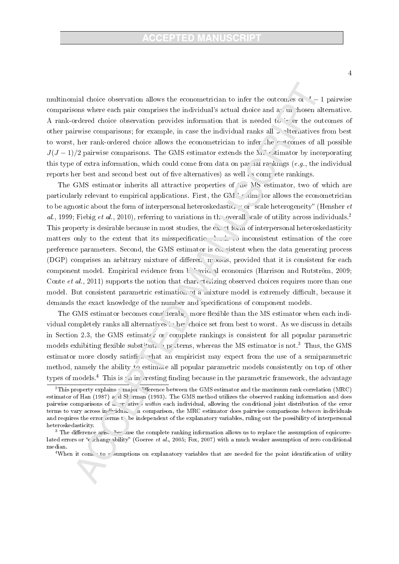multinomial choice observation allows the econometrician to infer the outcomes of  $J - 1$  pairwise comparisons where each pair comprises the individual's actual choice and at unchosen alternative. A rank-ordered choice observation provides information that is needed to refer the outcomes of other pairwise comparisons; for example, in case the individual ranks all  $J$  alternatives from best to worst, her rank-ordered choice allows the econometrician to infer the outcomes of all possible  $J(J-1)/2$  pairwise comparisons. The GMS estimator extends the M $\sim$  stimator by incorporating this type of extra information, which could come from data on partial rankings (e.g., the individual reports her best and second best out of five alternatives) as well  $\epsilon$  s complete rankings.

The GMS estimator inherits all attractive properties of the MS estimator, two of which are particularly relevant to empirical applications. First, the  $GM<sub>1</sub>$  estimator allows the econometrician to be agnostic about the form of interpersonal heteroskedastic.  $\sim$  or scale heterogeneity" (Hensher et al., 1999; Fiebig et al., 2010), referring to variations in the overall scale of utility across individuals.<sup>2</sup> This property is desirable because in most studies, the exact form of interpersonal heteroskedasticity matters only to the extent that its misspecification leads to inconsistent estimation of the core preference parameters. Second, the GMS estimator is consistent when the data generating process (DGP) comprises an arbitrary mixture of different models, provided that it is consistent for each component model. Empirical evidence from behavioral economics (Harrison and Rutström, 2009; Conte et al., 2011) supports the notion that characterizing observed choices requires more than one model. But consistent parametric estimation of a mixture model is extremely difficult, because it demands the exact knowledge of the number and specifications of component models.

The GMS estimator becomes considerably more flexible than the MS estimator when each individual completely ranks all alternatives in her choice set from best to worst. As we discuss in details in Section 2.3, the GMS estimator or complete rankings is consistent for all popular parametric models exhibiting flexible substitution patterns, whereas the MS estimator is not.<sup>3</sup> Thus, the GMS estimator more closely satisfics what an empiricist may expect from the use of a semiparametric method, namely the ability to estimate all popular parametric models consistently on top of other types of models.<sup>4</sup> This is an interesting finding because in the parametric framework, the advantage

<sup>&</sup>lt;sup>2</sup>This property explains  $\epsilon$  major difference between the GMS estimator and the maximum rank correlation (MRC) estimator of Han (1987) and Sherman (1993). The GMS method utilizes the observed ranking information and does pairwise comparisons of a  $\pi$  ativ *s within* each individual, allowing the conditional joint distribution of the error terms to vary across individuals. In comparison, the MRC estimator does pairwise comparisons between individuals and requires the error terms  $t_0$  be independent of the explanatory variables, ruling out the possibility of interpersonal heteroskedasticity.

<sup>&</sup>lt;sup>3</sup> The difference arises because the complete ranking information allows us to replace the assumption of equicorrelated errors or " $\epsilon$ , changeability" (Goeree et al., 2005; Fox, 2007) with a much weaker assumption of zero conditional median.

<sup>&</sup>lt;sup>4</sup>When it comes to a sumptions on explanatory variables that are needed for the point identification of utility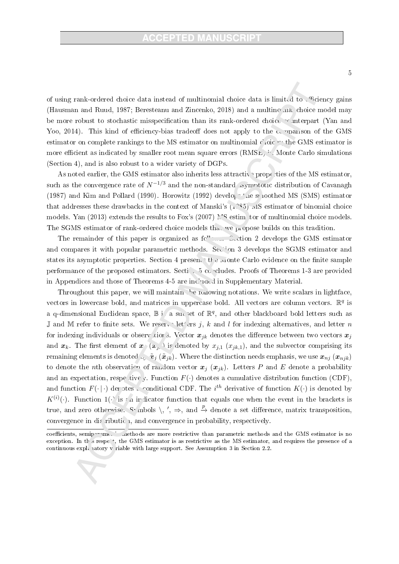of using rank-ordered choice data instead of multinomial choice data is limited to  $\mathcal{F}$  ciency gains (Hausman and Ruud, 1987; Beresteanu and Zincenko, 2018) and a multinomial choice model may be more robust to stochastic misspecification than its rank-ordered choice of interpart (Yan and Yoo, 2014). This kind of efficiency-bias tradeoff does not apply to the  $\alpha$  mais on of the GMS estimator on complete rankings to the MS estimator on multinomial choices; the GMS estimator is more efficient as indicated by smaller root mean square errors  $(RMSE, i.$  Monte Carlo simulations (Section 4), and is also robust to a wider variety of DGPs.

As noted earlier, the GMS estimator also inherits less attractive properties of the MS estimator. such as the convergence rate of  $N^{-1/3}$  and the non-standard asymptotic distribution of Cavanagh (1987) and Kim and Pollard (1990). Horowitz (1992) develops the smoothed MS (SMS) estimator that addresses these drawbacks in the context of Manski's  $(1^85)$  MS estimator of binomial choice models. Yan (2013) extends the results to Fox's (2007)  $N<sub>S</sub>$  estimator of multinomial choice models. The SGMS estimator of rank-ordered choice models that we propose builds on this tradition.

The remainder of this paper is organized as fo<sup>11</sup> composition 2 develops the GMS estimator and compares it with popular parametric methods. Section 3 develops the SGMS estimator and states its asymptotic properties. Section 4 presents the Monte Carlo evidence on the finite sample performance of the proposed estimators. Secti.  $5 \text{ cc}$  cludes. Proofs of Theorems 1-3 are provided in Appendices and those of Theorems 4-5 are included in Supplementary Material.

Throughout this paper, we will maintain  $\lambda$  to following notations. We write scalars in lightface, vectors in lowercase bold, and matrices in uppercase bold. All vectors are column vectors.  $\mathbb{R}^q$  is a q-dimensional Euclidean space,  $\mathbb B$  is a subset of  $\mathbb R^q$ , and other blackboard bold letters such as J and M refer to finite sets. We reserve letters j, k and l for indexing alternatives, and letter n for indexing individuals or observations. Vector  $x_{jk}$  denotes the difference between two vectors  $x_j$ and  $x_k$ . The first element of  $x_j$  ( $x_j$ ) is denoted by  $x_{j,1}$  ( $x_{jk,1}$ ), and the subvector comprising its remaining elements is denoted by  $\tilde{\boldsymbol{x}}_j$  ( $\tilde{\boldsymbol{x}}_{jk}$ ). Where the distinction needs emphasis, we use  $\boldsymbol{x}_{nj}$  ( $\boldsymbol{x}_{njk}$ ) to denote the nth observation of random vector  $x_i$  ( $x_{ik}$ ). Letters P and E denote a probability and an expectation, respectively. Function  $F(\cdot)$  denotes a cumulative distribution function (CDF), and function  $F(\cdot | \cdot)$  derives a conditional CDF. The  $i^{th}$  derivative of function  $K(\cdot)$  is denoted by  $K^{(i)}(\cdot)$ . Function  $1(\cdot)$  is an indicator function that equals one when the event in the brackets is true, and zero otherwise. Sombols  $\langle, \cdot, \Rightarrow$ , and  $\stackrel{p}{\rightarrow}$  denote a set difference, matrix transposition, convergence in distribution, and convergence in probability, respectively.

coefficients, semiparametric methods are more restrictive than parametric methods and the GMS estimator is no exception. In this respect, the GMS estimator is as restrictive as the MS estimator, and requires the presence of a continuous explanatory v riable with large support. See Assumption 3 in Section 2.2.

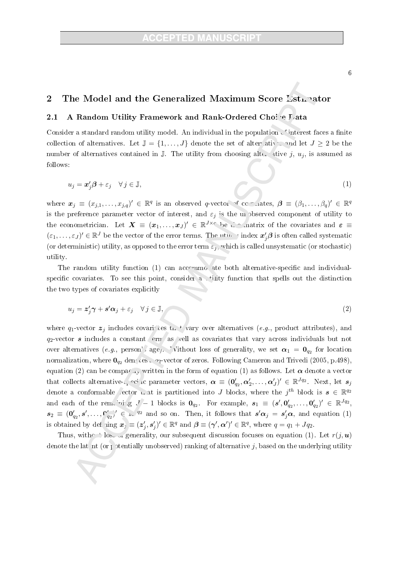# 2 The Model and the Generalized Maximum Score Listerator

### 2.1 A Random Utility Framework and Rank-Ordered Choice Lata

Consider a standard random utility model. An individual in the population  $\zeta$  interest faces a finite collection of alternatives. Let  $\mathbb{J} = \{1, \ldots, J\}$  denote the set of alternatives and let  $J \geq 2$  be the number of alternatives contained in J. The utility from choosing alternative j,  $u_j$ , is assumed as follows:

$$
u_j = \mathbf{x}'_j \mathbf{\beta} + \varepsilon_j \quad \forall j \in \mathbb{J}, \tag{1}
$$

where  $\mathbf{x}_j \equiv (x_{j,1},\ldots,x_{j,q})' \in \mathbb{R}^q$  is an observed q-vector of covariates,  $\boldsymbol{\beta} \equiv (\beta_1,\ldots,\beta_q)' \in \mathbb{R}^q$ is the preference parameter vector of interest, and  $\varepsilon_i$  is the unobserved component of utility to the econometrician. Let  $\boldsymbol{X} \equiv (\boldsymbol{x}_1,\ldots,\boldsymbol{x}_J)' \in \mathbb{R}^{J \times c}$  be the matrix of the covariates and  $\boldsymbol{\varepsilon} \equiv$  $(\varepsilon_1,\ldots,\varepsilon_J)'\in\mathbb{R}^J$  be the vector of the error terms. The utility index  $\pmb{x}'_j\pmb{\beta}$  is often called systematic (or deterministic) utility, as opposed to the error term  $\varepsilon_i$ , which is called unsystematic (or stochastic) utility.

The random utility function (1) can accommodate both alternative-specific and individualspecific covariates. To see this point, consider a tility function that spells out the distinction the two types of covariates explicitly

$$
u_j = z'_j \gamma + s' \alpha_j + \varepsilon_j \quad \forall j \in \mathbb{J}, \tag{2}
$$

where  $q_1$ -vector  $z_j$  includes covariates that vary over alternatives (e.g., product attributes), and  $q_2$ -vector s includes a constant erm as well as covariates that vary across individuals but not over alternatives  $(e.g.,\text{ person'}\text{, age})$ . Without loss of generality, we set  $\alpha_1 = 0_{q_2}$  for location normalization, where  $0_{q_2}$  denotes a  $q_2$ -vector of zeros. Following Cameron and Trivedi (2005, p.498), equation (2) can be compactly written in the form of equation (1) as follows. Let  $\alpha$  denote a vector that collects alternative- $\mathbf{L}_1 \circ \mathbf{C}^{\dagger}$  ic parameter vectors,  $\boldsymbol{\alpha} \equiv (\mathbf{0}'_{q_2}, \boldsymbol{\alpha}'_2, \dots, \boldsymbol{\alpha}'_J)' \in \mathbb{R}^{Jq_2}$ . Next, let  $s_j$ denote a conformable vector that is partitioned into J blocks, where the  $j^{th}$  block is  $s \in \mathbb{R}^{q_2}$ and each of the remaining  $J - 1$  blocks is  $\mathbf{0}_{q_2}$ . For example,  $\mathbf{s}_1 \equiv (\mathbf{s}', \mathbf{0}'_{q_2}, \dots, \mathbf{0}'_{q_2})' \in \mathbb{R}^{Jq_2}$ ,  $s_2 \equiv (\mathbf{0}_{q_2}', s', \ldots, \mathbf{0}_{q_2}') \in \mathbb{R}^{q_2}$  and so on. Then, it follows that  $s' \alpha_j = s'_j \alpha$ , and equation (1) is obtained by def ning  $\boldsymbol{x}_j \equiv (\boldsymbol{z}_j', \boldsymbol{s}_j')' \in \mathbb{R}^q$  and  $\boldsymbol{\beta} \equiv (\boldsymbol{\gamma}', \boldsymbol{\alpha}')' \in \mathbb{R}^q$ , where  $q = q_1 + Jq_2$ .

Thus, without loss of generality, our subsequent discussion focuses on equation (1). Let  $r(j, u)$ denote the latent (or potentially unobserved) ranking of alternative j, based on the underlying utility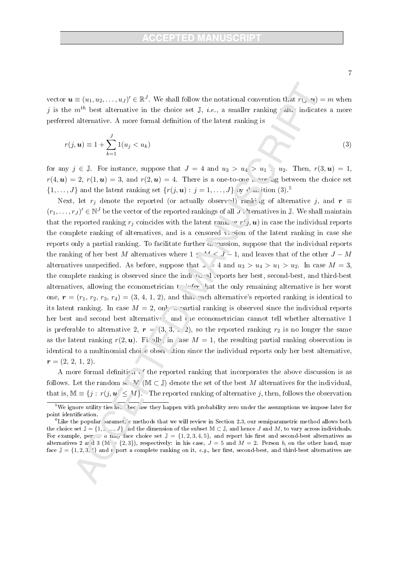vector  $\boldsymbol{u} \equiv (u_1, u_2, \dots, u_J)' \in \mathbb{R}^J$ . We shall follow the notational convention that  $r_{(J)} \cdot \boldsymbol{u}$  = m when j is the  $m^{th}$  best alternative in the choice set J, *i.e.*, a smaller ranking value indicates a more preferred alternative. A more formal definition of the latent ranking is

$$
r(j, u) \equiv 1 + \sum_{k=1}^{J} 1(u_j < u_k) \tag{3}
$$

for any  $j \in \mathbb{J}$ . For instance, suppose that  $J = 4$  and  $u_3 > u_4 > u_1$ ,  $u_2$ . Then,  $r(3, u) = 1$ ,  $r(4, u) = 2, r(1, u) = 3$ , and  $r(2, u) = 4$ . There is a one-to-one mapping between the choice set  $\{1,\ldots,J\}$  and the latent ranking set  $\{r(j,\boldsymbol{u}): j=1,\ldots,J\}$  by  $d^J$  in ition  $(3).^5$ 

Next, let  $r_i$  denote the reported (or actually observed) ranking of alternative j, and  $r \equiv$  $(r_1,\ldots,r_J)' \in \mathbb{N}^J$  be the vector of the reported rankings of all  $J$  determatives in  $\mathbb{J}$ . We shall maintain that the reported ranking  $r_i$  coincides with the latent ranking r(j, u) in case the individual reports the complete ranking of alternatives, and is a censored version of the latent ranking in case she reports only a partial ranking. To facilitate further discussion, suppose that the individual reports the ranking of her best M alternatives where  $1 \leq N < J - 1$ , and leaves that of the other  $J - M$ alternatives unspecified. As before, suppose that  $J = 4$  and  $u_3 > u_4 > u_1 > u_2$ . In case  $M = 3$ , the complete ranking is observed since the individual reports her best, second-best, and third-best alternatives, allowing the econometrician  $t^{-1}$  infered has the only remaining alternative is her worst one,  $\mathbf{r} = (r_1, r_2, r_3, r_4) = (3, 4, 1, 2)$ , and that each alternative's reported ranking is identical to its latent ranking. In case  $M = 2$ , only a partial ranking is observed since the individual reports her best and second best alternatives, and the econometrician cannot tell whether alternative 1 is preferable to alternative 2,  $r = (3, 3, 1, 2)$ , so the reported ranking  $r_2$  is no longer the same as the latent ranking  $r(2, u)$ . Figures in case  $M = 1$ , the resulting partial ranking observation is identical to a multinomial choice observation since the individual reports only her best alternative,  $r = (2, 2, 1, 2).$ 

A more formal definition  $\alpha$  the reported ranking that incorporates the above discussion is as follows. Let the random set M (M  $\subset \mathbb{J}$ ) denote the set of the best M alternatives for the individual. that is,  $\mathbb{M} \equiv \{j: \, r(j, \boldsymbol{v}) \leq M\}.$  The reported ranking of alternative  $j,$  then, follows the observation

<sup>&</sup>lt;sup>5</sup>We ignore utility ties here because they happen with probability zero under the assumptions we impose later for point identification.

<sup>&</sup>lt;sup>6</sup>Like the popular parametric methods that we will review in Section 2.3, our semiparametric method allows both the choice set  $\mathbb{J} = \{1, 2, ..., J\}$  and the dimension of the subset  $\mathbb{M} \subset \mathbb{J}$ , and hence J and M, to vary across individuals. For example, person a may face choice set  $\mathbb{J} = \{1, 2, 3, 4, 5\}$ , and report his first and second-best alternatives as alternatives 2 a d 3 ( $\mathbb{M} = \{2, 3\}$ ), respectively: in his case,  $J = 5$  and  $M = 2$ . Person b, on the other hand, may face  $\mathbb{J} = \{1, 2, 3, 4\}$  and r port a complete ranking on it, e.g., her first, second-best, and third-best alternatives are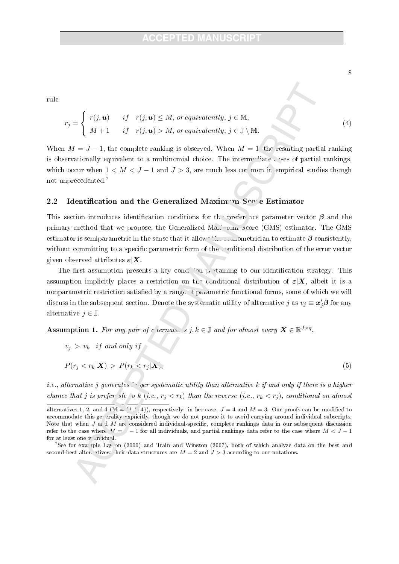rule

$$
r_j = \begin{cases} r(j, \boldsymbol{u}) & \text{if} \quad r(j, \boldsymbol{u}) \leq M, \text{ or equivalently, } j \in \mathbb{M}, \\ M+1 & \text{if} \quad r(j, \boldsymbol{u}) > M, \text{ or equivalently, } j \in \mathbb{J} \setminus \mathbb{M}. \end{cases}
$$

When  $M = J - 1$ , the complete ranking is observed. When  $M = 1$ , the resulting partial ranking is observationally equivalent to a multinomial choice. The intermediate cases of partial rankings, which occur when  $1 < M < J - 1$  and  $J > 3$ , are much less common in empirical studies though not unprecedented.<sup>7</sup>

### 2.2 Identification and the Generalized Maximum Score Estimator

This section introduces identification conditions for the preference parameter vector  $\beta$  and the primary method that we propose, the Generalized Maximum Score (GMS) estimator. The GMS estimator is semiparametric in the sense that it allows the econometrician to estimate  $\beta$  consistently, without committing to a specific parametric form of the enditional distribution of the error vector given observed attributes  $\varepsilon|X$ .

The first assumption presents a key condition pertaining to our identification strategy. This assumption implicitly places a restriction on the conditional distribution of  $\varepsilon|X$ , albeit it is a nonparametric restriction satisfied by a range  $\rightarrow$  parametric functional forms, some of which we will discuss in the subsequent section. Denote the systematic utility of alternative  $j$  as  $v_j \equiv \pmb{x}_j' \pmb{\beta}$  for any alternative  $j \in \mathbb{J}$ .

Assumption 1. For any pair of c ternative s j,  $k \in \mathbb{J}$  and for almost every  $\mathbf{X} \in \mathbb{R}^{J \times q}$ ,

 $v_j > v_k$  if and only if

$$
P(r_j < r_k | \mathbf{X}) > P(r_k < r_j | \mathbf{X}), \tag{5}
$$

i.e., alternative j generates  $\cdot$  ger systematic utility than alternative k if and only if there is a higher chance that j is prefer ble  $\sigma k$  (i.e.,  $r_i < r_k$ ) than the reverse (i.e.,  $r_k < r_j$ ), conditional on almost

<sup>7</sup>See for example Lay on (2000) and Train and Winston (2007), both of which analyze data on the best and second-best alternatives; their data structures are  $M = 2$  and  $J > 3$  according to our notations.

8

(4)

alternatives 1, 2, and 4 ( $\mathbb{M} = \{1, 2, 4\}$ ), respectively: in her case,  $J = 4$  and  $M = 3$ . Our proofs can be modified to accommodate this generality explicitly, though we do not pursue it to avoid carrying around individual subscripts. Note that when J and M are considered individual-specific, complete rankings data in our subsequent discussion refer to the case where  $M = \sqrt{1 - 1}$  for all individuals, and partial rankings data refer to the case where  $M < J - 1$ for at least one individual.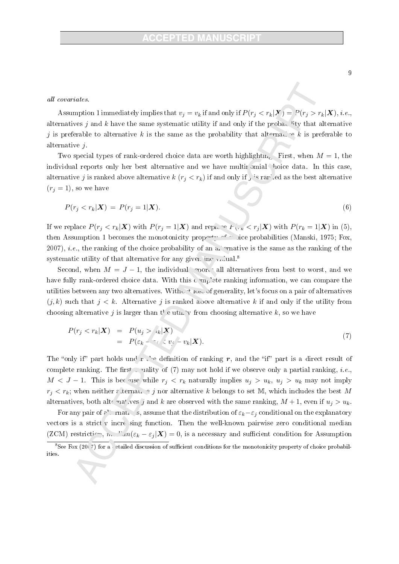all covariates.

Assumption 1 immediately implies that  $v_i = v_k$  if and only if  $P(r_i \le r_k | \mathbf{Y}) = P(r_i > r_k | \mathbf{X})$ , *i.e.*, alternatives j and k have the same systematic utility if and only if the probability that alternative is preferable to alternative k is the same as the probability that alternative k is preferable to alternative j.

Two special types of rank-ordered choice data are worth highlighting. First, when  $M = 1$ , the individual reports only her best alternative and we have multir omial choice data. In this case, alternative j is ranked above alternative k  $(r_i \langle r_k \rangle)$  if and only if j is ranked as the best alternative  $(r_i = 1)$ , so we have

$$
P(r_j < r_k | \mathbf{X}) = P(r_j = 1 | \mathbf{X}).\tag{6}
$$

If we replace  $P(r_j < r_k | \mathbf{X})$  with  $P(r_j = 1 | \mathbf{X})$  and replace  $P(r_k < r_j | \mathbf{X})$  with  $P(r_k = 1 | \mathbf{X})$  in (5), then Assumption 1 becomes the monotonicity proporty of choice probabilities (Manski, 1975; Fox, 2007), *i.e.*, the ranking of the choice probability of an alternative is the same as the ranking of the systematic utility of that alternative for any given index  $\mu$  and  $\mu$ <sup>8</sup>

Second, when  $M = J - 1$ , the individual producted all alternatives from best to worst, and we have fully rank-ordered choice data. With this complete ranking information, we can compare the utilities between any two alternatives. Without loss of generality, let's focus on a pair of alternatives  $(j, k)$  such that  $j < k$ . Alternative j is ranked above alternative k if and only if the utility from choosing alternative j is larger than the utility from choosing alternative k, so we have

$$
P(r_j < r_k | \mathbf{X}) = P(u_j > u_k | \mathbf{X})
$$
\n
$$
= P(\varepsilon_k - \gamma_i < v_j - v_k | \mathbf{X}). \tag{7}
$$

The "only if" part holds under the definition of ranking r, and the "if" part is a direct result of complete ranking. The first equality of (7) may not hold if we observe only a partial ranking, i.e.,  $M < J - 1$ . This is because while  $r_j < r_k$  naturally implies  $u_j > u_k$ ,  $u_j > u_k$  may not imply  $r_j < r_k$ ; when neither alternative k belongs to set M, which includes the best M alternatives, both alternatives j and k are observed with the same ranking,  $M + 1$ , even if  $u_j > u_k$ .

For any pair of alternatives, assume that the distribution of  $\varepsilon_k-\varepsilon_j$  conditional on the explanatory vectors is a strict y increasing function. Then the well-known pairwise zero conditional median (ZCM) restriction,  $m = \lim_{k \to \infty} \{X\} = 0$ , is a necessary and sufficient condition for Assumption <sup>8</sup>See Fox (2007) for a etailed discussion of sufficient conditions for the monotonicity property of choice probabilities.

9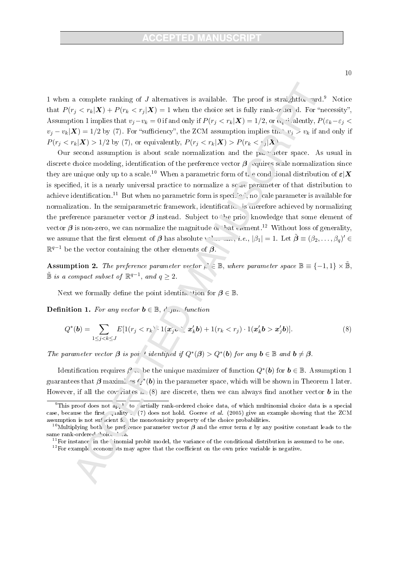1 when a complete ranking of J alternatives is available. The proof is straightforward.<sup>9</sup> Notice that  $P(r_i \le r_k|\mathbf{X}) + P(r_k \le r_j|\mathbf{X}) = 1$  when the choice set is fully rank-order d. For "necessity". Assumption 1 implies that  $v_j - v_k = 0$  if and only if  $P(r_j < r_k|\mathbf{X}) = 1/2$ , or  $e_j$  is algoring,  $P(\varepsilon_k - \varepsilon_j <$  $v_j - v_k|\mathbf{X}) = 1/2$  by (7). For "sufficiency", the ZCM assumption implies that  $v_j > v_k$  if and only if  $P(r_i \langle r_k|X) > 1/2$  by (7), or equivalently,  $P(r_i \langle r_k|X) > P(r_k \langle r_j|X)$ .

Our second assumption is about scale normalization and the parameter space. As usual in discrete choice modeling, identification of the preference vector  $\beta$  equires scale normalization since they are unique only up to a scale.<sup>10</sup> When a parametric form of the conditional distribution of  $\varepsilon|X$ is specified, it is a nearly universal practice to normalize a  $s_{\ell}$  are parameter of that distribution to achieve identification.<sup>11</sup> But when no parametric form is specied, no cale parameter is available for normalization. In the semiparametric framework, identification is unerefore achieved by normalizing the preference parameter vector  $\beta$  instead. Subject to the prior knowledge that some element of vector  $\beta$  is non-zero, we can normalize the magnitude of that element.<sup>12</sup> Without loss of generality, we assume that the first element of  $\beta$  has absolute value one, i.e.,  $|\beta_1| = 1$ . Let  $\tilde{\beta} \equiv (\beta_2, \ldots, \beta_q)' \in$  $\mathbb{R}^{q-1}$  be the vector containing the other elements of  $\beta$ .

Assumption 2. The preference parameter vector  $\mathcal{L} \in \mathbb{B}$ , where parameter space  $\mathbb{B} \equiv \{-1,1\} \times \mathbb{B}$ ,  $\tilde{\mathbb{B}}$  is a compact subset of  $\mathbb{R}^{q-1}$ , and  $q \geq 2$ .

Next we formally define the point identification for  $\beta \in \mathbb{B}$ .

**Definition 1.** For any vector  $\mathbf{b} \in \mathbb{B}$ ,  $d_{\text{glue}}$  function

$$
Q^*(\boldsymbol{b}) = \sum_{1 \leq j < k \leq J} E[1(r_j < r_k) \cdot 1(\boldsymbol{x}_j \boldsymbol{\varepsilon}) \cdot \boldsymbol{x}_k' \boldsymbol{b}) + 1(r_k < r_j) \cdot 1(\boldsymbol{x}_k' \boldsymbol{b} > \boldsymbol{x}_j' \boldsymbol{b})].\tag{8}
$$

The parameter vector  $\beta$  is poi<sup>+</sup> identified if  $Q^*(\beta) > Q^*(b)$  for any  $b \in \mathbb{B}$  and  $b \neq \beta$ .

Identification requires  $\beta$  to be the unique maximizer of function  $Q^*(b)$  for  $b \in \mathbb{B}$ . Assumption 1 guarantees that  $\bm{\beta}$  maximizes  $\ell_{\ell}{}^*(\bm{b})$  in the parameter space, which will be shown in Theorem  $1$  later. However, if all the covariates in (8) are discrete, then we can always find another vector **b** in the

<sup>&</sup>lt;sup>9</sup>This proof does not a<sub>p</sub><sup>1</sup> to artially rank-ordered choice data, of which multinomial choice data is a special case, because the first equality in (7) does not hold. Goeree et al. (2005) give an example showing that the ZCM assumption is not suf teient for the monotonicity property of the choice probabilities.

<sup>&</sup>lt;sup>10</sup>Multiplying both the preference parameter vector  $\beta$  and the error term  $\varepsilon$  by any positive constant leads to the same rank-ordered choice data.

<sup>&</sup>lt;sup>11</sup>For instance, in the inomial probit model, the variance of the conditional distribution is assumed to be one.

<sup>&</sup>lt;sup>12</sup> For example, economists may agree that the coefficient on the own price variable is negative.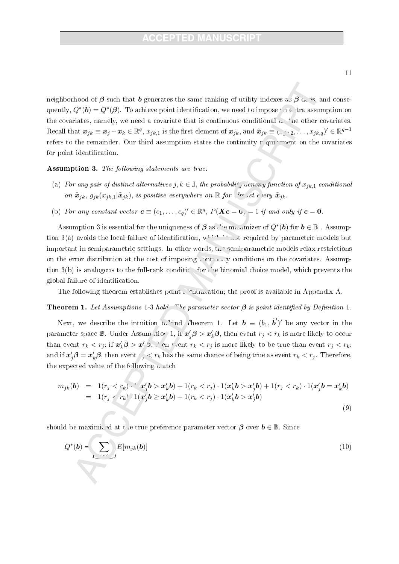neighborhood of  $\beta$  such that **b** generates the same ranking of utility indexes as  $\beta$  does, and consequently,  $Q^*(b) = Q^*(\boldsymbol{\beta}).$  To achieve point identification, we need to impose  $\cdot$  n extra assumption on the covariates, namely, we need a covariate that is continuous conditional  $\circ$ . The other covariates. Recall that  $\bm{x}_{jk} \equiv \bm{x}_j - \bm{x}_k \in \mathbb{R}^q$ ,  $x_{jk,1}$  is the first element of  $\bm{x}_{jk}$ , and  $\tilde{\bm{x}}_{jk} \equiv (\sum_i x_i, \sum_j y_i, \ldots, x_{jk,q})' \in \mathbb{R}^{q-1}$ refers to the remainder. Our third assumption states the continuity requirement on the covariates for point identification.

Assumption 3. The following statements are true.

- (a) For any pair of distinct alternatives j,  $k \in \mathbb{J}$ , the probability density function of  $x_{ik,1}$  conditional on  $\tilde{\boldsymbol{x}}_{ik}$ ,  $g_{jk}(x_{ik,1}|\tilde{\boldsymbol{x}}_{ik})$ , is positive everywhere on  $\mathbb R$  for  $\sqrt{w}$  ist every  $\tilde{\boldsymbol{x}}_{jk}$ .
- (b) For any constant vector  $\mathbf{c} \equiv (c_1, \ldots, c_q)' \in \mathbb{R}^q$ ,  $P(\mathbf{Xc} = \mathbf{b}) = 1$  if and only if  $\mathbf{c} = \mathbf{0}$ .

Assumption 3 is essential for the uniqueness of  $\bm{\beta}$  as the maximizer of  $Q^*(\bm{b})$  for  $\bm{b} \in \mathbb{B}$  . Assumption 3(a) avoids the local failure of identification,  $w^{1}$  is not required by parametric models but important in semiparametric settings. In other words,  $t_n$  semiparametric models relax restrictions on the error distribution at the cost of imposing continuity conditions on the covariates. Assumption 3(b) is analogous to the full-rank condition for the binomial choice model, which prevents the global failure of identification.

The following theorem establishes point  $\cdot$  entincation; the proof is available in Appendix A.

**Theorem 1.** Let Assumptions 1-3 hold<sup>- $m_e$ </sup> parameter vector  $\beta$  is point identified by Definition 1.

Next, we describe the intuition behind Theorem 1. Let  $\mathbf{b} \equiv (b_1, \tilde{\mathbf{b}}')'$  be any vector in the parameter space  $\mathbb B$ . Under Assumption 1, if  $x_j'\beta > x_k'\beta$ , then event  $r_j < r_k$  is more likely to occur than event  $r_k < r_j$ ; if  $x'_k\beta > x'\beta$ ,  $\lnot$  en  $\epsilon$  vent  $r_k < r_j$  is more likely to be true than event  $r_j < r_k$ ; and if  $\pmb{x}'_j\pmb{\beta}=\pmb{x}'_k\pmb{\beta},$  then event  $\wedge_j< r_k$  has the same chance of being true as event  $r_k< r_j.$  Therefore, the expected value of the following  $\mu$  atch

$$
m_{jk}(\boldsymbol{b}) = 1(r_j < r_k) \cdot [\boldsymbol{x}'_j \boldsymbol{b} > \boldsymbol{x}'_k \boldsymbol{b}) + 1(r_k < r_j) \cdot 1(\boldsymbol{x}'_k \boldsymbol{b} > \boldsymbol{x}'_j \boldsymbol{b}) + 1(r_j < r_k) \cdot 1(\boldsymbol{x}'_j \boldsymbol{b} = \boldsymbol{x}'_k \boldsymbol{b})
$$
  
= 1(r\_j < r\_k) \cdot 1(\boldsymbol{x}'\_j \boldsymbol{b} \ge \boldsymbol{x}'\_k \boldsymbol{b}) + 1(r\_k < r\_j) \cdot 1(\boldsymbol{x}'\_k \boldsymbol{b} > \boldsymbol{x}'\_j \boldsymbol{b}) \qquad (9)

should be maximized at the true preference parameter vector  $\beta$  over  $b \in \mathbb{B}$ . Since

$$
Q^*(\boldsymbol{b}) = \sum_{1 \leq i \leq J} E[m_{jk}(\boldsymbol{b})]
$$
(10)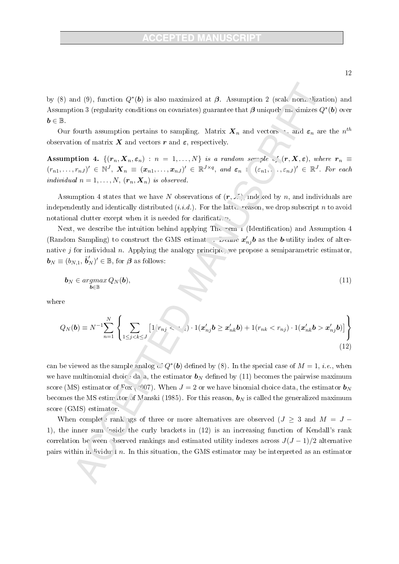by (8) and (9), function  $Q^*(b)$  is also maximized at  $\beta$ . Assumption 2 (scale normalization) and Assumption 3 (regularity conditions on covariates) guarantee that  $\bm{\beta}$  uniquely maximizes  $Q^*(\bm{b})$  over  $b \in \mathbb{B}$ .

Our fourth assumption pertains to sampling. Matrix  $\boldsymbol{X}_n$  and vectors  $\cdot$  and  $\boldsymbol{\varepsilon}_n$  are the  $n^{th}$ observation of matrix **X** and vectors **r** and  $\varepsilon$ , respectively.

Assumption 4.  $\{(r_n, X_n, \varepsilon_n) : n = 1, ..., N\}$  is a random sample  $\int_a^b (r, X, \varepsilon)$ , where  $r_n \equiv$  $(r_{n1},\ldots,r_{nJ})' \in \mathbb{N}^J,$   $\boldsymbol{X}_n \equiv (\boldsymbol{x}_{n1},\ldots,\boldsymbol{x}_{nJ})' \in \mathbb{R}^{J \times q}$ , and  $\boldsymbol{\varepsilon}_n \equiv (\varepsilon_{n1},\ldots,\varepsilon_{nJ})' \in \mathbb{R}^J$ . For each individual  $n = 1, \ldots, N, (\mathbf{r}_n, \mathbf{X}_n)$  is observed.

Assumption 4 states that we have N observations of  $(r, z^*)$ , indexed by n, and individuals are independently and identically distributed  $(i.i.d.)$ . For the latter reason, we drop subscript n to avoid notational clutter except when it is needed for clarification.

Next, we describe the intuition behind applying Theorem 1 (Identification) and Assumption 4 (Random Sampling) to construct the GMS estimat<sub>or</sub>. Denne  $x'_{nj}$ b as the b-utility index of alternative  $j$  for individual  $n$ . Applying the analogy principle, we propose a semiparametric estimator,  $\boldsymbol{b}_N \equiv (b_{N,1}, \, \boldsymbol{\tilde{b}}_N')' \in \mathbb{B}$ , for  $\boldsymbol{\beta}$  as follows:

$$
\boldsymbol{b}_N \in \underset{\boldsymbol{b} \in \mathbb{B}}{argmax} \ Q_N(\boldsymbol{b}), \tag{11}
$$

where

$$
Q_N(\boldsymbol{b}) \equiv N^{-1} \sum_{n=1}^N \left\{ \sum_{1 \le j < k \le J} \left[ 1 \left( r_{nj} < \cdot \cdot \cdot \right) \cdot 1(\boldsymbol{x}_{nj}^{\prime} \boldsymbol{b} \ge \boldsymbol{x}_{nk}^{\prime} \boldsymbol{b}) + 1(r_{nk} < r_{nj}) \cdot 1(\boldsymbol{x}_{nk}^{\prime} \boldsymbol{b} > \boldsymbol{x}_{nj}^{\prime} \boldsymbol{b}) \right] \right\}
$$
\n(12)

can be viewed as the sample analog  $\mathcal{C}$   $Q^*(b)$  defined by (8). In the special case of  $M=1,\,i.e.,$  when we have multinomial choice data, the estimator  $b_N$  defined by (11) becomes the pairwise maximum score (MS) estimator of Fox (2007). When  $J = 2$  or we have binomial choice data, the estimator  $b_N$ becomes the MS estimator of Manski (1985). For this reason,  $b_N$  is called the generalized maximum score (GMS) estimator.

When complete rankings of three or more alternatives are observed ( $J \geq 3$  and  $M = J -$ 1), the inner sum inside the curly brackets in  $(12)$  is an increasing function of Kendall's rank correlation between observed rankings and estimated utility indexes across  $J(J-1)/2$  alternative pairs within in  $\frac{1}{1}$  ividual n. In this situation, the GMS estimator may be interpreted as an estimator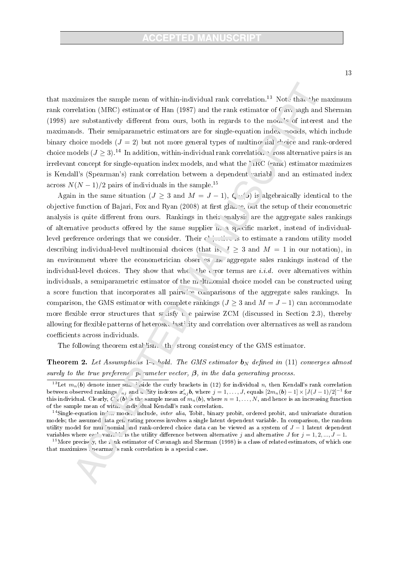that maximizes the sample mean of within-individual rank correlation.<sup>13</sup> Note that the maximum rank correlation (MRC) estimator of Han (1987) and the rank estimator of  $\zeta$  availant and Sherman (1998) are substantively different from ours, both in regards to the models of interest and the maximands. Their semiparametric estimators are for single-equation index models, which include binary choice models  $(J = 2)$  but not more general types of multinomial choice and rank-ordered choice models  $(J \geq 3)$ .<sup>14</sup> In addition, within-individual rank correlation across alternative pairs is an irrelevant concept for single-equation index models, and what the  $\Lambda$ RC (rank) estimator maximizes is Kendall's (Spearman's) rank correlation between a dependent variable and an estimated index across  $N(N-1)/2$  pairs of individuals in the sample.<sup>15</sup>

Again in the same situation ( $J \geq 3$  and  $M = J - 1$ ),  $Q_{\alpha}(\mathcal{A})$  is algebraically identical to the objective function of Bajari, Fox and Ryan (2008) at first glance, but the setup of their econometric analysis is quite different from ours. Rankings in their analysis are the aggregate sales rankings of alternative products offered by the same supplier  $n.$  a specific market, instead of individuallevel preference orderings that we consider. Their  $\epsilon^*$  is to estimate a random utility model describing individual-level multinomial choices (that is,  $I \geq 3$  and  $M = 1$  in our notation), in an environment where the econometrician observes the aggregate sales rankings instead of the individual-level choices. They show that when the error terms are i.i.d. over alternatives within individuals, a semiparametric estimator of the multinomial choice model can be constructed using a score function that incorporates all pairwise comparisons of the aggregate sales rankings. In comparison, the GMS estimator with complete rankings ( $J \geq 3$  and  $M = J - 1$ ) can accommodate more flexible error structures that strategy the pairwise ZCM (discussed in Section 2.3), thereby allowing for flexible patterns of heterosked asticity and correlation over alternatives as well as random coefficients across individuals.

The following theorem establishes the strong consistency of the GMS estimator.

**Theorem 2.** Let Assumpticus 1-4 hold. The GMS estimator  $\mathbf{b}_N$  defined in (11) converges almost surely to the true preference parameter vector,  $\beta$ , in the data generating process.



<sup>&</sup>lt;sup>13</sup>Let  $m_n(b)$  denote inner sum inside the curly brackets in (12) for individual n, then Kendall's rank correlation between observed rankings  $n_j$  and utility indexes  $x'_{nj}b$ , where  $j = 1, ..., J$ , equals  $[2m_n(b) - 1] \times [J(J-1)/2]^{-1}$  for this individual. Clearly,  $C_N(b)$  is the sample mean of  $m_n(b)$ , where  $n = 1, ..., N$ , and hence is an increasing function of the sample mean of with. individual Kendall's rank correlation.

<sup>&</sup>lt;sup>14</sup>Single-equation in  $\infty$  model include, *inter alia*, Tobit, binary probit, ordered probit, and univariate duration models; the assumed lata generating process involves a single latent dependent variable. In comparison, the random utility model for multinomial and rank-ordered choice data can be viewed as a system of  $J - 1$  latent dependent variables where  $e^{z}$  variables is the utility difference between alternative j and alternative J for  $j = 1, 2, ..., J - 1$ .

<sup>&</sup>lt;sup>15</sup>More precisely, the rank estimator of Cavanagh and Sherman (1998) is a class of related estimators, of which one that maximizes bearma<sup>t</sup> is rank correlation is a special case.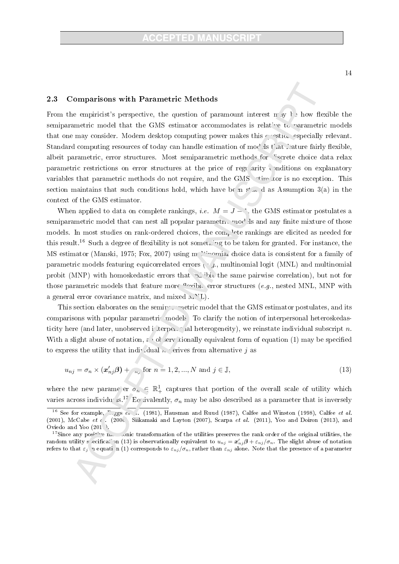From the empiricist's perspective, the question of paramount interest may be how flexible the semiparametric model that the GMS estimator accommodates is relative to parametric models that one may consider. Modern desktop computing power makes this  $\sim$  estion especially relevant. Standard computing resources of today can handle estimation of models that feature fairly flexible. albeit parametric, error structures. Most semiparametric methods for Viscrete choice data relax parametric restrictions on error structures at the price of regularity conditions on explanatory variables that parametric methods do not require, and the GMS estimator is no exception. This section maintains that such conditions hold, which have been  $s^{\mu}$  as Assumption 3(a) in the context of the GMS estimator.

When applied to data on complete rankings, *i.e.*  $M = J - \gamma$ , the GMS estimator postulates a semiparametric model that can nest all popular parametric models and any finite mixture of those models. In most studies on rank-ordered choices, the com, lete rankings are elicited as needed for this result.<sup>16</sup> Such a degree of flexibility is not something to be taken for granted. For instance, the MS estimator (Manski, 1975; Fox, 2007) using multinomial choice data is consistent for a family of parametric models featuring equicorrelated errors (e.g., multinomial logit (MNL) and multinomial probit (MNP) with homoskedastic errors that  $x$  bit the same pairwise correlation), but not for those parametric models that feature more  $\alpha$  vible error structures (e.g., nested MNL, MNP with a general error covariance matrix, and mixed  $MNU$ .

This section elaborates on the semiparametric model that the GMS estimator postulates, and its comparisons with popular parametric models. To clarify the notion of interpersonal heteroskedasticity here (and later, unobserved interpersional heterogeneity), we reinstate individual subscript n. With a slight abuse of notation,  $\epsilon \rightarrow o^+$  servationally equivalent form of equation (1) may be specified to express the utility that individual n derives from alternative j as

$$
u_{nj} = \sigma_n \times (\mathbf{x}'_{nj}\boldsymbol{\beta}) + \sum_{n_j} \text{for } n = 1, 2, ..., N \text{ and } j \in \mathbb{J},
$$
\n(13)

where the new parameter  $\sigma_n \in \mathbb{R}^1_+$  captures that portion of the overall scale of utility which varies across individu is.<sup>17</sup> Equivalently,  $\sigma_n$  may be also described as a parameter that is inversely

<sup>&</sup>lt;sup>16</sup> See for example,  $\Sigma_{\rm c, ggs}$  et al. (1981), Hausman and Ruud (1987), Calfee and Winston (1998), Calfee et al. (2001), McCabe et  $\epsilon$ . (2006), Siikamaki and Layton (2007), Scarpa et al. (2011), Yoo and Doiron (2013), and Oviedo and Yoo  $(201, \cdot)$ .

<sup>&</sup>lt;sup>17</sup>Since any posi<sup>tive</sup> m<sub>omono</sub>tonic transformation of the utilities preserves the rank order of the original utilities, the random utility specification (13) is observationally equivalent to  $u_{nj} = \pmb{x}_{nj}'\pmb{\beta} + \varepsilon_{nj}/\sigma_n$ . The slight abuse of notation refers to that  $\varepsilon_j$  n equation (1) corresponds to  $\varepsilon_{nj}/\sigma_n$ , rather than  $\varepsilon_{nj}$  alone. Note that the presence of a parameter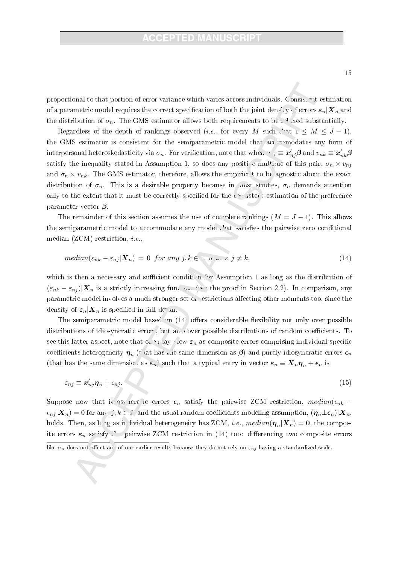proportional to that portion of error variance which varies across individuals. Consistent estimation of a parametric model requires the correct specification of both the joint density of errors  $\varepsilon_n|X_n$  and the distribution of  $\sigma_n$ . The GMS estimator allows both requirements to be  $\Gamma$  xed substantially.

Regardless of the depth of rankings observed (i.e., for every M such that  $1 \leq M \leq J-1$ ), the GMS estimator is consistent for the semiparametric model that accommodates any form of interpersonal heteroskedasticity via  $\sigma_n$ . For verification, note that when  $\vee_i\equiv\bm{x}'_{nj}\bm{\beta}$  and  $v_{nk}\equiv\bm{x}'_{nk}\bm{\beta}$ satisfy the inequality stated in Assumption 1, so does any positive multiple of this pair,  $\sigma_n \times v_{nj}$ and  $\sigma_n \times v_{nk}$ . The GMS estimator, therefore, allows the empiricit to be agnostic about the exact distribution of  $\sigma_n$ . This is a desirable property because in most studies,  $\sigma_n$  demands attention only to the extent that it must be correctly specified for the consistent estimation of the preference parameter vector  $\beta$ .

The remainder of this section assumes the use of complete rankings  $(M = J - 1)$ . This allows the semiparametric model to accommodate any model  $\cdot$  at satisfies the pairwise zero conditional median (ZCM) restriction, i.e.,

$$
median(\varepsilon_{nk} - \varepsilon_{nj} | \mathbf{X}_n) = 0 \text{ for any } j, k \in \mathbb{N}, w \sim \varepsilon \text{ } j \neq k,
$$
\n(14)

which is then a necessary and sufficient condition  $\hat{\mathbf{r}}$  Assumption 1 as long as the distribution of  $(\varepsilon_{nk} - \varepsilon_{nj})|X_n$  is a strictly increasing function  $(\varepsilon_{nk})$  the proof in Section 2.2). In comparison, any parametric model involves a much stronger set of restrictions affecting other moments too, since the density of  $\varepsilon_n|\boldsymbol{X}_n$  is specified in full de' an.

The semiparametric model based on  $(14)$  offers considerable flexibility not only over possible distributions of idiosyncratic error, but also over possible distributions of random coefficients. To see this latter aspect, note that  $o_n \rightharpoonup r$  ay view  $\varepsilon_n$  as composite errors comprising individual-specific coefficients heterogeneity  $\bm{\eta}_n$  († at has the same dimension as  $\bm{\beta})$  and purely idiosyncratic errors  $\bm{\epsilon}_n$ (that has the same dimension as  $\varepsilon_n$ ) such that a typical entry in vector  $\varepsilon_n \equiv X_n \eta_n + \epsilon_n$  is

$$
\varepsilon_{nj} \equiv \boldsymbol{x}'_{nj}\boldsymbol{\eta}_n + \epsilon_{nj}.\tag{15}
$$

Suppose now that id osyncratic errors  $\epsilon_n$  satisfy the pairwise ZCM restriction, median( $\epsilon_{nk}$  −  $\epsilon_{nj} |X_n) = 0$  for any j,  $k \in \mathbb{Z}$ , and the usual random coefficients modeling assumption,  $(\eta_n \perp \epsilon_n) | X_n$ , holds. Then, as long as in dividual heterogeneity has ZCM, *i.e.*,  $median(\boldsymbol{\eta}_n|\boldsymbol{X}_n) = \boldsymbol{0}$ , the composite errors  $\varepsilon_n$  sa<sup>tisfy</sup> the pairwise ZCM restriction in (14) too: differencing two composite errors

like  $\sigma_n$  does not affect any of our earlier results because they do not rely on  $\varepsilon_{n,j}$  having a standardized scale.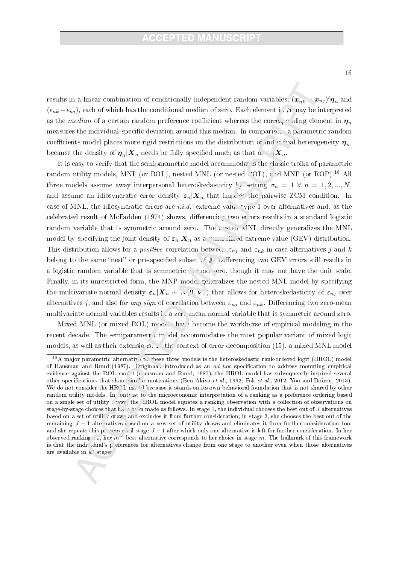results in a linear combination of conditionally independent random variables,  $(\bm{x}_{nk} - \bm{x}_{nj})' \bm{\eta}_n$  and  $(\epsilon_{nk} - \epsilon_{nj})$ , each of which has the conditional median of zero. Each element in β may be interpreted as the *median* of a certain random preference coefficient whereas the corresponding element in  $\eta_n$ measures the individual-specific deviation around this median. In compariso, a parametric random coefficients model places more rigid restrictions on the distribution of ind  $\cdot$  dual heterogeneity  $\boldsymbol{\eta}_n,$ because the density of  $\boldsymbol{\eta}_n|\boldsymbol{X}_n$  needs be fully specified much as that or  $\boldsymbol{\eta}_n|\boldsymbol{X}_n$ .

It is easy to verify that the semiparametric model accommodat is the classic troika of parametric random utility models, MNL (or ROL), nested MNL (or nested  $\sqrt{OL}$ ), and MNP (or ROP).<sup>18</sup> All three models assume away interpersonal heteroskedasticity  $\gamma_y$  setting  $\sigma_n = 1 \forall n = 1, 2, ..., N$ , and assume an idiosyncratic error density  $\varepsilon_n|\bm{X}_n|$  that implies the pairwise ZCM condition. In case of MNL, the idiosyncratic errors are i.i.d. extreme value type 1 over alternatives and, as the celebrated result of McFadden (1974) shows, differencing two errors results in a standard logistic random variable that is symmetric around zero. The nested MNL directly generalizes the MNL model by specifying the joint density of  $\varepsilon_n|\bm{X}_n$  as a generalized extreme value (GEV) distribution. This distribution allows for a *positive* correlation between  $\varepsilon_{nj}$  and  $\varepsilon_{nk}$  in case alternatives j and k belong to the same "nest" or pre-specified subset  $\mathcal{F}$ . Differencing two GEV errors still results in a logistic random variable that is symmetric around zero, though it may not have the unit scale. Finally, in its unrestricted form, the MNP model generalizes the nested MNL model by specifying the multivariate normal density  $\varepsilon_n|\bm{X}_n \sim N(\bm{0},\bm{V}_{\varepsilon})$  that allows for heteroskedasticity of  $\varepsilon_{nj}$  over alternatives j, and also for any sign of correlation between  $\varepsilon_{nj}$  and  $\varepsilon_{nk}$ . Differencing two zero-mean multivariate normal variables results in a zero-mean normal variable that is symmetric around zero.

Mixed MNL (or mixed ROL) mode, have become the workhorse of empirical modeling in the recent decade. The semiparametric model accommodates the most popular variant of mixed logit models, as well as their extensions. In the context of error decomposition (15), a mixed MNL model

<sup>&</sup>lt;sup>18</sup>A major parametric alternative to these three models is the heteroskedastic rank-ordered logit (HROL) model of Hausman and Ruud (1987). Originally introduced as an ad hoc specification to address mounting empirical evidence against the ROL model ( $\pm$  ausman and Ruud, 1987), the HROL model has subsequently inspired several other specifications that share similar motivations (Ben-Akiva et al., 1992; Fok et al., 2012; Yoo and Doiron, 2013). We do not consider the HROL model because it stands on its own behavioral foundation that is not shared by other random utility models. In contrast to the microeconomic interpretation of a ranking as a preference ordering based on a single set of utility  $\zeta$  aws, the HROL model equates a ranking observation with a collection of observations on stage-by-stage choices that have been made as follows. In stage 1, the individual chooses the best out of J alternatives based on a set of utility draws and excludes it from further consideration; in stage 2, she chooses the best out of the remaining  $J - 1$  alternatives based on a new set of utility draws and eliminates it from further consideration too; and she repeats this process until stage  $J - 1$  after which only one alternative is left for further consideration. In her observed ranking  $r_n$ , her  $m<sup>n</sup>$  best alternative corresponds to her choice in stage m. The hallmark of this framework is that the individual's  $\mu$  eferences for alternatives change from one stage to another even when those alternatives are available in a stages.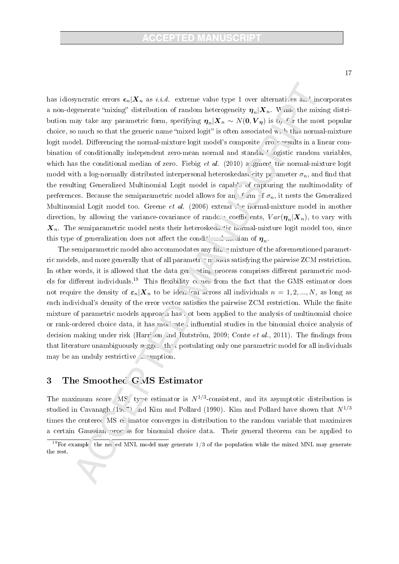17

has idiosyncratic errors  $\epsilon_n|X_n$  as i.i.d. extreme value type 1 over alternatives and incorporates a non-degenerate "mixing" distribution of random heterogeneity  $\boldsymbol{\eta}_n|\boldsymbol{X}_n$ . While the mixing distribution may take any parametric form, specifying  $\bm{\eta}_n|\bm{X}_n\sim N(\bm{0},\bm{V}_{\bm{\eta}})$  is b<sub>y</sub> far the most popular choice, so much so that the generic name "mixed logit" is often associated with this normal-mixture logit model. Differencing the normal-mixture logit model's composite rrors results in a linear combination of conditionally independent zero-mean normal and standard ogistic random variables, which has the conditional median of zero. Fiebig et al. (2010) a gment the normal-mixture logit model with a log-normally distributed interpersonal heteroskedasticity parameter  $\sigma_n$ , and find that the resulting Generalized Multinomial Logit model is capable of capturing the multimodality of preferences. Because the semiparametric model allows for an  $f_{\text{cm}}/f_{\text{cm}}/f_{\text{m}}$ , it nests the Generalized Multinomial Logit model too. Greene et al.  $(2006)$  extend the normal-mixture model in another direction, by allowing the variance-covariance of random coefficients,  $Var(\eta_n|\bm{X}_n)$ , to vary with  $\boldsymbol{X}_n$ . The semiparametric model nests their heteroskedastic normal-mixture logit model too, since this type of generalization does not affect the conditional median of  $\eta_n$ .

The semiparametric model also accommodates any finite mixture of the aforementioned parametric models, and more generally that of all parametric models satisfying the pairwise ZCM restriction. In other words, it is allowed that the data generating process comprises different parametric models for different individuals.<sup>19</sup> This flexibility comes from the fact that the GMS estimator does not require the density of  $\varepsilon_n|\bm{X}_n$  to be identical across all individuals  $n = 1, 2, ..., N$ , as long as each individual's density of the error vector satisfies the pairwise ZCM restriction. While the finite mixture of parametric models approach has ot been applied to the analysis of multinomial choice or rank-ordered choice data, it has motivated influential studies in the binomial choice analysis of decision making under risk (Harrison and Rutström, 2009; Conte et al., 2011). The findings from that literature unambiguously suggest that postulating only one parametric model for all individuals may be an unduly restrictive as umption.

# 3 The Smoothed GMS Estimator

The maximum score  $(MS)$  type estimator is  $N^{1/3}$  consistent, and its asymptotic distribution is studied in Cavanagh (19 $e^{7}$ ) and Kim and Pollard (1990). Kim and Pollard have shown that  $N^{1/3}$ times the centered MS estimator converges in distribution to the random variable that maximizes a certain Gaussian process for binomial choice data. Their general theorem can be applied to

<sup>&</sup>lt;sup>19</sup>For example, the nested MNL model may generate  $1/3$  of the population while the mixed MNL may generate the rest.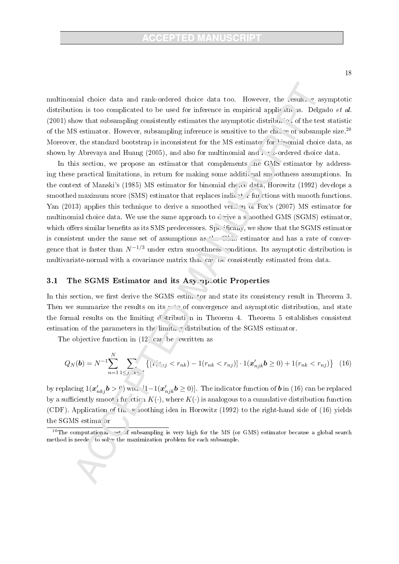multinomial choice data and rank-ordered choice data too. However, the result  $\sigma$  asymptotic distribution is too complicated to be used for inference in empirical applications. Delgado *et al.*  $(2001)$  show that subsampling consistently estimates the asymptotic distribution of the test statistic of the MS estimator. However, subsampling inference is sensitive to the choice of subsample size.<sup>20</sup> Moreover, the standard bootstrap is inconsistent for the MS estimator for  $\frac{1}{2}$  for  $\frac{1}{2}$  choice data, as shown by Abrevaya and Huang (2005), and also for multinomial and  $\ldots$  -  $\alpha$ -ordered choice data.

In this section, we propose an estimator that complements the GMS estimator by addressing these practical limitations, in return for making some additional smoothness assumptions. In the context of Manski's (1985) MS estimator for binomial choice data, Horowitz (1992) develops a smoothed maximum score (SMS) estimator that replaces indicate functions with smooth functions. Yan (2013) applies this technique to derive a smoothed version of Fox's (2007) MS estimator for multinomial choice data. We use the same approach to  $\zeta$  rive a smoothed GMS (SGMS) estimator, which offers similar benefits as its SMS predecessors. Specifically, we show that the SGMS estimator is consistent under the same set of assumptions as  $\mathcal{L}$ . CMS estimator and has a rate of convergence that is faster than  $N^{-1/3}$  under extra smoothness conditions. Its asymptotic distribution is multivariate-normal with a covariance matrix that call be consistently estimated from data.

#### 3.1 The SGMS Estimator and its Asy up otic Properties

In this section, we first derive the SGMS estimator and state its consistency result in Theorem 3. Then we summarize the results on its  $\Box$  of convergence and asymptotic distribution, and state the formal results on the limiting d'stribution in Theorem 4. Theorem 5 establishes consistent estimation of the parameters in the limit.  $\gamma$  distribution of the SGMS estimator.

The objective function in  $(12)$  car be ewritten as

$$
Q_N(\boldsymbol{b}) = N^{-1} \sum_{n=1}^N \sum_{1 \le j, k \le 1} \left\{ \left[1 \left( \tilde{r}_{,j} < r_{nk} \right) - 1 \left( r_{nk} < r_{nj} \right) \right] \cdot 1(\boldsymbol{x}_{njk}^{\prime} \boldsymbol{b} \ge 0) + 1 \left( r_{nk} < r_{nj} \right) \right\} \tag{16}
$$

by replacing  $1(\bm{x}_{nkj}'\bm{b} > \cap)$  with  $[1\!-\!1(\bm{x}_{njk}'\bm{b} \ge 0)].$  The indicator function of  $\bm{b}$  in  $(16)$  can be replaced by a sufficiently smooth function  $K(\cdot)$ , where  $K(\cdot)$  is analogous to a cumulative distribution function (CDF). Application of the smoothing idea in Horowitz (1992) to the right-hand side of (16) yields the SGMS estima or

18

<sup>&</sup>lt;sup>20</sup>The computational cost of subsampling is very high for the MS (or GMS) estimator because a global search method is needed to solve the maximization problem for each subsample.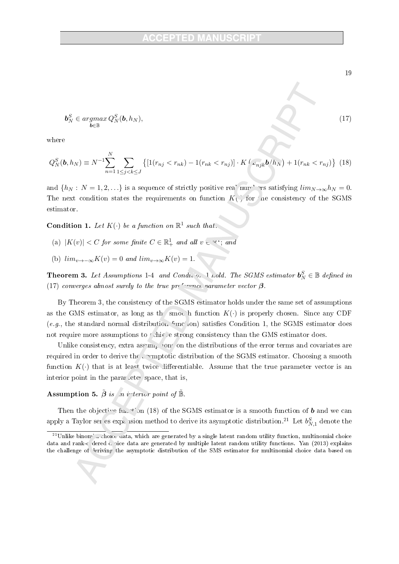$$
\boldsymbol{b}_N^S \in \operatorname*{argmax}_{\boldsymbol{b} \in \mathbb{B}} Q_N^S(\boldsymbol{b}, h_N),\tag{17}
$$

where

$$
Q_N^S(\mathbf{b}, h_N) \equiv N^{-1} \sum_{n=1}^N \sum_{1 \le j < k \le J} \left\{ \left[ 1(r_{nj} < r_{nk}) - 1(r_{nk} < r_{nj}) \right] \cdot K \left( \varepsilon_{njk} \mathbf{b} / h_N \right) + 1(r_{nk} < r_{nj}) \right\} \tag{18}
$$

and  $\{h_N : N = 1, 2, ...\}$  is a sequence of strictly positive real numbers satisfying  $\lim_{N\to\infty}h_N = 0$ . The next condition states the requirements on function  $K_{(+)}$  for the consistency of the SGMS estimator.

**Condition 1.** Let  $K(\cdot)$  be a function on  $\mathbb{R}^1$  such that.

- (a)  $|K(v)| < C$  for some finite  $C \in \mathbb{R}^1_+$  and all  $v \in \mathbb{R}^+$ ; and
- (b)  $\lim_{v \to -\infty} K(v) = 0$  and  $\lim_{v \to \infty} K(v) = 1$ .

**Theorem 3.** Let Assumptions 1-4 and Conduson 1 hold. The SGMS estimator  $\mathbf{b}_N^S \in \mathbb{B}$  defined in (17) converges almost surely to the true  $pr$  from  $ce$  parameter vector  $\beta$ .

By Theorem 3, the consistency of the SGMS estimator holds under the same set of assumptions as the GMS estimator, as long as the smooth function  $K(\cdot)$  is properly chosen. Since any CDF  $(e.g., the standard normal distribution<sup>1</sup> function) satisfies Condition 1, the SGMS estimator does$ not require more assumptions to  $\epsilon$  chieve strong consistency than the GMS estimator does.

Unlike consistency, extra assumptions on the distributions of the error terms and covariates are required in order to derive the asymptotic distribution of the SGMS estimator. Choosing a smooth function  $K(\cdot)$  that is at least twice differentiable. Assume that the true parameter vector is an interior point in the parameter space, that is,

# Assumption 5.  $\tilde{\boldsymbol{\beta}}$  is an interior point of  $\tilde{\mathbb{B}}$ .

Then the objective function (18) of the SGMS estimator is a smooth function of **b** and we can apply a Taylor series expansion method to derive its asymptotic distribution.<sup>21</sup> Let  $b_{N,1}^S$  denote the

19

<sup>&</sup>lt;sup>21</sup>Unlike binom<sup>i</sup><sub>at</sub> choice data, which are generated by a single latent random utility function, multinomial choice data and rank-ordered choice data are generated by multiple latent random utility functions. Yan (2013) explains the challenge of deriving the asymptotic distribution of the SMS estimator for multinomial choice data based on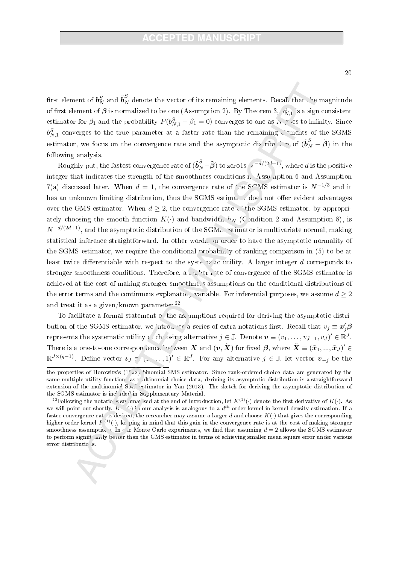first element of  $\bm{b}_N^S$  and  $\tilde{\bm{b}}_N^S$  denote the vector of its remaining elements. Recall that the magnitude of first element of  $\bm{\beta}$  is normalized to be one (Assumption 2). By Theorem 3,  $\vec{\beta_{N,1}}$  is a sign consistent estimator for  $\beta_1$  and the probability  $P(b_{N,1}^S - \beta_1 = 0)$  converges to one as  $N \in \mathfrak{e}$  to infinity. Since  $b_{N,1}^S$  converges to the true parameter at a faster rate than the remaining elements of the SGMS estimator, we focus on the convergence rate and the asymptotic distribution of  $(\tilde{b}_N^S - \tilde{\beta})$  in the following analysis.

Roughly put, the fastest convergence rate of  $(\tilde{b}_N^S - \tilde{\beta})$  to zero is  $\sqrt{-d/(2d+1)}$ , where d is the positive integer that indicates the strength of the smoothness conditions in Assumption 6 and Assumption 7(a) discussed later. When  $d = 1$ , the convergence rate of  $\angle$  ne S<sup>G</sup>MS estimator is  $N^{-1/3}$  and it has an unknown limiting distribution, thus the SGMS estimator does not offer evident advantages over the GMS estimator. When  $d \geq 2$ , the convergence rate of the SGMS estimator, by appropriately choosing the smooth function  $K(\cdot)$  and bandwidt.  $h_N$  (Condition 2 and Assumption 8), is  $N^{-d/(2d+1)}$ , and the asymptotic distribution of the SGM<sub>I</sub> estimator is multivariate normal, making statistical inference straightforward. In other words, in order to have the asymptotic normality of the SGMS estimator, we require the conditional probability of ranking comparison in  $(5)$  to be at least twice differentiable with respect to the systematic utility. A larger integer d corresponds to stronger smoothness conditions. Therefore, a higher rate of convergence of the SGMS estimator is achieved at the cost of making stronger smoothne. s assumptions on the conditional distributions of the error terms and the continuous explanator, variable. For inferential purposes, we assume  $d \geq 2$ and treat it as a given/known parameter.<sup>22</sup>

To facilitate a formal statement o' the assumptions required for deriving the asymptotic distribution of the SGMS estimator, we introduce a series of extra notations first. Recall that  $v_j \equiv x'_j \beta$ represents the systematic utility  $\epsilon$ , choosing alternative  $j \in \mathbb{J}$ . Denote  $\boldsymbol{v} \equiv (v_1, \ldots, v_{J-1}, v_J)' \in \mathbb{R}^J$ . There is a one-to-one correspondence between  $\bm{X}$  and  $(\bm{v},\tilde{\bm{X}})$  for fixed  $\bm{\beta},$  where  $\tilde{\bm{X}}\equiv(\tilde{\bm{x}}_1,...,\tilde{\bm{x}}_J)' \in$  $\mathbb{R}^{J\times (q-1)}$ . Define vector  $\iota_J = (\iota_1, \ldots, 1)' \in \mathbb{R}^J$ . For any alternative  $j \in \mathbb{J}$ , let vector  $\boldsymbol{v}_{-j}$  be the

the properties of Horowitz's  $(1992)$  binomial SMS estimator. Since rank-ordered choice data are generated by the same multiple utility function as  $r$  ultinomial choice data, deriving its asymptotic distribution is a straightforward extension of the multinomial SMs. estimator in Yan (2013). The sketch for deriving the asymptotic distribution of the SGMS estimator is included in Supplementary Material.

<sup>&</sup>lt;sup>22</sup> Following the notatic s summarized at the end of Introduction, let  $K^{(1)}(\cdot)$  denote the first derivative of  $K(\cdot)$ . As we will point out shortly,  $K^{(1)}$  our analysis is analogous to a  $d^{th}$  order kernel in kernel density estimation. If a faster convergence rat is desired, the researcher may assume a larger d and choose  $K(\cdot)$  that gives the corresponding higher order kernel  $F^{(1)}(\cdot)$ , keeping in mind that this gain in the convergence rate is at the cost of making stronger smoothness assumptions. In our Monte Carlo experiments, we find that assuming  $d = 2$  allows the SGMS estimator to perform significantly better than the GMS estimator in terms of achieving smaller mean square error under various error distributions.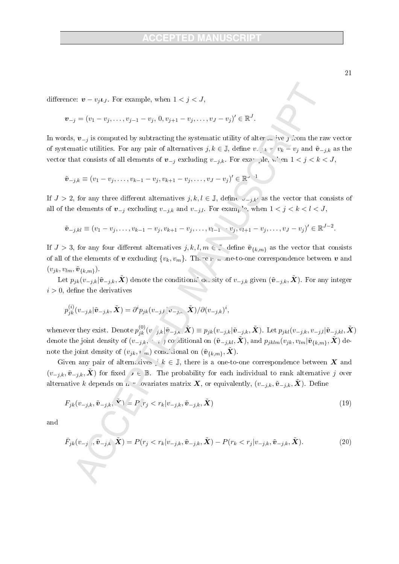difference:  $\mathbf{v} - v_j \mathbf{v}$ . For example, when  $1 < j < J$ ,

$$
\boldsymbol{v}_{-j}=(v_1-v_j,\ldots,v_{j-1}-v_j,\,0,v_{j+1}-v_j,\ldots,v_J-v_j)'\in\mathbb{R}^J.
$$

In words,  $v_{-j}$  is computed by subtracting the systematic utility of alternative j from the raw vector of systematic utilities. For any pair of alternatives j,  $k \in \mathbb{J}$ , define  $v_{-j,k} = v_k - v_j$  and  $\tilde{v}_{-j,k}$  as the vector that consists of all elements of  $v_{-j}$  excluding  $v_{-j,k}$ . For example, when  $1 < j < k < J$ ,

$$
\tilde{\bm{v}}_{-j,k} \equiv (v_1 - v_j, \dots, v_{k-1} - v_j, v_{k+1} - v_j, \dots, v_J - v_j)' \in \mathbb{R}^{\nu-1}
$$

If  $J > 2$ , for any three different alternatives  $j, k, l \in \mathbb{J}$ , define  $\sqrt{-j}k$  as the vector that consists of all of the elements of  $v_{-j}$  excluding  $v_{-j,k}$  and  $v_{-j,l}$ . For exam<sub>p</sub>'<sup>{o}</sup>, when  $1 < j < k < l < J$ ,

$$
\tilde{\boldsymbol{v}}_{-j,kl} \equiv (v_1 - v_j, \dots, v_{k-1} - v_j, v_{k+1} - v_j, \dots, v_{l-1} - v_j, v_{l+1} - v_j, \dots, v_J - v_j)' \in \mathbb{R}^{J-2}.
$$

If  $J > 3$ , for any four different alternatives  $j, k, l, m \in \mathbb{Z}$ , define  $\tilde{\mathbf{v}}_{\{k,m\}}$  as the vector that consists of all of the elements of v excluding  $\{v_k, v_m\}$ . There is a one-to-one correspondence between v and  $(v_{jk}, v_{lm}, \tilde{\boldsymbol{v}}_{\{k,m\}}).$ 

Let  $p_{jk}(v_{-j,k}|\tilde{\bm{v}}_{-j,k}, \tilde{\bm{X}})$  denote the conditional deltarity of  $v_{-j,k}$  given  $(\tilde{\bm{v}}_{-j,k}, \tilde{\bm{X}})$ . For any integer  $i > 0$ , define the derivatives

$$
p_{jk}^{(i)}(v_{-j,k}|\tilde{v}_{-j,k}, \tilde{X}) = \partial^i p_{jk}(v_{-j,k}|_{\sigma_{-j,k}} \tilde{X}) / \partial (v_{-j,k})^i,
$$

whenever they exist. Denote  $p_{jk}^{(0)}(v_{-j,k}|\tilde{\bm{v}}_{-j,k},\tilde{\bm{X}}) \equiv p_{jk}(v_{-j,k}|\tilde{\bm{v}}_{-j,k},\tilde{\bm{X}})$ . Let  $p_{jkl}(v_{-j,k},v_{-j,l}|\tilde{\bm{v}}_{-j,kl},\tilde{\bm{X}})$ denote the joint density of  $(v_{-j,k}, \searrow j)$  co^,ditional on  $(\tilde{\bm{v}}_{-j,kl}, \tilde{\bm{X}}),$  and  $p_{jklm}(v_{jk}, v_{lm} | \tilde{\bm{v}}_{\{k,m\}}, \tilde{\bm{X}})$  denote the joint density of  $(v_{jk}, v|_m)$  conditional on  $(\tilde{\boldsymbol{v}}_{\{k,m\}}, \tilde{\boldsymbol{X}})$ .

Given any pair of alternatives  $\cdot, k \in \mathbb{J}$ , there is a one-to-one correspondence between X and  $(v_{-j,k}, \tilde{v}_{-j,k}, \tilde{X})$  for fixed  $\ell \in \mathbb{B}$ . The probability for each individual to rank alternative j over alternative k depends on her covariates matrix X, or equivalently,  $(v_{-j,k}, \tilde{v}_{-j,k}, \tilde{X})$ . Define

$$
F_{jk}(v_{-j,k},\tilde{\boldsymbol{v}}_{-j,k},\tilde{\boldsymbol{v}}) = P_{\mathcal{N}j} < r_k|v_{-j,k},\tilde{\boldsymbol{v}}_{-j,k},\tilde{\boldsymbol{X}}) \tag{19}
$$

and

$$
\bar{F}_{jk}(v_{-j}\cdot,\tilde{\boldsymbol{v}}_{-j,k}\cdot\tilde{\boldsymbol{X}}) = P(r_j < r_k|v_{-j,k},\tilde{\boldsymbol{v}}_{-j,k},\tilde{\boldsymbol{X}}) - P(r_k < r_j|v_{-j,k},\tilde{\boldsymbol{v}}_{-j,k},\tilde{\boldsymbol{X}}). \tag{20}
$$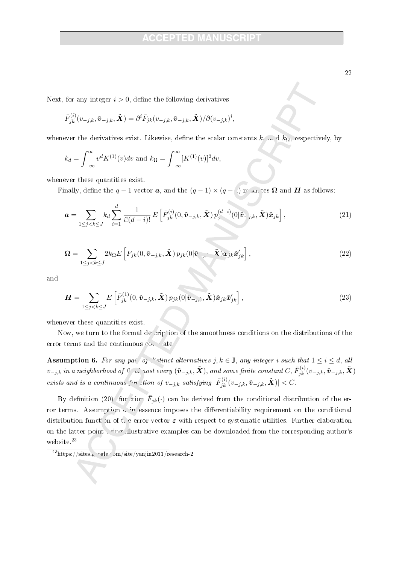Next, for any integer  $i > 0$ , define the following derivatives

$$
\bar{F}_{jk}^{(i)}(v_{-j,k},\tilde{\boldsymbol{v}}_{-j,k},\tilde{\boldsymbol{X}}) = \partial^i \bar{F}_{jk}(v_{-j,k},\tilde{\boldsymbol{v}}_{-j,k},\tilde{\boldsymbol{X}})/\partial (v_{-j,k})^i,
$$

whenever the derivatives exist. Likewise, define the scalar constants  $k_a$ , d  $k_{\Omega}$ , respectively, by

$$
k_d = \int_{-\infty}^{\infty} v^d K^{(1)}(v) dv
$$
 and  $k_{\Omega} = \int_{-\infty}^{\infty} [K^{(1)}(v)]^2 dv$ ,

whenever these quantities exist.

Finally, define the  $q-1$  vector  $\boldsymbol{a}$ , and the  $(q-1) \times (q-1)$  matrices  $\boldsymbol{\Omega}$  and  $\boldsymbol{H}$  as follows:

$$
\mathbf{a} = \sum_{1 \leq j < k \leq J} k_d \sum_{i=1}^d \frac{1}{i!(d-i)!} E\left[\bar{F}_{jk}^{(i)}(0, \tilde{\mathbf{v}}_{-j,k}, \tilde{\mathbf{X}}) p_{j}^{(d-i)}(0 | \tilde{\mathbf{v}}_{-j,k}, \tilde{\mathbf{X}}) \tilde{\mathbf{x}}_{jk}\right],\tag{21}
$$

$$
\Omega = \sum_{1 \le j < k \le J} 2k_{\Omega} E\left[ F_{jk}(0, \tilde{\boldsymbol{v}}_{-j,k}, \tilde{\boldsymbol{X}}) p_{jk}(0 | \tilde{\boldsymbol{v}}_{-j,k} - \tilde{\boldsymbol{X}}) x_{jk} \tilde{x}_{jk}' \right],\tag{22}
$$

and

$$
\boldsymbol{H} = \sum_{1 \leq j < k \leq J} E\left[\bar{F}_{jk}^{(1)}(0, \tilde{\boldsymbol{v}}_{-j,k}, \tilde{\boldsymbol{X}}) \, p_{jk}(0 | \tilde{\boldsymbol{v}}_{-j,j}, \tilde{\boldsymbol{X}}) \tilde{\boldsymbol{x}}_{jk} \tilde{\boldsymbol{x}}'_{jk}\right],\tag{23}
$$

whenever these quantities exist.

Now, we turn to the formal description of the smoothness conditions on the distributions of the error terms and the continuous  $\cos$  ate

Assumption 6. For any pair of distinct alternatives  $j, k \in \mathbb{J}$ , any integer i such that  $1 \leq i \leq d$ , all  $v_{-j,k}$  in a neighborhood of  $0$  almost every  $(\tilde{\bm{v}}_{-j,k}, \tilde{\bm{X}}),$  and some finite constant  $C,$   $\bar{F}_{jk}^{(i)}(v_{-j,k}, \tilde{\bm{v}}_{-j,k}, \tilde{\bm{X}})$ exists and is a continuous  $\int f^{(i)}(v_{-j,k}, satisfying \, |\bar{F}_{jk}^{(i)}(v_{-j,k}, \tilde{v}_{-j,k}, \tilde{X})| < C$ .

By definition (20), furtion  $\bar{F}_{jk}(\cdot)$  can be derived from the conditional distribution of the error terms. Assumption  $\sqrt{r}$  essence imposes the differentiability requirement on the conditional distribution function of the error vector  $\varepsilon$  with respect to systematic utilities. Further elaboration on the latter point wing illustrative examples can be downloaded from the corresponding author's website.<sup>23</sup>

 $^{23}$ https://sites.<sub>b</sub>oogle.com/site/yanjin2011/research-2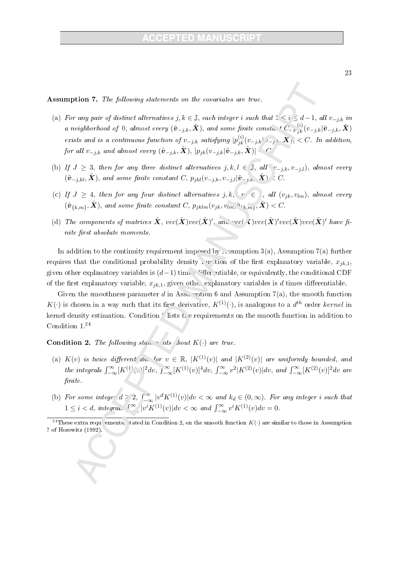Assumption 7. The following statements on the covariates are true.

- (a) For any pair of distinct alternatives j,  $k \in \mathbb{J}$ , each integer i such that  $1 \le i \le d-1$ , all  $v_{-i,k}$  in a neighborhood of 0, almost every  $(\tilde{\bm{v}}_{-j,k}, \tilde{\bm{X}}),$  and some finite constant  $C,$   $\overline{\mu}_{j,k}^{(i)}(v_{-j,k}|\tilde{\bm{v}}_{-j,k}, \tilde{\bm{X}})$ exists and is a continuous function of  $v_{-j,k}$  satisfying  $|p_{jk}^{(i)}(v_{-j,k}|j_{-j,k}| \times C$ . In addition, for all  $v_{-j,k}$  and almost every  $(\tilde{\bm{v}}_{-j,k}, \tilde{\bm{X}}), |p_{jk}(v_{-j,k}|\tilde{\bm{v}}_{-j,k}, \tilde{\bm{X}})| \leq C.$
- (b) If  $J \geq 3$ , then for any three distinct alternatives j, k, l ∈ J, all  $[v_{-j,k}, v_{-j,l})$ , almost every  $(\tilde{\boldsymbol{v}}_{-j,kl}, \tilde{\boldsymbol{X}})$ , and some finite constant C,  $p_{jkl}(v_{-j,k}, v_{-j,l}|\tilde{\boldsymbol{v}}_{-j,k,l}, \tilde{\boldsymbol{X}}) < C$ .
- (c) If  $J \geq 4$ , then for any four distinct alternatives j, k,  $\forall r \in \mathbb{R}$ , all  $(v_{ik}, v_{lm})$ , almost every  $(\tilde{\bm{v}}_{\{k,m\}}, \tilde{\bm{X}}),$  and some finite constant C,  $p_{jklm}(v_{jk}, v_{lm_1}; \tilde{\bm{\cdot}} \epsilon_{k,m_j}, \tilde{\bm{X}}) < C.$
- (d) The components of matrices  $\tilde{\bm{X}}$ ,  $vec(\tilde{\bm{X}})vec(\tilde{\bm{X}})'$ , and  $vec(\hat{\bm{X}})vec(\hat{\bm{X}})'vec(\tilde{\bm{X}})vec(\tilde{\bm{X}})'$  have finite first absolute moments.

In addition to the continuity requirement imposed by Assumption 3(a), Assumption 7(a) further requires that the conditional probability density  $\Gamma$  in tion of the first explanatory variable,  $x_{ik,1}$ , given other explanatory variables is  $(d-1)$  times differentiable, or equivalently, the conditional CDF of the first explanatory variable,  $x_{jk,1}$ , given other explanatory variables is d times differentiable.

Given the smoothness parameter d in Assumption 6 and Assumption 7(a), the smooth function  $K(\cdot)$  is chosen in a way such that its first derivative,  $K^{(1)}(\cdot)$ , is analogous to a  $d^{th}$  order kernel in kernel density estimation. Condition  $\ell$  lists the requirements on the smooth function in addition to Condition 1.<sup>24</sup>

Condition 2. The following state metals about  $K(\cdot)$  are true.

- (a)  $K(v)$  is twice different ible for  $v \in \mathbb{R}$ ,  $|K^{(1)}(v)|$  and  $|K^{(2)}(v)|$  are uniformly bounded, and the integrals  $\int_{-\infty}^{\infty} [K^{(1)}(\cdot)]^2 dv$ ,  $\int_{-\infty}^{\infty} [K^{(1)}(v)]^4 dv$ ,  $\int_{-\infty}^{\infty} v^2 |K^{(2)}(v)| dv$ , and  $\int_{-\infty}^{\infty} [K^{(2)}(v)]^2 dv$  are finite.
- (b) For some integer  $d \geq 2$ ,  $\int_{-\infty}^{\infty} |v^d K^{(1)}(v)| dv < \infty$  and  $k_d \in (0, \infty)$ . For any integer i such that  $1 \leq i < d$ , integrals  $\int_{-\infty}^{\infty} |v^i K^{(1)}(v)| dv < \infty$  and  $\int_{-\infty}^{\infty} v^i K^{(1)}(v) dv = 0$ .

23

<sup>&</sup>lt;sup>24</sup>These extra requ<sup>irements, it ated in Condition 2, on the smooth function  $K(\cdot)$  are similar to those in Assumption</sup> 7 of Horowitz (1992).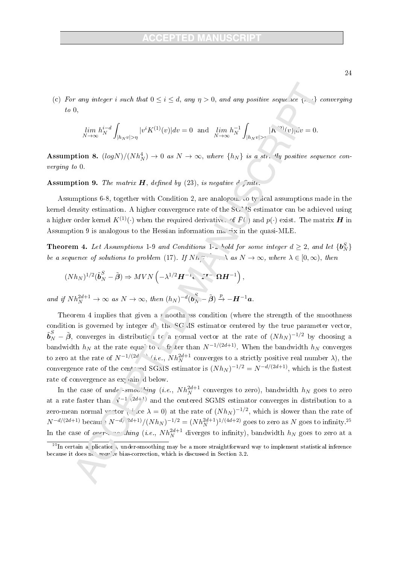(c) For any integer i such that  $0 \le i \le d$ , any  $\eta > 0$ , and any positive sequence  $\{\cdot, \cdot\}$  converging  $to 0$ ,

$$
\lim_{N \to \infty} h_N^{i-d} \int_{|h_N v| > \eta} |v^i K^{(1)}(v)| dv = 0 \text{ and } \lim_{N \to \infty} h_N^{-1} \int_{|h_N v| > \eta} |K^{(2)}(v)| dv = 0.
$$

**Assumption 8.**  $(log N)/(N h_N^4) \rightarrow 0$  as  $N \rightarrow \infty$ , where  $\{h_N\}$  is a strictly positive sequence converging to 0.

Assumption 9. The matrix H, defined by (23), is negative  $d\mathcal{L}$  inite.

Assumptions 6-8, together with Condition 2, are analogous to typical assumptions made in the kernel density estimation. A higher convergence rate of the  $S\mathcal{G}^{\prime}$ S estimator can be achieved using a higher order kernel  $K^{(1)}(\cdot)$  when the required derivatives of  $\bar{F}(\cdot)$  and  $p(\cdot)$  exist. The matrix **H** in Assumption 9 is analogous to the Hessian information  $m_{\alpha}$  rix in the quasi-MLE.

**Theorem 4.** Let Assumptions 1-9 and Conditions  $1-z$  hold for some integer  $d \geq 2$ , and let  $\{b_N^S\}$ be a sequence of solutions to problem (17). If  $Nh_1 + N$  as  $N \to \infty$ , where  $\lambda \in [0, \infty)$ , then

$$
(Nh_N)^{1/2}(\tilde{\boldsymbol{b}}_N^S-\tilde{\boldsymbol{\beta}})\Rightarrow MVN\left(-\lambda^{1/2}\boldsymbol{H}^{-1}\boldsymbol{\epsilon}\quad\boldsymbol{\Gamma}^{-1}\boldsymbol{\Omega}\boldsymbol{H}^{-1}\right),
$$

and if  $Nh_N^{2d+1} \to \infty$  as  $N \to \infty$ , then  $(h_N)^{-d}(\mathbf{b}_N^S - \tilde{\boldsymbol{\beta}}) \xrightarrow{p} -\mathbf{H}^{-1}\mathbf{a}$ .

Theorem 4 implies that given a smoothness condition (where the strength of the smoothness condition is governed by integer  $d$ , the SGMS estimator centered by the true parameter vector,  $\tilde{b}_N^S - \tilde{\beta}$ , converges in distributic 1 to a rormal vector at the rate of  $(Nh_N)^{-1/2}$  by choosing a bandwidth  $h_N$  at the rate equal to or faster than  $N^{-1/(2d+1)}$ . When the bandwidth  $h_N$  converges to zero at the rate of  $N^{-1/(2d)}$  (i.e.,  $Nh_N^{2d+1}$  converges to a strictly positive real number  $\lambda$ ), the convergence rate of the centered SGMS estimator is  $(Nh_N )^{-1/2} = N^{-d/(2d+1)}$ , which is the fastest rate of convergence as explained below.

In the case of under-smoothing (i.e.,  $Nh_N^{2d+1}$  converges to zero), bandwidth  $h_N$  goes to zero at a rate faster than  $N^{-1}(2d+1)$  and the centered SGMS estimator converges in distribution to a zero-mean normal vector (since  $\lambda = 0$ ) at the rate of  $(Nh_N)^{-1/2}$ , which is slower than the rate of  $N^{-d/(2d+1)}$  becaus  $N^{-d/(2d+1)/(Nh_N)^{-1/2} = (Nh_N^{2d+1})^{1/(4d+2)}$  goes to zero as N goes to infinity.<sup>25</sup> In the case of over-smoothing (i.e.,  $Nh_N^{2d+1}$  diverges to infinity), bandwidth  $h_N$  goes to zero at a

 $^{25}$ In certain a plications, under-smoothing may be a more straightforward way to implement statistical inference because it does not require bias-correction, which is discussed in Section 3.2.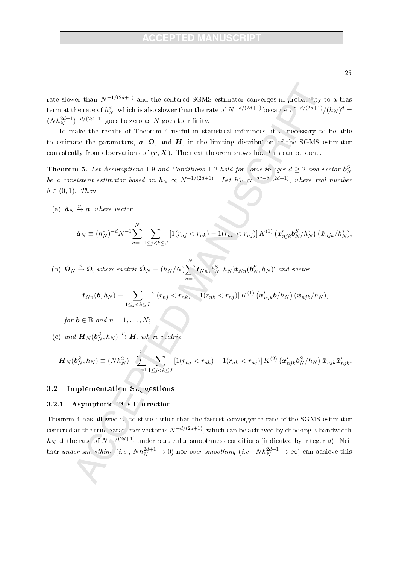rate slower than  $N^{-1/(2d+1)}$  and the centered SGMS estimator converges in probability to a bias term at the rate of  $h_N^d$ , which is also slower than the rate of  $N^{-d/(2d+1)}$  because  $N^{-d/(2d+1)}/(h_N)^d$ 

 $(Nh_N^{2d+1})^{-d/(2d+1)}$  goes to zero as N goes to infinity. To make the results of Theorem 4 useful in statistical inferences, it  $\ldots$  necessary to be able to estimate the parameters,  $a, \Omega$ , and  $H$ , in the limiting distribution of the SGMS estimator consistently from observations of  $(r, X)$ . The next theorem shows how this can be done.

**Theorem 5.** Let Assumptions 1-9 and Conditions 1-2 hold for ome in ger  $d \geq 2$  and vector  $\mathbf{b}_N^S$ be a consistent estimator based on  $h_N \propto N^{-1/(2d+1)}$ . Let  $h^* \propto N^{-\delta}$  (2d+1), where real number  $\delta \in (0,1)$ . Then

(a)  $\hat{\boldsymbol{a}}_N \stackrel{p}{\rightarrow} \boldsymbol{a}$ , where vector

$$
\hat{\mathbf{a}}_N \equiv (h_N^*)^{-d} N^{-1} \sum_{n=1}^N \sum_{1 \le j < k \le J} \left[ 1(r_{nj} < r_{nk}) - 1(r_{n.} < r_{nj}) \right] K^{(1)} \left( \mathbf{x}'_{njk} \mathbf{b}_N^S / h_N^* \right) (\tilde{\mathbf{x}}_{njk} / h_N^*);
$$

(b)  $\hat{\mathbf{\Omega}}_N \stackrel{p}{\rightarrow} \mathbf{\Omega}$ , where matrix  $\hat{\mathbf{\Omega}}_N \equiv (h_N/N) \sum^N$ .  $n=1$  $t_{Nn} \setminus {\mathbf k}_N^S, h_N) t_{Nn} (\boldsymbol b_N^S, h_N)'$  and vector

$$
\boldsymbol{t}_{Nn}(\boldsymbol{b},h_N)\equiv\sum_{1\leq j
$$

for  $\mathbf{b} \in \mathbb{B}$  and  $n = 1, \ldots, N$ ;

(c) and  $\boldsymbol{H}_N(\boldsymbol{b}_N^S,h_N) \xrightarrow{p} \boldsymbol{H}$ , where matrix

$$
\boldsymbol{H}_{N}(\boldsymbol{b}_{N}^{S},h_{N})\equiv(Nh_{N}^{2})^{-1}\sum_{-1}^{I}\sum_{1\leq j
$$

## 3.2 Implementation  $S_{u}$  gestions

#### 3.2.1 Asymptotic  $\mathbb{P}^{\mathsf{T}}$  is Correction

Theorem 4 has all wed us to state earlier that the fastest convergence rate of the SGMS estimator centered at the true parameter vector is  $N^{-d/(2d+1)}$ , which can be achieved by choosing a bandwidth  $h_N$  at the rate of  $N^{-1/(2d+1)}$  under particular smoothness conditions (indicated by integer d). Neither under-smoothing  $(i.e., Nh_N^{2d+1}\rightarrow 0)$  nor over-smoothing  $(i.e.,Nh_N^{2d+1}\rightarrow\infty)$  can achieve this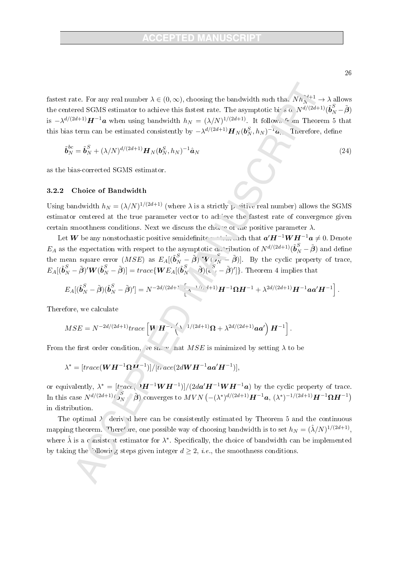fastest rate. For any real number  $\lambda \in (0, \infty)$ , choosing the bandwidth such that  $Nh_N^{\lambda_1+1} \to \lambda$  allows the centered SGMS estimator to achieve this fastest rate. The asymptotic bias of  $N^{d/(2d+1)}(\tilde{\boldsymbol{b}}_N^S - \tilde{\boldsymbol{\beta}})$ is  $-\lambda^{d/(2d+1)}H^{-1}a$  when using bandwidth  $h_N = (\lambda/N)^{1/(2d+1)}$ . It follows <sup>c<sub>r</sub></sup> om Theorem 5 that this bias term can be estimated consistently by  $-\lambda^{d/(2d+1)}H_N(b_N^S,h_N)^{-1}a_I$ . Therefore, define

$$
\tilde{\boldsymbol{b}}_N^{bc} = \tilde{\boldsymbol{b}}_N^S + (\lambda/N)^{d/(2d+1)} \boldsymbol{H}_N (\boldsymbol{b}_N^S, h_N)^{-1} \hat{\boldsymbol{a}}_N
$$
\n(24)

as the bias-corrected SGMS estimator.

#### 3.2.2 Choice of Bandwidth

Using bandwidth  $h_N = (\lambda/N)^{1/(2d+1)}$  (where  $\lambda$  is a strictly  $\mu$  vitive real number) allows the SGMS estimator centered at the true parameter vector to achieve the fastest rate of convergence given certain smoothness conditions. Next we discuss the choice of the positive parameter  $\lambda$ .

Let  $\bm{W}$  be any nonstochastic positive semidefinite matrix such that  $\bm{a}'\bm{H}^{-1}\bm{W}\bm{H}^{-1}\bm{a}\neq 0.$  Denote  $E_A$  as the expectation with respect to the asymptotic distribution of  $N^{d/(2d+1)}$   $(\tilde{\boldsymbol{b}}_N^S - \tilde{\boldsymbol{\beta}})$  and define the mean square error  $(MSE)$  as  $E_A[(\tilde{b}_N^S - \tilde{\boldsymbol{\beta}}) \mathbf{V}(\tilde{b}_N^S - \tilde{\boldsymbol{\beta}})]$ . By the cyclic property of trace,  $E_A[(\bm{\tilde{b}}_N^S-\tilde{\bm{\beta}})^{\prime}\bm{W}(\bm{\tilde{b}}_N^S-\tilde{\bm{\beta}})]=trace\{\bm{W}E_A[(\bm{\tilde{b}}_N^S-\tilde{\bm{\beta}})(\bm{\varepsilon}^S_{\lceil \tau \rceil}-\tilde{\bm{\beta}})^{\prime}]\}.$  Theorem 4 implies that

$$
E_A[(\tilde{\boldsymbol{b}}_N^S - \tilde{\boldsymbol{\beta}})(\tilde{\boldsymbol{b}}_N^S - \tilde{\boldsymbol{\beta}})'] = N^{-2d/(2d+1)} \left[ \lambda^{-1/t} \cdot \lambda^{d+1} \right] \boldsymbol{H}^{-1} \Omega \boldsymbol{H}^{-1} + \lambda^{2d/(2d+1)} \boldsymbol{H}^{-1} \boldsymbol{aa'} \boldsymbol{H}^{-1} \right].
$$

.

Therefore, we calculate

$$
MSE = N^{-2d/(2d+1)} trace \left[ \bm{W} ~ \bm{H}^{-1} \left( N^{-1/(2d+1)} \bm{\Omega} + \lambda^{2d/(2d+1)} \bm{a} \bm{a}' \right) \bm{H}^{-1} \right]
$$

From the first order condition, we show that  $MSE$  is minimized by setting  $\lambda$  to be

$$
\lambda^*=[trace(\boldsymbol{W}\boldsymbol{H}^{-1}\boldsymbol{\Omega}\boldsymbol{H}^{-1})]/[tr\,ace(2d\boldsymbol{W}\boldsymbol{H}^{-1}\boldsymbol{aa}'\boldsymbol{H}^{-1})],
$$

or equivalently,  $\lambda^*=[trace(\rightarrow \bm{H}^{-1}\bm{W}\bm{H}^{-1})]/(2d\bm{a}'\bm{H}^{-1}\bm{W}\bm{H}^{-1}\bm{a})$  by the cyclic property of trace. In this case  $N^{d/(2d+1)/5}$ ,  $\widetilde{\beta}$ ) converges to  $MVN$   $\left(-(\lambda^*)^{d/(2d+1)}H^{-1}a, (\lambda^*)^{-1/(2d+1)}H^{-1}\Omega H^{-1}\right)$ in distribution.

The optimal  $\lambda$  derived here can be consistently estimated by Theorem 5 and the continuous mapping theorem. Therefore, one possible way of choosing bandwidth is to set  $h_N = (\hat{\lambda}/N)^{1/(2d+1)}$ , where  $\hat{\lambda}$  is a consistent estimator for  $\lambda^*$ . Specifically, the choice of bandwidth can be implemented by taking the following steps given integer  $d \geq 2$ , *i.e.*, the smoothness conditions.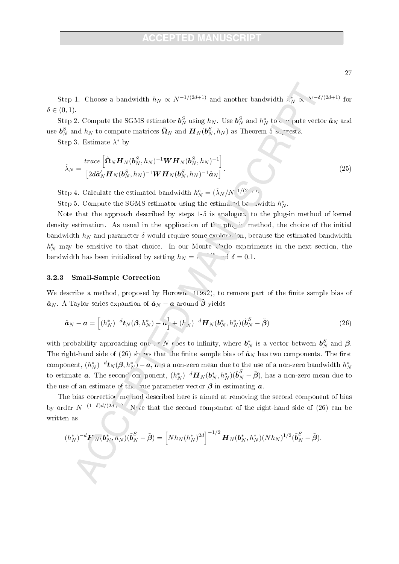Step 1. Choose a bandwidth  $h_N \propto N^{-1/(2d+1)}$  and another bandwidth  $\lambda_N^* \propto N^{-\delta/(2d+1)}$  for  $\delta \in (0,1)$ .

Step 2. Compute the SGMS estimator  $b_N^S$  using  $h_N$ . Use  $b_N^S$  and  $h_N^*$  to compute vector  $\hat{a}_N$  and use  $\bm{b}_N^S$  and  $h_N$  to compute matrices  $\hat{\bm{\Omega}}_N$  and  $\bm{H}_N(\bm{b}_N^S,h_N)$  as Theorem 5 suggests.

Step 3. Estimate  $\lambda^*$  by

$$
\hat{\lambda}_N = \frac{\text{trace}\left[\hat{\mathbf{\Omega}}_N \mathbf{H}_N (\mathbf{b}_N^S, h_N)^{-1} \mathbf{W} \mathbf{H}_N (\mathbf{b}_N^S, h_N)^{-1}\right]}{\left[2d\hat{\mathbf{a}}_N' \mathbf{H}_N (\mathbf{b}_N^S, h_N)^{-1} \mathbf{W} \mathbf{H}_N (\mathbf{b}_N^S, h_N)^{-1} \hat{\mathbf{a}}_N\right]}.
$$
\n(25)

Step 4. Calculate the estimated bandwidth  $h_N^e = (\hat{\lambda}_N/N)^{1/(2-\tau_1)}$ .

Step 5. Compute the SGMS estimator using the estimated bandwidth  $h_N^e$ .

Note that the approach described by steps 1-5 is analogous to the plug-in method of kernel density estimation. As usual in the application of  $t \rightarrow p\mu$ ,  $\mu$  method, the choice of the initial bandwidth  $h_N$  and parameter  $\delta$  would require some exploration, because the estimated bandwidth  $h_N^e$  may be sensitive to that choice. In our Monte Carlo experiments in the next section, the bandwidth has been initialized by setting  $h_N = \lambda^{-1/5}$  and  $\delta = 0.1$ .

#### 3.2.3 Small-Sample Correction

We describe a method, proposed by Horowitz  $(1992)$ , to remove part of the finite sample bias of  $\hat{a}_N$ . A Taylor series expansion of  $\hat{a}_N - a$  around  $\hat{\beta}$  yields

$$
\hat{\boldsymbol{a}}_N - \boldsymbol{a} = \left[ (h_N^*)^{-d} \boldsymbol{t}_N (\boldsymbol{\beta}, h_N^*) - \boldsymbol{a} \right] + (h_N)^{-d} \boldsymbol{H}_N (\boldsymbol{b}_N^*, h_N^*) (\tilde{\boldsymbol{b}}_N^S - \tilde{\boldsymbol{\beta}}) \tag{26}
$$

with probability approaching one as  $N$  goes to infinity, where  $b_N^*$  is a vector between  $b_N^S$  and  $\beta$ . The right-hand side of (26) shows that the finite sample bias of  $\hat{a}_N$  has two components. The first component,  $(h_N^*)^{-d}t_N(\bm{\beta},h_N^*)-\bm{a},$  has a non-zero mean due to the use of a non-zero bandwidth  $h_N^*$ to estimate **a**. The second component,  $(h_N^*)^{-d}H_N(b_N^*,h_N^*)(\tilde{b}_N^S-\tilde{\boldsymbol{\beta}}),$  has a non-zero mean due to the use of an estimate of the true parameter vector  $\beta$  in estimating  $\alpha$ .

The bias correction method described here is aimed at removing the second component of bias by order  $N^{-(1-\delta)d/(2d_+)}$ . Note that the second component of the right-hand side of (26) can be written as

$$
(h_N^*)^{-d} \boldsymbol{F}_{N}(\boldsymbol{b}_N^*, h_N^*) (\tilde{\boldsymbol{b}}_N^S - \tilde{\boldsymbol{\beta}}) = \left[ N h_N (h_N^*)^{2d} \right]^{-1/2} \boldsymbol{H}_N(\boldsymbol{b}_N^*, h_N^*) (N h_N)^{1/2} (\tilde{\boldsymbol{b}}_N^S - \tilde{\boldsymbol{\beta}}).
$$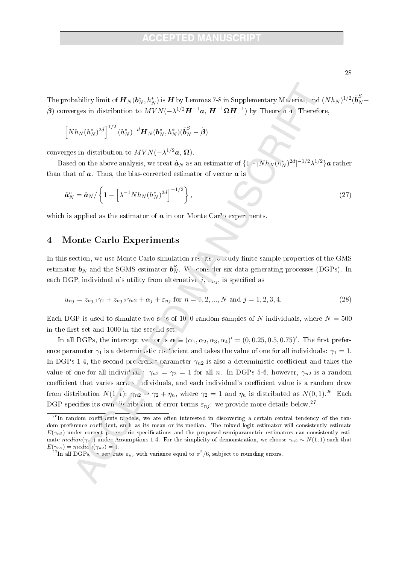The probability limit of  $\bm{H}_N(\bm{b}_N^*,h_N^*)$  is  $\bm{H}$  by Lemmas 7-8 in Supplementary Material,  $\lnot$  d  $(Nh_N)^{1/2}(\tilde{\bm{b}}_N^S \tilde{\bm{\beta}}$ ) converges in distribution to  $MVN(-\lambda^{1/2}\bm{H}^{-1}\bm{a},\,\bm{H}^{-1}\bm{\Omega}\bm{H}^{-1})$  by Theore n 4. Therefore,

$$
\left[ N h_N (h_N^*)^{2d} \right]^{1/2} (h_N^*)^{-d} \boldsymbol{H}_N(\boldsymbol{b}_N^*,h_N^*) (\tilde{\boldsymbol{b}}_N^S - \tilde{\boldsymbol{\beta}})
$$

converges in distribution to  $MVN(-\lambda^{1/2}\boldsymbol{a},\boldsymbol{\Omega})$ .

Based on the above analysis, we treat  $\hat{\bm{a}}_N$  as an estimator of  $\{1 - [Nh_N(n^*_N)^{2d}]^{-1/2}\lambda^{1/2}\}$ a rather than that of  $\boldsymbol{a}$ . Thus, the bias-corrected estimator of vector  $\boldsymbol{a}$  is

$$
\hat{\boldsymbol{a}}_N^c = \hat{\boldsymbol{a}}_N / \left\{ 1 - \left[ \lambda^{-1} N h_N (h_N^*)^{2d} \right]^{-1/2} \right\},\tag{27}
$$

which is applied as the estimator of  $\boldsymbol{a}$  in our Monte Car<sup>1</sup> experiments.

### 4 Monte Carlo Experiments

In this section, we use Monte Carlo simulation results to study finite-sample properties of the GMS estimator  $b_N$  and the SGMS estimator  $b_N^S$ . We consider six data generating processes (DGPs). In each DGP, individual n's utility from alternative  $i, u_{nj}$ , is specified as

$$
u_{nj} = z_{nj,1}\gamma_1 + z_{nj,2}\gamma_{n2} + \alpha_j + \varepsilon_{nj} \text{ for } n = 1, 2, ..., N \text{ and } j = 1, 2, 3, 4. \tag{28}
$$

Each DGP is used to simulate two sets of 1000 random samples of N individuals, where  $N = 500$ in the first set and 1000 in the second set.

In all DGPs, the intercept ve  $\text{for } \mathfrak{g} \equiv (\alpha_1, \alpha_2, \alpha_3, \alpha_4)' = (0, 0.25, 0.5, 0.75)'$ . The first preference parameter  $\gamma_1$  is a deterministic coefficient and takes the value of one for all individuals:  $\gamma_1 = 1$ . In DGPs 1-4, the second preference parameter  $\gamma_{n2}$  is also a deterministic coefficient and takes the value of one for all individual  $\gamma_{n2} = \gamma_2 = 1$  for all n. In DGPs 5-6, however,  $\gamma_{n2}$  is a random coefficient that varies across individuals, and each individual's coefficient value is a random draw from distribution  $N(1, 1)$ :  $\gamma_{n2} = \gamma_2 + \eta_n$ , where  $\gamma_2 = 1$  and  $\eta_n$  is distributed as  $N(0, 1)$ .<sup>26</sup> Each DGP specifies its own <sup>distribution</sup> of error terms  $\varepsilon_{nj}$ : we provide more details below.<sup>27</sup>

 $^{26}$ In random coeffi ients nodels, we are often interested in discovering a certain central tendency of the random preference coeff ient, su h as its mean or its median. The mixed logit estimator will consistently estimate  $E(\gamma_{n2})$  under correct parametric specifications and the proposed semiparametric estimators can consistently estimate median( $\gamma_{r}$ ) under Assumptions 1-4. For the simplicity of demonstration, we choose  $\gamma_{n2} \sim N(1, 1)$  such that

 $E(\gamma_{n2}) = media \iota(\gamma_{n2}) = 1.$ <br><sup>27</sup>In all DGPs, we genuate  $\varepsilon_{nj}$  with variance equal to  $\pi^2/6$ , subject to rounding errors.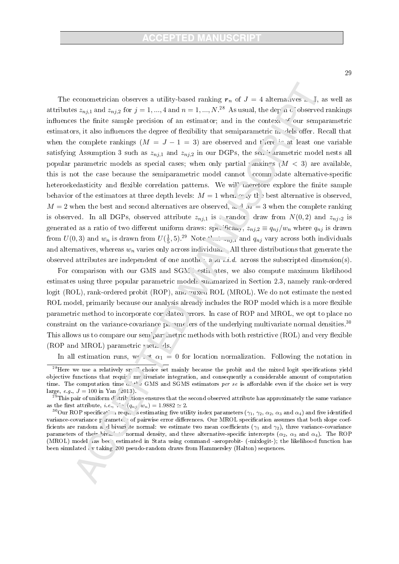29

The econometrician observes a utility-based ranking  $r_n$  of  $J = 4$  alternatives in J, as well as attributes  $z_{nj,1}$  and  $z_{nj,2}$  for  $j=1,...,4$  and  $n=1,...,N$ .<sup>28</sup> As usual, the depth of observed rankings influences the finite sample precision of an estimator; and in the context of our semparametric estimators, it also influences the degree of flexibility that semiparametric  $\mu$ , dels offer. Recall that when the complete rankings  $(M = J - 1 = 3)$  are observed and flere is at least one variable satisfying Assumption 3 such as  $z_{nj,1}$  and  $z_{nj,2}$  in our DGPs, the semitarily arametric model nests all popular parametric models as special cases; when only partial ankings ( $M < 3$ ) are available, this is not the case because the semiparametric model cannot commodate alternative-specific heteroekedasticity and flexible correlation patterns. We will therefore explore the finite sample behavior of the estimators at three depth levels:  $M = 1$  when  $\sim N$  the best alternative is observed,  $M = 2$  when the best and second alternatives are observed, and  $M = 3$  when the complete ranking is observed. In all DGPs, observed attribute  $z_{nj,1}$  is a random draw from  $N(0, 2)$  and  $z_{nj,2}$  is generated as a ratio of two different uniform draws: specifically,  $z_{nj,2} \equiv q_{nj}/w_n$  where  $q_{nj}$  is drawn from  $U(0,3)$  and  $w_n$  is drawn from  $U(\frac{1}{5},5)$ .<sup>29</sup> Note that  $z_{n,j,1}$  and  $q_{nj}$  vary across both individuals and alternatives, whereas  $w_n$  varies only across individual. All three distributions that generate the observed attributes are independent of one another  $a_i a_i i.d.$  across the subscripted dimension(s).

For comparison with our GMS and SGMS estimates, we also compute maximum likelihood estimates using three popular parametric models summarized in Section 2.3, namely rank-ordered logit (ROL), rank-ordered probit (ROP), and mixed ROL (MROL). We do not estimate the nested ROL model, primarily because our analysis already includes the ROP model which is a more flexible parametric method to incorporate correlated errors. In case of ROP and MROL, we opt to place no constraint on the variance-covariance  $p_{\alpha}$  and the underlying multivariate normal densities.<sup>30</sup> This allows us to compare our semiparametric methods with both restrictive  $(ROL)$  and very flexible  $(ROP and MROL) parametric *net*<sub>L</sub>  $ds$ .$ 

In all estimation runs, we set  $\alpha_1 = 0$  for location normalization. Following the notation in

<sup>&</sup>lt;sup>30</sup>Our ROP specification requires estimating five utility index parameters ( $\gamma_1$ ,  $\gamma_2$ ,  $\alpha_2$ ,  $\alpha_3$  and  $\alpha_4$ ) and five identified variance-covariance parameters of pairwise error differences. Our MROL specification assumes that both slope coefficients are random and bivariate normal: we estimate two mean coefficients  $(\gamma_1$  and  $\gamma_2)$ , three variance-covariance parameters of their bivariation normal density, and three alternative-specific intercepts ( $\alpha_2$ ,  $\alpha_3$  and  $\alpha_4$ ). The ROP (MROL) model has been estimated in Stata using command -asroprobit- (-mixlogit-); the likelihood function has been simulated v taking 200 pseudo-random draws from Hammersley (Halton) sequences.



 $28$ Here we use a relatively small choice set mainly because the probit and the mixed logit specifications yield objective functions that require multivariate integration, and consequently a considerable amount of computation time. The computation time  $\sigma$  the GMS and SGMS estimators per se is affordable even if the choice set is very large, e.g.,  $J = 100$  in Yan (2013).

 $^{29}{\rm This}$  pair of uniform  ${\rm d}$  stributions ensures that the second observed attribute has approximately the same variance as the first attribute, *i.e.*,  $\sqrt{q_{nj}}(w_n) = 1.9882 \approx 2$ .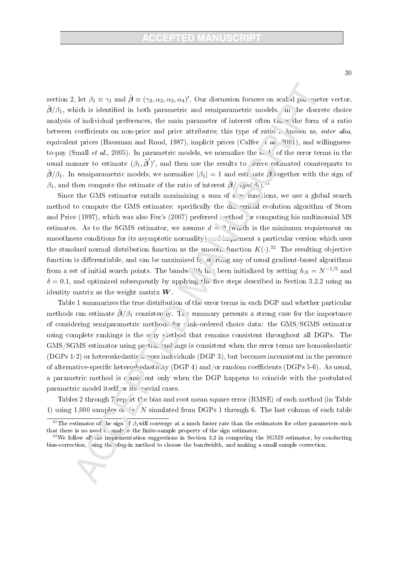section 2, let  $\beta_1 \equiv \gamma_1$  and  $\tilde{\boldsymbol{\beta}} \equiv (\gamma_2, \alpha_2, \alpha_3, \alpha_4)'$ . Our discussion focuses on scaled parameter vector,  $\tilde{\beta}/\beta_1$ , which is identified in both parametric and semiparametric models. In the discrete choice analysis of individual preferences, the main parameter of interest often ta.  $\sim$  the form of a ratio between coefficients on non-price and price attributes; this type of ratio  $\ldots$  known as, *inter alia*, equivalent prices (Hausman and Ruud, 1987), implicit prices (Calfee  $\ell$  al., 2001), and willingnessto-pay (Small *et al.*, 2005). In parametric models, we normalize the sc<sup>1</sup> of the error terms in the usual manner to estimate  $(\beta_1, \tilde{\beta}')'$ , and then use the results to derive estimated counterparts to  $\tilde{\beta}/\beta_1$ . In semiparametric models, we normalize  $|\beta_1|=1$  and estimate  $\tilde{\beta}$  together with the sign of  $\beta_1$ , and then compute the estimate of the ratio of interest  $\tilde{\boldsymbol{\beta}}/$  ign( $\beta_1$ ).<sup>31</sup>

Since the GMS estimator entails maximizing a sum of  $s \sim f$  functions, we use a global search method to compute the GMS estimates: specifically the  $dn$  rential evolution algorithm of Storn and Price (1997), which was also Fox's (2007) preferred method for computing his multinomial MS estimates. As to the SGMS estimator, we assume  $d = \gamma$  (w<sub>mch</sub> is the minimum requirement on smoothness conditions for its asymptotic normality)  $\ldots$  implement a particular version which uses the standard normal distribution function as the smoot. function  $K(\cdot)$ .<sup>32</sup> The resulting objective function is differentiable, and can be maximized by starting any of usual gradient-based algorithms from a set of initial search points. The bandwidth has been initialized by setting  $h_N = N^{-1/5}$  and  $\delta = 0.1$ , and optimized subsequently by applying the five steps described in Section 3.2.2 using an identity matrix as the weight matrix  $W$ .

Table 1 summarizes the true distribution of the error terms in each DGP and whether particular methods can estimate  $\beta/\beta_1$  consister ly. The summary presents a strong case for the importance of considering semiparametric methods for rank-ordered choice data: the GMS/SGMS estimator using complete rankings is the only method that remains consistent throughout all DGPs. The  $GMS/SGMS$  estimator using partial rankings is consistent when the error terms are homoskedastic (DGPs 1-2) or heteroskedastic  $\alpha$  ross individuals (DGP 3), but becomes inconsistent in the presence of alternative-specific heteroskedasticity (DGP 4) and/or random coefficients (DGPs 5-6). As usual, a parametric method is  $\epsilon$  onsistent only when the DGP happens to coincide with the postulated parametric model itself or its recial cases.

Tables 2 through 7 report the bias and root mean square error (RMSE) of each method (in Table 1) using 1,000 samples on  $\overline{z}$  N simulated from DGPs 1 through 6. The last column of each table



<sup>&</sup>lt;sup>31</sup>The estimator of the sign of  $\beta_1$  will converge at a much faster rate than the estimators for other parameters such that there is no need to analyze the finite-sample property of the sign estimator.

 $32$  We follow all the implementation suggestions in Section 3.2 in computing the SGMS estimator, by conducting bias-correction, using the plug-in method to choose the bandwidth, and making a small sample correction.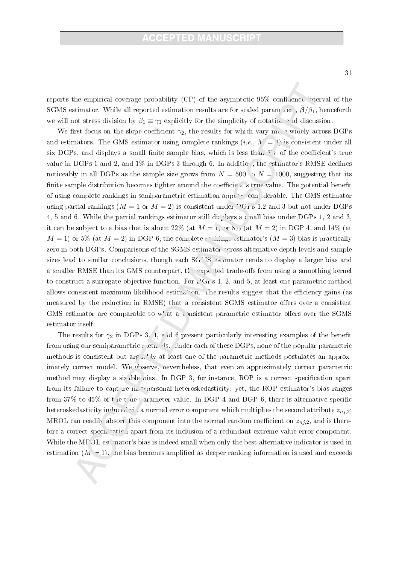reports the empirical coverage probability  $(CP)$  of the asymptotic 95% configurate interval of the SGMS estimator. While all reported estimation results are for scaled parameters,  $\tilde{\beta}/\beta_1$ , henceforth we will not stress division by  $\beta_1 \equiv \gamma_1$  explicitly for the simplicity of notation  $\gamma$  and discussion.

We first focus on the slope coefficient  $\gamma_2$ , the results for which vary more widely across DGPs and estimators. The GMS estimator using complete rankings  $(i.e., N = \mathcal{N})$  is consistent under all six DGPs, and displays a small finite sample bias, which is less than  $\sqrt[3]{\theta}$  of the coefficient's true value in DGPs 1 and 2, and  $1\%$  in DGPs 3 through 6. In addition, the estimator's RMSE declines noticeably in all DGPs as the sample size grows from  $N = 500$  of  $N = 1000$ , suggesting that its finite sample distribution becomes tighter around the coefficient strue value. The potential benefit of using complete rankings in semiparametric estimation appears considerable. The GMS estimator using partial rankings  $(M = 1 \text{ or } M = 2)$  is consistent under  $\Gamma$ Gr s 1,2 and 3 but not under DGPs 4, 5 and 6. While the partial rankings estimator still displays as mall bias under DGPs 1, 2 and 3. it can be subject to a bias that is about 22% (at  $M = 1$ ) or  $8\gamma_0$  (at  $M = 2$ ) in DGP 4, and 14% (at  $M = 1$ ) or 5% (at  $M = 2$ ) in DGP 6; the complete rankings estimator's  $(M = 3)$  bias is practically zero in both DGPs. Comparisons of the SGMS estimator across alternative depth levels and sample sizes lead to similar conclusions, though each  $SG$ . IS estimator tends to display a larger bias and a smaller RMSE than its GMS counterpart,  $t'$  expected trade-offs from using a smoothing kernel to construct a surrogate objective function. For  $\Gamma$ G<sub>1</sub> s 1, 2, and 5, at least one parametric method allows consistent maximum likelihood estimation. The results suggest that the efficiency gains (as measured by the reduction in RMSE) that a consistent SGMS estimator offers over a consistent GMS estimator are comparable to w'at a consistent parametric estimator offers over the SGMS estimator itself.

The results for  $\gamma_2$  in DGPs 3, 4, and 6 present particularly interesting examples of the benefit from using our semiparametric methods. Under each of these DGPs, none of the popular parametric methods is consistent but arguably at least one of the parametric methods postulates an approximately correct model. We observe, nevertheless, that even an approximately correct parametric method may display a sizable bias. In DGP 3, for instance, ROP is a correct specification apart from its failure to capture interpersonal heteroskedasticity; yet, the ROP estimator's bias ranges from 37% to 45% of  $f_{\text{def}}$  true  $f_{\text{parameter}}$  value. In DGP 4 and DGP 6, there is alternative-specific heteroskedasticity induced via a normal error component which multiplies the second attribute  $z_{ni,2}$ ; MROL can readily absort this component into the normal random coefficient on  $z_{nj,2}$ , and is therefore a correct special action apart from its inclusion of a redundant extreme value error component. While the MF OL est mator's bias is indeed small when only the best alternative indicator is used in estimation  $(M - 1)$ , he bias becomes amplified as deeper ranking information is used and exceeds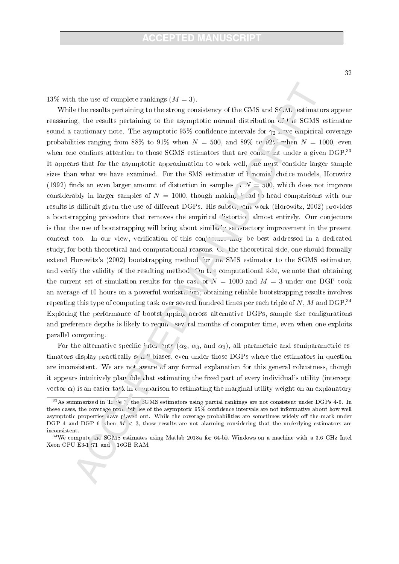13% with the use of complete rankings  $(M = 3)$ .

While the results pertaining to the strong consistency of the GMS and  $SCM<sub>s</sub>$  estimators appear reassuring, the results pertaining to the asymptotic normal distribution  $\alpha^*$  the SGMS estimator sound a cautionary note. The asymptotic 95% confidence intervals for  $\gamma_2$  have empirical coverage probabilities ranging from 88% to 91% when  $N = 500$ , and 89% to 92% when  $N = 1000$ , even when one confines attention to those SGMS estimators that are cons.  $\pm$  nt under a given DGP.<sup>33</sup> It appears that for the asymptotic approximation to work well, one must consider larger sample sizes than what we have examined. For the SMS estimator of  $\iota$  nomial choice models, Horowitz (1992) finds an even larger amount of distortion in samples  $\Lambda N = 500$ , which does not improve considerably in larger samples of  $N = 1000$ , though making  $\frac{1}{2}$  ad-to-head comparisons with our results is difficult given the use of different DGPs. His subsequent work (Horowitz, 2002) provides a bootstrapping procedure that removes the empirical distortional almost entirely. Our conjecture is that the use of bootstrapping will bring about similarly satisfactory improvement in the present context too. In our view, verification of this conjecture may be best addressed in a dedicated study, for both theoretical and computational reasons.  $\cup$  the theoretical side, one should formally extend Horowitz's (2002) bootstrapping method for the SMS estimator to the SGMS estimator, and verify the validity of the resulting method. On the computational side, we note that obtaining the current set of simulation results for the case of  $N = 1000$  and  $M = 3$  under one DGP took an average of 10 hours on a powerful workstation; obtaining reliable bootstrapping results involves repeating this type of computing task over several hundred times per each triple of  $N$ ,  $M$  and DGP.<sup>34</sup> Exploring the performance of bootstrapping across alternative DGPs, sample size configurations and preference depths is likely to require several months of computer time, even when one exploits parallel computing.

For the alternative-specific intercepts ( $\alpha_2$ ,  $\alpha_3$ , and  $\alpha_3$ ), all parametric and semiparametric estimators display practically small biases, even under those DGPs where the estimators in question are inconsistent. We are not aware of any formal explanation for this general robustness, though it appears intuitively play ible that estimating the fixed part of every individual's utility (intercept vector  $\alpha$ ) is an easier task in comparison to estimating the marginal utility weight on an explanatory

<sup>&</sup>lt;sup>33</sup>As summarized in Table <sup>1</sup>, the SGMS estimators using partial rankings are not consistent under DGPs 4-6. In these cases, the coverage probabilities of the asymptotic 95% confidence intervals are not informative about how well asymptotic properties nave played out. While the coverage probabilities are sometimes widely off the mark under DGP 4 and DGP 6 when  $M < 3$ , those results are not alarming considering that the underlying estimators are inconsistent.

 $34$ We compute the SGMS estimates using Matlab 2018a for 64-bit Windows on a machine with a 3.6 GHz Intel Xeon CPU E3-1 '71 and a 16GB RAM.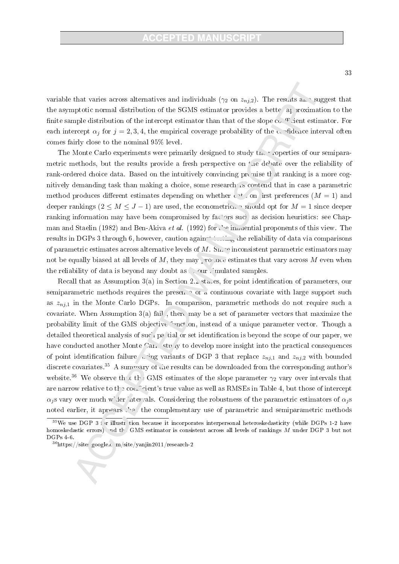variable that varies across alternatives and individuals ( $\gamma_2$  on  $z_{ni,2}$ ). The results also suggest that the asymptotic normal distribution of the SGMS estimator provides a better approximation to the finite sample distribution of the intercept estimator than that of the slope  $c_0$ .  $\mathfrak{F}$  cient estimator. For each intercept  $\alpha_j$  for  $j = 2, 3, 4$ , the empirical coverage probability of the condense interval often comes fairly close to the nominal 95% level.

The Monte Carlo experiments were primarily designed to study the properties of our semiparametric methods, but the results provide a fresh perspective on  $\Delta$  debate over the reliability of rank-ordered choice data. Based on the intuitively convincing premise that ranking is a more cognitively demanding task than making a choice, some research is contend that in case a parametric method produces different estimates depending on whether  $d^*$  on irst preferences  $(M = 1)$  and deeper rankings  $(2 \leq M \leq J - 1)$  are used, the econometrician should opt for  $M = 1$  since deeper ranking information may have been compromised by factors such as decision heuristics: see Chapman and Staelin (1982) and Ben-Akiva et al. (1992) for the innuential proponents of this view. The results in DGPs 3 through 6, however, caution against testing the reliability of data via comparisons of parametric estimates across alternative levels of M. S<sub>1</sub>,  $\sim$  inconsistent parametric estimators may not be equally biased at all levels of  $M$ , they may produce estimates that vary across  $M$  even when the reliability of data is beyond any doubt as  $\sim$  our simulated samples.

Recall that as Assumption  $3(a)$  in Section 2.2 states, for point identification of parameters, our semiparametric methods requires the presence of a continuous covariate with large support such as  $z_{nj,1}$  in the Monte Carlo DGPs. In comparison, parametric methods do not require such a covariate. When Assumption  $3(a)$  fail, there may be a set of parameter vectors that maximize the probability limit of the GMS objective  $\hat{\ }$  net on, instead of a unique parameter vector. Though a detailed theoretical analysis of such partial or set identification is beyond the scope of our paper, we have conducted another Monte Carlo study to develop more insight into the practical consequences of point identification failure, using variants of DGP 3 that replace  $z_{nj,1}$  and  $z_{nj,2}$  with bounded discrete covariates.<sup>35</sup> A summary of the results can be downloaded from the corresponding author's website.<sup>36</sup> We observe that the GMS estimates of the slope parameter  $\gamma_2$  vary over intervals that are narrow relative to the coefficient's true value as well as RMSEs in Table 4, but those of intercept  $\alpha_j$ s vary over much wider intervals. Considering the robustness of the parametric estimators of  $\alpha_j$ s noted earlier, it appears that the complementary use of parametric and semiparametric methods

<sup>&</sup>lt;sup>35</sup>We use DGP 3  $\mu$  illustration because it incorporates interpersonal heteroskedasticity (while DGPs 1-2 have homoskedastic errors) and the GMS estimator is consistent across all levels of rankings M under DGP 3 but not DGPs 4-6.

 $36$ https://sitegoogle.com/site/yanjin2011/research-2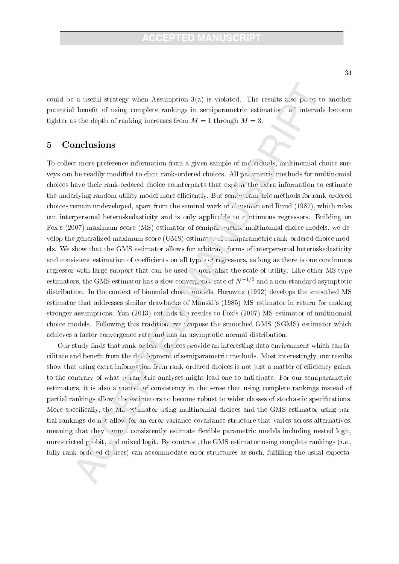could be a useful strategy when Assumption  $3(a)$  is violated. The results also point to another potential benefit of using complete rankings in semiparametric estimation, a intervals become tighter as the depth of ranking increases from  $M = 1$  through  $M = 3$ .

# 5 Conclusions

To collect more preference information from a given sample of  $\text{inc'}$  viduals, multinomial choice surveys can be readily modified to elicit rank-ordered choices. All parametric methods for multinomial choices have their rank-ordered choice counterparts that  $\exp[\lambda]$  the extra information to estimate the underlying random utility model more efficiently. But semiparametric methods for rank-ordered choices remain undeveloped, apart from the seminal work of  $\mathbf{L}$  using and Ruud (1987), which rules out interpersonal heteroskedasticity and is only applicable to continuous regressors. Building on Fox's (2007) maximum score (MS) estimator of semiparametric multinomial choice models, we develop the generalized maximum score (GMS) estimator of semiparametric rank-ordered choice models. We show that the GMS estimator allows for arbitrar<sub>y</sub> forms of interpersonal heteroskedasticity and consistent estimation of coefficients on all types of regressors, as long as there is one continuous regressor with large support that can be used normalize the scale of utility. Like other MS-type estimators, the GMS estimator has a slow convergence rate of  $N^{-1/3}$  and a non-standard asymptotic distribution. In the context of binomial choice models, Horowitz (1992) develops the smoothed MS estimator that addresses similar drawbacks of Manski's (1985) MS estimator in return for making stronger assumptions. Yan (2013) extends to results to Fox's (2007) MS estimator of multinomial choice models. Following this tradition, we propose the smoothed GMS (SGMS) estimator which achieves a faster convergence rate and has an asymptotic normal distribution.

Our study finds that rank-ordered choices provide an interesting data environment which can facilitate and benefit from the development of semiparametric methods. Most interestingly, our results show that using extra information from rank-ordered choices is not just a matter of efficiency gains, to the contrary of what  $p$  ran stric analyses might lead one to anticipate. For our semiparametric estimators, it is also a natter of consistency in the sense that using complete rankings instead of partial rankings allow the estimators to become robust to wider classes of stochastic specifications. More specifically, the  $M_{\nu}$  os imator using multinomial choices and the GMS estimator using partial rankings do n<sup>t</sup> allow for an error variance-covariance structure that varies across alternatives, meaning that they cannot consistently estimate flexible parametric models including nested logit, unrestricted  $\gamma$  obit, and mixed logit. By contrast, the GMS estimator using complete rankings (*i.e.*, fully rank-ordered choices) can accommodate error structures as such, fulfilling the usual expecta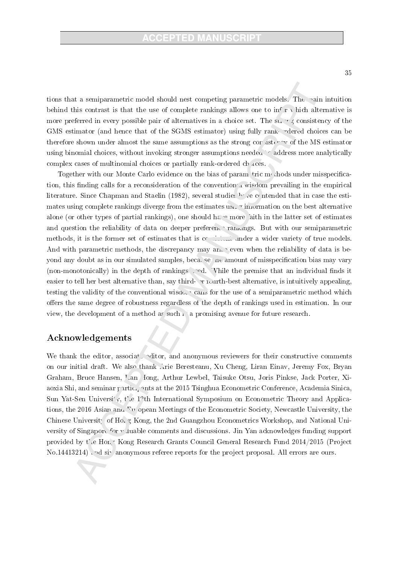tions that a semiparametric model should nest competing parametric models. The main intuition behind this contrast is that the use of complete rankings allows one to infer  $\lambda$  hich alternative is more preferred in every possible pair of alternatives in a choice set. The straig consistency of the GMS estimator (and hence that of the SGMS estimator) using fully rank-redered choices can be therefore shown under almost the same assumptions as the strong corsistency of the MS estimator using binomial choices, without invoking stronger assumptions needed  $\sim$  address more analytically complex cases of multinomial choices or partially rank-ordered choices.

Together with our Monte Carlo evidence on the bias of parametric methods under misspecification, this finding calls for a reconsideration of the convention  $\mu$  wisdom prevailing in the empirical literature. Since Chapman and Staelin (1982), several studies  $\mathbf{v}$  we contended that in case the estimates using complete rankings diverge from the estimates using information on the best alternative alone (or other types of partial rankings), one should have more jaith in the latter set of estimates and question the reliability of data on deeper preference rankings. But with our semiparametric methods, it is the former set of estimates that is consistent under a wider variety of true models. And with parametric methods, the discrepancy may  $ar<sub>l</sub>$  even when the reliability of data is beyond any doubt as in our simulated samples, because the amount of misspecification bias may vary (non-monotonically) in the depth of rankings red. While the premise that an individual finds it easier to tell her best alternative than, say third-  $\mathbf r$  murth-best alternative, is intuitively appealing, testing the validity of the conventional wisdom calls for the use of a semiparametric method which offers the same degree of robustness regardless of the depth of rankings used in estimation. In our view, the development of a method as such  $\overline{I}$  a promising avenue for future research.

# Acknowledgements

We thank the editor, associated editor, and anonymous reviewers for their constructive comments on our initial draft. We also thank Arie Beresteanu, Xu Cheng, Liran Einav, Jeremy Fox, Bryan Graham, Bruce Hansen, Han Hong, Arthur Lewbel, Taisuke Otsu, Joris Pinkse, Jack Porter, Xiaoxia Shi, and seminar participants at the 2015 Tsinghua Econometric Conference, Academia Sinica, Sun Yat-Sen University, the 12th International Symposium on Econometric Theory and Applications, the 2016 Asian and  $\overline{P}v$  opean Meetings of the Econometric Society, Newcastle University, the Chinese University of Ho. g Kong, the 2nd Guangzhou Econometrics Workshop, and National University of Singapore  $\epsilon$  or valuable comments and discussions. Jin Yan acknowledges funding support provided by the Hong Kong Research Grants Council General Research Fund 2014/2015 (Project  $No.14413214$ ) and six anonymous referee reports for the project proposal. All errors are ours.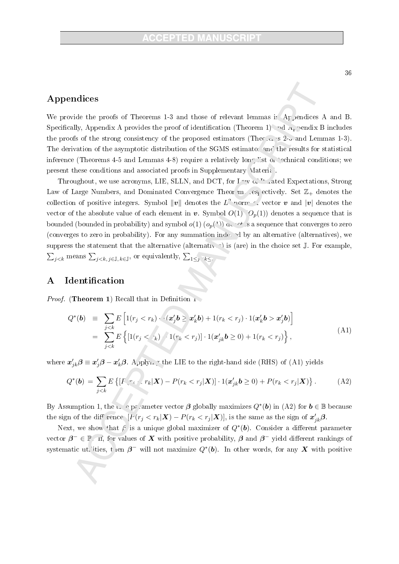# Appendices

We provide the proofs of Theorems 1-3 and those of relevant lemmas in Appendices A and B. Specifically, Appendix A provides the proof of identification (Theorem 1) and Appendix B includes the proofs of the strong consistency of the proposed estimators (Theorems 2-3 and Lemmas 1-3). The derivation of the asymptotic distribution of the SGMS estimator and the results for statistical inference (Theorems 4-5 and Lemmas 4-8) require a relatively long list of rechnical conditions; we present these conditions and associated proofs in Supplementary Material.

Throughout, we use acronyms, LIE, SLLN, and DCT, for  $I \sim v$  of  $I \sim$  rated Expectations, Strong Law of Large Numbers, and Dominated Convergence Theorem, respectively. Set  $\mathbb{Z}_+$  denotes the collection of positive integers. Symbol  $\|v\|$  denotes the  $L^2$  norm  $\mathscr{O}_\epsilon$  vector  $v$  and  $|v|$  denotes the vector of the absolute value of each element in v. Symbol  $O(1)$   $O_p(1)$  denotes a sequence that is bounded (bounded in probability) and symbol  $o(1)$  ( $o_p(1)$ ) and  $\cdots$  is a sequence that converges to zero (converges to zero in probability). For any summation index  $\cdot$  by an alternative (alternatives), we suppress the statement that the alternative (alternatives) is (are) in the choice set  $\mathbb{J}$ . For example,  $\sum_{j < k}$  means  $\sum_{j < k, j \in \mathbb{J}, k \in \mathbb{J}}$ , or equivalently,  $\sum_{1 \leq j \leq k \leq J}$ 

## A Identification

*Proof.* (Theorem 1) Recall that in Definition  $\Gamma$ 

$$
Q^*(\boldsymbol{b}) = \sum_{j < k} E\left[1(r_j < r_k) \cdot (x_j' \boldsymbol{b} \ge x_k' \boldsymbol{b}) + 1(r_k < r_j) \cdot 1(x_k' \boldsymbol{b} > x_j' \boldsymbol{b})\right]
$$
\n
$$
= \sum_{j < k} E\left\{[1(r_j < r_k) \cdot 1(r_k < r_j)] \cdot 1(x_j' \boldsymbol{b} \ge 0) + 1(r_k < r_j)\right\},\tag{A1}
$$

where  $x'_{jk}\beta \equiv x'_j\beta - x'_k\beta$ . Applyng the LIE to the right-hand side (RHS) of (A1) yields

$$
Q^*(\boldsymbol{b}) = \sum_{j < k} E\left\{ [F_{\mathbf{v}_j}, F_k | \mathbf{X}) - P(r_k < r_j | \mathbf{X}) \right\} \cdot 1(\mathbf{x}'_{jk} \mathbf{b} \ge 0) + P(r_k < r_j | \mathbf{X}) \right\}.
$$
 (A2)

By Assumption 1, the  $\iota$  e parameter vector  $\boldsymbol{\beta}$  globally maximizes  $Q^*(b)$  in (A2) for  $b \in \mathbb{B}$  because the sign of the difference,  $[P(r_j < r_k| \bm{X}) - P(r_k < r_j| \bm{X})]$ , is the same as the sign of  $\bm{x}'_{jk}\bm{\beta}$ .

Next, we show that  $\beta$  is a unique global maximizer of  $Q^*(b)$ . Consider a different parameter vector  $\beta^- \in \mathbb{P}$ . If, for values of  $X$  with positive probability,  $\beta$  and  $\beta^-$  yield different rankings of systematic utlities, then  $\beta^-$  will not maximize  $Q^*(b)$ . In other words, for any X with positive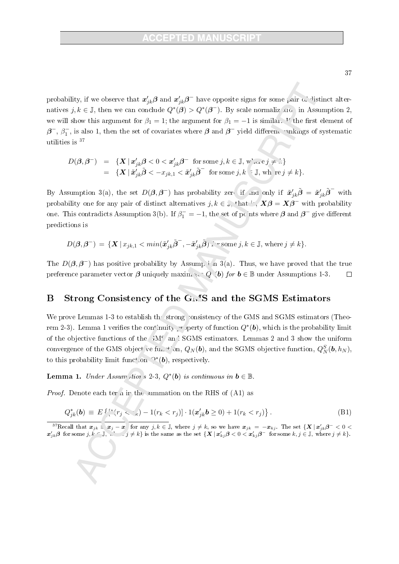probability, if we observe that  $x'_{jk}\beta$  and  $x'_{jk}\beta^-$  have opposite signs for some pair of distinct alternatives  $j, k \in \mathbb{J}$ , then we can conclude  $Q^*(\boldsymbol{\beta}) > Q^*(\boldsymbol{\beta}^-)$ . By scale normalization in Assumption 2, we will show this argument for  $\beta_1 = 1$ ; the argument for  $\beta_1 = -1$  is similar. <sup>If</sup> the first element of  $\bm{\beta}^-,\ \beta_1^-,$  is also 1, then the set of covariates where  $\bm{\beta}$  and  $\bm{\beta}^-$  yield different rankings of systematic utilities is <sup>37</sup>

$$
D(\boldsymbol{\beta},\boldsymbol{\beta}^-) = \{ \boldsymbol{X} \mid \boldsymbol{x}'_{jk}\boldsymbol{\beta} < 0 < \boldsymbol{x}'_{jk}\boldsymbol{\beta}^- \text{ for some } j,k \in \mathbb{J}, \text{ where } j \neq k \} \\ = \{ \boldsymbol{X} \mid \tilde{\boldsymbol{x}}'_{jk}\tilde{\boldsymbol{\beta}} < -x_{jk,1} < \tilde{\boldsymbol{x}}'_{jk}\tilde{\boldsymbol{\beta}}^- \text{ for some } j,k = \mathbb{J}, \text{ wh } \text{re } j \neq k \}.
$$

By Assumption 3(a), the set  $D(\beta, \beta^-)$  has probability zero if and only if  $\tilde{x}'_{jk}\tilde{\beta} = \tilde{x}'_{jk}\tilde{\beta}^-$  with probability one for any pair of distinct alternatives  $j, k \in \mathbb{Z}$ , that  $\cdot, X\beta = X\beta^-$  with probability one. This contradicts Assumption 3(b). If  $\beta_1^-=-1$ , the set of p $\epsilon$  nts where  $\boldsymbol{\beta}$  and  $\boldsymbol{\beta}^-$  give different predictions is

$$
D(\boldsymbol{\beta},\boldsymbol{\beta}^-) \,=\, \{\boldsymbol{X} \,\vert\, x_{jk,1} < min(\tilde{\boldsymbol{x}}'_{jk}\tilde{\boldsymbol{\beta}}^-,-\tilde{\boldsymbol{x}}'_{jk}\tilde{\boldsymbol{\beta}})\in\text{some } j,k\in\mathbb{J}, \,\text{where } j\neq k\}.
$$

The  $D(\beta, \beta^{-})$  has positive probability by Assump i n 3(a). Thus, we have proved that the true preference parameter vector  $\boldsymbol{\beta}$  uniquely maximizes Q  $\langle \boldsymbol{b} \rangle$  for  $\boldsymbol{b} \in \mathbb{B}$  under Assumptions 1-3.  $\Box$ 

# B Strong Consistency of the G<sub>M</sub>S and the SGMS Estimators

We prove Lemmas 1-3 to establish the strong consistency of the GMS and SGMS estimators (Theorem 2-3). Lemma 1 verifies the con'.nuity perty of function  $Q^*(\bm{b}),$  which is the probability limit of the objective functions of the  $AM\sqrt{an}$  SGMS estimators. Lemmas 2 and 3 show the uniform convergence of the GMS objective function,  $Q_N(\bm{b})$ , and the SGMS objective function,  $Q_N^S(\bm{b},h_N),$ to this probability limit function  $Q^*(b)$ , respectively.

**Lemma 1.** Under Assum itions 2-3,  $Q^*(b)$  is continuous in  $b \in \mathbb{B}$ .

*Proof.* Denote each term in the summation on the RHS of  $(A1)$  as

$$
Q_{jk}^*(\boldsymbol{b}) \equiv E \left\{ \begin{array}{ll} r_{1}(r_j < r_j) - 1(r_k < r_j) \end{array} \right\} \cdot 1(\boldsymbol{x}_{jk}' \boldsymbol{b} \ge 0) + 1(r_k < r_j) \right\}. \tag{B1}
$$

<sup>37</sup>Recall that  $\bm{x}_{jk} \in \bm{x}_j - \bm{x}$  for any  $j, k \in \mathbb{J}$ , where  $j \neq k$ , so we have  $\bm{x}_{jk} = -\bm{x}_{kj}$ . The set  $\{\bm{X} \, | \, \bm{x}'_{jk} \bm{\beta}^{-} < 0 < \bm{x}_{jk} \}$  $\pmb{x}'_{jk}\pmb{\beta} \ \ \text{for some} \ j,k \in \mathbb{J}, \ \text{where} \ j \neq k \} \ \text{is the same as the set} \ \{ \pmb{X} \ | \ \pmb{x}'_{kj}\pmb{\beta} < 0 < \pmb{x}'_{kj}\pmb{\beta}^{-} \ \ \text{for some} \ k,j \in \mathbb{J}, \ \text{where} \ j \neq k \}.$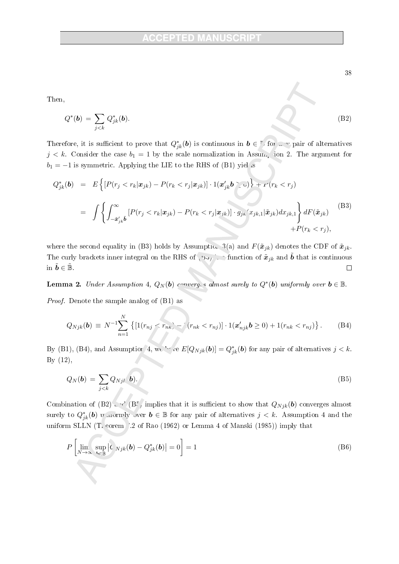Then,

$$
Q^*(\boldsymbol{b}) = \sum_{j < k} Q^*_{jk}(\boldsymbol{b}).\tag{B2}
$$

Therefore, it is sufficient to prove that  $Q_{jk}^*(b)$  is continuous in  $b \in \mathbb{F}$  for any pair of alternatives  $j < k$ . Consider the case  $b_1 = 1$  by the scale normalization in Assum, ion 2. The argument for  $b_1 = -1$  is symmetric. Applying the LIE to the RHS of (B1) yiel is

$$
Q_{jk}^*(\boldsymbol{b}) = E\left\{ [P(r_j < r_k|\boldsymbol{x}_{jk}) - P(r_k < r_j|\boldsymbol{x}_{jk})] \cdot 1(\boldsymbol{x}_{jk}^{\prime}\boldsymbol{b} \geq \mathbf{0}) \right\} + P(r_k < r_j)
$$
\n
$$
= \int \left\{ \int_{-\tilde{\boldsymbol{x}}_{jk}^{\prime}\tilde{\boldsymbol{b}}}^{\infty} \left[ P(r_j < r_k|\boldsymbol{x}_{jk}) - P(r_k < r_j|\boldsymbol{x}_{jk}) \right] \cdot g_{jk}^{\prime}(\boldsymbol{x}_{jk,1}|\tilde{\boldsymbol{x}}_{jk}) d\boldsymbol{x}_{jk,1} \right\} dF(\tilde{\boldsymbol{x}}_{jk}) + P(r_k < r_j), \tag{B3}
$$

where the second equality in (B3) holds by Assumption 3(a) and  $F(\tilde{x}_{jk})$  denotes the CDF of  $\tilde{x}_{jk}$ . The curly brackets inner integral on the RHS of  $(3)$  is a function of  $\tilde{x}_{jk}$  and  $\tilde{b}$  that is continuous in  $\tilde{\boldsymbol{b}} \in \tilde{\mathbb{B}}$ .  $\Box$ 

**Lemma 2.** Under Assumption 4,  $Q_N(b)$  converges almost surely to  $Q^*(b)$  uniformly over  $b \in \mathbb{B}$ .

Proof. Denote the sample analog of (B1) as

$$
Q_{Njk}(\boldsymbol{b}) \equiv N^{-1} \sum_{n=1}^{N} \left\{ \left[ 1(r_{nj} < r_{nk}) - \left( r_{nk} < r_{nj} \right) \right] \cdot 1(\boldsymbol{x}_{njk}' \boldsymbol{b} \ge 0) + 1(r_{nk} < r_{nj}) \right\}.
$$
 (B4)

By (B1), (B4), and Assumption 4, we have  $E[Q_{Njk}(\boldsymbol{b})] = Q_{jk}^*(\boldsymbol{b})$  for any pair of alternatives  $j < k$ . By (12),

$$
Q_N(\boldsymbol{b}) = \sum_{j < k} Q_{Nj\ell} \, \boldsymbol{b}).\tag{B5}
$$

Combination of (B2) and (B5) implies that it is sufficient to show that  $Q_{Njk}(\boldsymbol{b})$  converges almost surely to  $Q_{jk}^*(\bm{b})$  v inormly over  $\bm{b} \in \mathbb{B}$  for any pair of alternatives  $j < k$ . Assumption 4 and the uniform SLLN (T. eorem 7.2 of Rao (1962) or Lemma 4 of Manski (1985)) imply that

$$
P\left[\lim_{N\to\infty}\sup_{\mathbf{t}_{\text{in}}\in\mathbb{B}}\left|\mathbf{t}_{Njk}(\mathbf{b})-Q_{jk}^*(\mathbf{b})\right|=0\right]=1
$$
\n(B6)

38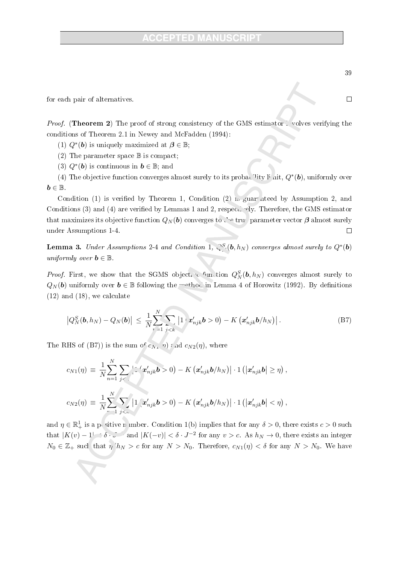for each pair of alternatives.

*Proof.* (Theorem 2) The proof of strong consistency of the GMS estimator involves verifying the conditions of Theorem 2.1 in Newey and McFadden (1994):

(1)  $Q^*(b)$  is uniquely maximized at  $\beta \in \mathbb{B}$ ;

(2) The parameter space  $\mathbb B$  is compact;

(3)  $Q^*(\boldsymbol{b})$  is continuous in  $\boldsymbol{b} \in \mathbb{B}$ ; and

(4) The objective function converges almost surely to its probability limit,  $Q^*(b)$ , uniformly over  $b \in \mathbb{B}$ .

Condition (1) is verified by Theorem 1, Condition (2) is guar need by Assumption 2, and Conditions (3) and (4) are verified by Lemmas 1 and 2, respectively. Therefore, the GMS estimator that maximizes its objective function  $Q_N(b)$  converges to the true parameter vector  $\beta$  almost surely under Assumptions 1-4.  $\Box$ 

**Lemma 3.** Under Assumptions 2-4 and Condition 1,  $Q^S(\bm{b}, h_N)$  converges almost surely to  $Q^*(\bm{b})$ uniformly over  $\mathbf{b} \in \mathbb{B}$ .

*Proof.* First, we show that the SGMS objective function  $Q_N^S(\boldsymbol{b}, h_N)$  converges almost surely to  $Q_N(b)$  uniformly over  $b \in \mathbb{B}$  following the method in Lemma 4 of Horowitz (1992). By definitions (12) and (18), we calculate

$$
\left|Q_N^S(\boldsymbol{b},h_N) - Q_N(\boldsymbol{b})\right| \leq \frac{1}{N} \sum_{j=1}^N \sum_{j < k} \left|1 \right| \boldsymbol{x}_{njk}' \boldsymbol{b} > 0 - K\left(\boldsymbol{x}_{njk}' \boldsymbol{b}/h_N\right)\right|.
$$
\n(B7)

The RHS of (B7)) is the sum of  $c_{N_1}(\eta)$  and  $c_{N_2}(\eta)$ , where

$$
c_{N1}(\eta) \equiv \frac{1}{N} \sum_{n=1}^{N} \sum_{j < \lambda} \left| \mathcal{L} \left( \boldsymbol{x}_{njk}^{\prime} \boldsymbol{b} > 0 \right) - K \left( \boldsymbol{x}_{njk}^{\prime} \boldsymbol{b} / h_N \right) \right| \cdot 1 \left( \left| \boldsymbol{x}_{njk}^{\prime} \boldsymbol{b} \right| \geq \eta \right),
$$
\n
$$
c_{N2}(\eta) \equiv \frac{1}{N} \sum_{n=1}^{N} \sum_{j < \lambda} \left| 1 \left( \boldsymbol{x}_{njk}^{\prime} \boldsymbol{b} > 0 \right) - K \left( \boldsymbol{x}_{njk}^{\prime} \boldsymbol{b} / h_N \right) \right| \cdot 1 \left( \left| \boldsymbol{x}_{njk}^{\prime} \boldsymbol{b} \right| < \eta \right),
$$

and  $\eta \in \mathbb{R}^1_+$  is a positive rumber. Condition 1(b) implies that for any  $\delta > 0$ , there exists  $c > 0$  such that  $|K(v) - 1| = \delta \cdot \mathcal{F}$  and  $|K(-v)| < \delta \cdot J^{-2}$  for any  $v > c$ . As  $h_N \to 0$ , there exists an integer  $N_0 \in \mathbb{Z}_+$  such that  $\eta' h_N > c$  for any  $N > N_0$ . Therefore,  $c_{N1}(\eta) < \delta$  for any  $N > N_0$ . We have

39

 $\Box$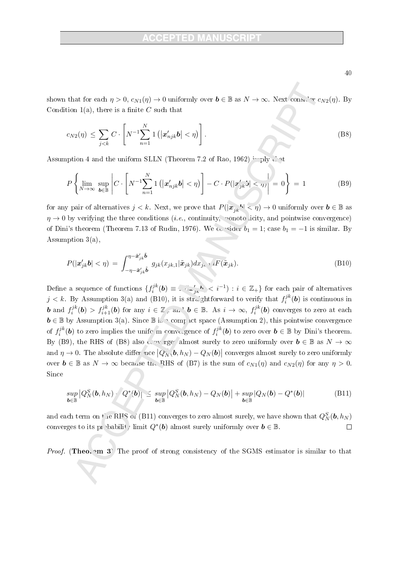shown that for each  $\eta > 0$ ,  $c_{N1}(\eta) \to 0$  uniformly over  $\mathbf{b} \in \mathbb{B}$  as  $N \to \infty$ . Next consider  $c_{N2}(\eta)$ . By Condition 1(a), there is a finite  $C$  such that

$$
c_{N2}(\eta) \le \sum_{j < k} C \cdot \left[ N^{-1} \sum_{n=1}^{N} \mathbb{1} \left( |\boldsymbol{x}'_{njk} \boldsymbol{b}| < \eta \right) \right]. \tag{B8}
$$

Assumption 4 and the uniform SLLN (Theorem 7.2 of Rao, 1962) imply that

$$
P\left\{\lim_{N\to\infty}\sup_{\boldsymbol{b}\in\mathbb{B}}\left|C\cdot\left[N^{-1}\sum_{n=1}^N\mathbb{1}\left(\left|\boldsymbol{x}'_{njk}\boldsymbol{b}\right|<\eta\right)\right]-C\cdot P(\left|\boldsymbol{x}'_{jk}\boldsymbol{b}\right|<\eta\right)\right|=0\right\}=1
$$
(B9)

for any pair of alternatives  $j < k$ . Next, we prove that  $P(|x_{jk}^{\bullet, \bullet}| < \eta) \to 0$  uniformly over  $\bm{b} \in \mathbb{B}$  as  $\eta \to 0$  by verifying the three conditions (*i.e.*, continuity, monoto icity, and pointwise convergence) of Dini's theorem (Theorem 7.13 of Rudin, 1976). We consider  $b_1 = 1$ ; case  $b_1 = -1$  is similar. By Assumption 3(a),

$$
P(|\mathbf{x}'_{jk}\mathbf{b}| < \eta) = \int_{-\eta - \tilde{\mathbf{x}}'_{jk}\tilde{\mathbf{b}}}^{\eta - \tilde{\mathbf{x}}'_{jk}\tilde{\mathbf{b}}} g_{jk}(x_{jk,1}|\tilde{\mathbf{x}}_{jk}) dx_{jk} \cdot \iota F(\tilde{\mathbf{x}}_{jk}).
$$
\n(B10)

Define a sequence of functions  $\{f_i^{jk}\}$ i (b) ≡ P(|x 0 jkb<sup>|</sup> < i−<sup>1</sup> ) : i ∈ Z+} for each pair of alternatives  $j < k$ . By Assumption 3(a) and (B10), it is straightforward to verify that  $f_i^{jk}$  $e^{i\pi}_{i}(\boldsymbol{b})$  is continuous in  $\bm{b}$  and  $f^{jk}_i$  $j^j k(\boldsymbol{b}) > f^{jk}_{i+1}(\boldsymbol{b})$  for any  $i \in \mathbb{Z}_{\geq 0}$  and  $\boldsymbol{b} \in \mathbb{B}$ . As  $i \to \infty$ ,  $f^{jk}_i$  $\mathcal{C}^{\jmath\kappa}_i(\boldsymbol{b})$  converges to zero at each  $\mathbf{b} \in \mathbb{B}$  by Assumption 3(a). Since  $\mathbb{B}$  is  $\infty$  compact space (Assumption 2), this pointwise convergence of  $f_i^{jk}$  $i^{jk}(\boldsymbol{b})$  to zero implies the uniform convergence of  $f^{jk}_i$  $i^{j k}(\boldsymbol{b})$  to zero over  $\boldsymbol{b} \in \mathbb{B}$  by Dini's theorem. By (B9), the RHS of (B8) also converges almost surely to zero uniformly over  $\mathbf{b} \in \mathbb{B}$  as  $N \to \infty$ and  $\eta \to 0$ . The absolute differ nce  $\left|Q_N^{\sim}(\bm{b},h_N)-Q_N(\bm{b})\right|$  converges almost surely to zero uniformly over  $\mathbf{b} \in \mathbb{B}$  as  $N \to \infty$  because the RHS of (B7) is the sum of  $c_{N1}(\eta)$  and  $c_{N2}(\eta)$  for any  $\eta > 0$ . Since

$$
\sup_{\boldsymbol{b}\in\mathbb{B}} |Q_N^S(\boldsymbol{b},h_N) - Q^*(\boldsymbol{b})| \leq \sup_{\boldsymbol{b}\in\mathbb{B}} |Q_N^S(\boldsymbol{b},h_N) - Q_N(\boldsymbol{b})| + \sup_{\boldsymbol{b}\in\mathbb{B}} |Q_N(\boldsymbol{b}) - Q^*(\boldsymbol{b})|
$$
(B11)

and each term on the RHS of (B11) converges to zero almost surely, we have shown that  $Q_N^S(\bm{b},h_N)$ converges to its probability limit  $Q^*(b)$  almost surely uniformly over  $b \in \mathbb{B}$ .  $\Box$ 

Proof. (Theorem 3) The proof of strong consistency of the SGMS estimator is similar to that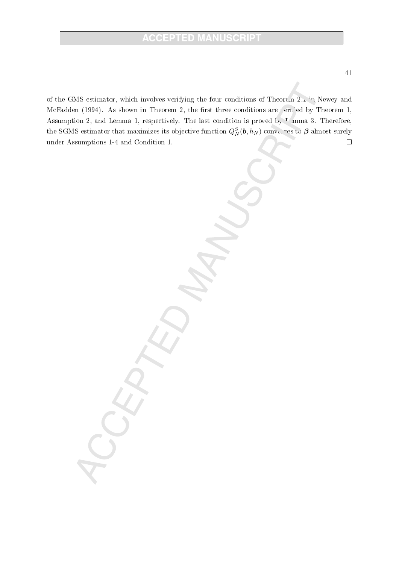41

of the GMS estimator, which involves verifying the four conditions of Theorem 2.1 in Newey and McFadden (1994). As shown in Theorem 2, the first three conditions are  $\rho$ eried by Theorem 1, Assumption 2, and Lemma 1, respectively. The last condition is proved by  $\tau$  mma 3. Therefore, the SGMS estimator that maximizes its objective function  $Q_N^S(\bm{b},h_N)$  converges to  $\bm{\beta}$  almost surely under Assumptions 1-4 and Condition 1. $\Box$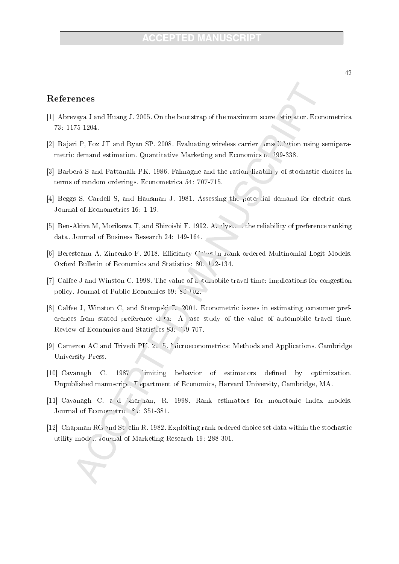## References

- [1] Abrevaya J and Huang J. 2005. On the bootstrap of the maximum score estimator. Econometrica 73: 1175-1204.
- [2] Bajari P, Fox JT and Ryan SP. 2008. Evaluating wireless carrier onseling trion using semiparametric demand estimation. Quantitative Marketing and Economics v. 299-338.
- [3] Barberá S and Pattanaik PK. 1986. Falmagne and the ration lizability of stochastic choices in terms of random orderings. Econometrica 54: 707-715.
- [4] Beggs S, Cardell S, and Hausman J. 1981. Assessing the poter ial demand for electric cars. Journal of Econometrics 16: 1-19.
- [5] Ben-Akiva M, Morikawa T, and Shiroishi F. 1992. Analysis of the reliability of preference ranking data. Journal of Business Research 24: 149-164.
- [6] Beresteanu A, Zincenko F. 2018. Efficiency  $C^{-1}$  in Rank-ordered Multinomial Logit Models. Oxford Bulletin of Economics and Statistics: 80: 122-134.
- [7] Calfee J and Winston C. 1998. The value of a tomobile travel time: implications for congestion policy. Journal of Public Economics  $69: 83.102$ .
- [8] Calfee J, Winston C, and Stempski  $\bar{x}$ , 2001. Econometric issues in estimating consumer preferences from stated preference  $d^2 a$ : A case study of the value of automobile travel time. Review of Economics and Statistics  $83: ^{6}$ ,  $9-707$ .
- [9] Cameron AC and Trivedi PL. 2005. Microeconometrics: Methods and Applications. Cambridge University Press.
- [10] Cavanagh C. 1987. Limiting behavior of estimators dened by optimization. Unpublished manuscript,  $\Gamma$  epartment of Economics, Harvard University, Cambridge, MA.
- [11] Cavanagh C. and Sherman, R. 1998. Rank estimators for monotonic index models. Journal of Economitric,  $\sqrt{\epsilon}$ <sub>1</sub>: 351-381.
- [12] Chapman RG and Steelin R. 1982. Exploiting rank ordered choice set data within the stochastic utility model. Journal of Marketing Research 19: 288-301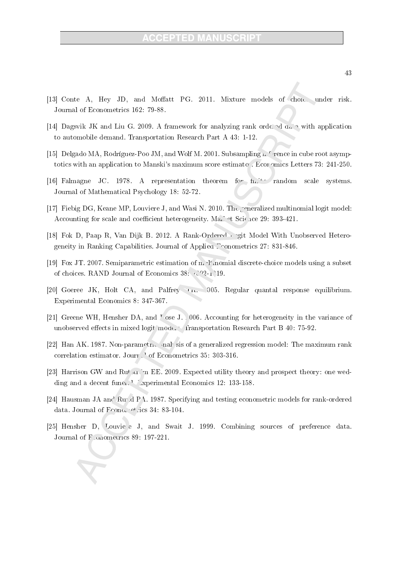- [13] Conte A, Hey JD, and Moffatt PG. 2011. Mixture models of choice under risk. Journal of Econometrics 162: 79-88.
- [14] Dagsvik JK and Liu G. 2009. A framework for analyzing rank ordered data with application to automobile demand. Transportation Research Part A 43: 1-12.
- [15] Delgado MA, Rodríguez-Poo JM, and Wolf M. 2001. Subsampling in ference in cube root asymptotics with an application to Manski's maximum score estimator. Economics Letters 73: 241-250.
- [16] Falmagne JC. 1978. A representation theorem for him random scale systems. Journal of Mathematical Psychology 18: 52-72.
- [17] Fiebig DG, Keane MP, Louviere J, and Wasi N. 2010. The generalized multinomial logit model: Accounting for scale and coefficient heterogeneity. Ma<sub>rk</sub>et Science 29: 393-421.
- [18] Fok D, Paap R, Van Dijk B. 2012. A Rank-Ordered Logit Model With Unobserved Heterogeneity in Ranking Capabilities. Journal of Applied Econometrics 27: 831-846.
- [19] Fox JT. 2007. Semiparametric estimation of m.  $\psi$  nomial discrete-choice models using a subset of choices. RAND Journal of Economics  $38: 10^{2}$ -10.
- [20] Goeree JK, Holt CA, and Palfrey TR. 2005. Regular quantal response equilibrium. Experimental Economics 8: 347-367.
- [21] Greene WH, Hensher DA, and  $\tau$  ose J. 2006. Accounting for heterogeneity in the variance of unobserved effects in mixed logit mode. Transportation Research Part B 40: 75-92.
- [22] Han AK. 1987. Non-parametric and sis of a generalized regression model: The maximum rank correlation estimator. Journal of Econometrics 35: 303-316.
- [23] Harrison GW and  $\text{Ru}^t$  on EE. 2009. Expected utility theory and prospect theory: one wedding and a decent funer. Experimental Economics 12: 133-158.
- [24] Hausman JA and Ru d PA. 1987. Specifying and testing econometric models for rank-ordered data. Journal of Fronometrics 34: 83-104.
- [25] Hensher D, Louvie e J, and Swait J. 1999. Combining sources of preference data. Journal of Econometrics 89: 197-221.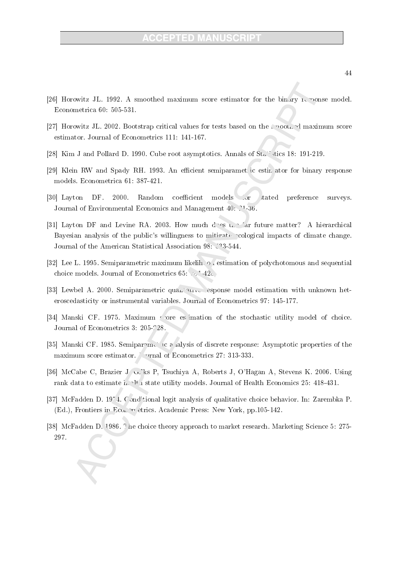- [26] Horowitz JL. 1992. A smoothed maximum score estimator for the binary  $\iota$  ponse model. Econometrica 60: 505-531.
- [27] Horowitz JL. 2002. Bootstrap critical values for tests based on the  $\Box$ noot $\Box$  maximum score estimator. Journal of Econometrics 111: 141-167.
- [28] Kim J and Pollard D. 1990. Cube root asymptotics. Annals of  $Sta$  itics 18: 191-219.
- [29] Klein RW and Spady RH. 1993. An efficient semiparamet ic estin ator for binary response models. Econometrica 61: 387-421.
- [30] Layton DF. 2000. Random coefficient models or stated preference surveys. Journal of Environmental Economics and Management 40: 21-36.
- [31] Layton DF and Levine RA. 2003. How much does the far future matter? A hierarchical Bayesian analysis of the public's willingness to mitigate cological impacts of climate change. Journal of the American Statistical Association 98:  $\sqrt{33-544}$ .
- [32] Lee L. 1995. Semiparametric maximum likelihood estimation of polychotomous and sequential choice models. Journal of Econometrics  $65:31-426$ .
- [33] Lewbel A. 2000. Semiparametric qualitative response model estimation with unknown heteroscedasticity or instrumental variables. Journal of Econometrics 97: 145-177.
- [34] Manski CF. 1975. Maximum score estimation of the stochastic utility model of choice. Journal of Econometrics 3: 205-28.
- [35] Manski CF. 1985. Semiparametric analysis of discrete response: Asymptotic properties of the maximum score estimator. Journal of Econometrics 27: 313-333.
- [36] McCabe C, Brazier J, Gilks P, Tsuchiya A, Roberts J, O'Hagan A, Stevens K. 2006. Using rank data to estimate health state utility models. Journal of Health Economics 25: 418-431.
- [37] McFadden D. 1974. Conditional logit analysis of qualitative choice behavior. In: Zarembka P. (Ed.), Frontiers in Econometrics. Academic Press: New York, pp.105-142.
- [38] McFadden D. 1986. The choice theory approach to market research. Marketing Science 5: 275- 297.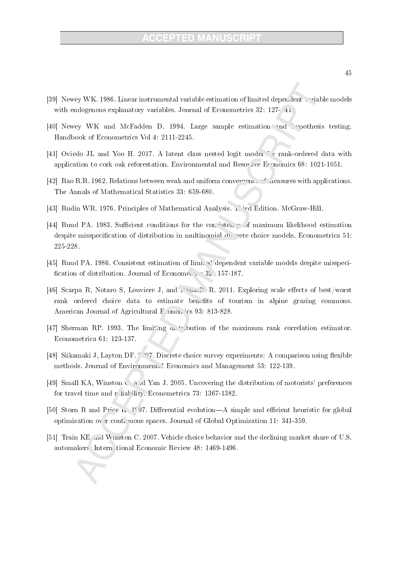- [39] Newey WK. 1986. Linear instrumental variable estimation of limited dependent variable models with endogenous explanatory variables. Journal of Econometrics 32: 127-141.
- [40] Newey WK and McFadden D. 1994. Large sample estimation and inpothesis testing. Handbook of Econometrics Vol 4: 2111-2245.
- [41] Oviedo JL and Yoo H. 2017. A latent class nested logit model  $\degree$  r rank-ordered data with application to cork oak reforestation. Environmental and Resource Economics 68: 1021-1051.
- [42] Rao R.R. 1962. Relations between weak and uniform convergence of measures with applications. The Annals of Mathematical Statistics 33: 659-680.
- [43] Rudin WR. 1976. Principles of Mathematical Analysis. Third Edition. McGraw-Hill.
- [44] Ruud PA. 1983. Sufficient conditions for the consistency of maximum likelihood estimation despite misspecification of distribution in multinomial discrete choice models. Econometrica 51: 225-228.
- [45] Ruud PA. 1986. Consistent estimation of  $\lim_{\Delta t}$  dependent variable models despite misspecification of distribution. Journal of Econometrics 32: 157-187.
- [46] Scarpa R, Notaro S, Louviere J, and R, and R, 2011. Exploring scale effects of best/worst rank ordered choice data to estimate benefits of tourism in alpine grazing commons. American Journal of Agricultural Fononics 93: 813-828.
- [47] Sherman RP. 1993. The limiting  $a_n$  subtribution of the maximum rank correlation estimator. Econometrica 61: 123-137.
- [48] Siikamaki J, Layton DF.  $\mathbb{C}^q$ 7. Discrete choice survey experiments: A comparison using flexible methods. Journal of Environmental Economics and Management 53: 122-139.
- [49] Small KA, Winston C and Yan J. 2005. Uncovering the distribution of motorists' preferences for travel time and reliability. Econometrica 73: 1367-1382
- [50] Storn R and Price K. 1997. Differential evolution—A simple and efficient heuristic for global optimization over continuous spaces. Journal of Global Optimization 11:  $341-359$ .
- [51] Train KE and Winston C. 2007. Vehicle choice behavior and the declining market share of U.S. automakers. International Economic Review 48: 1469-1496.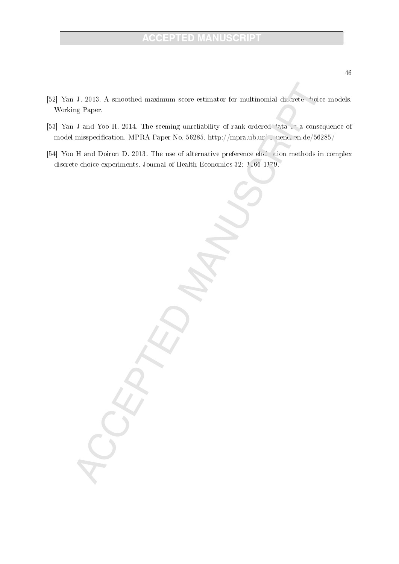- [52] Yan J. 2013. A smoothed maximum score estimator for multinomial discrete boice models. Working Paper.
- [53] Yan J and Yoo H. 2014. The seeming unreliability of rank-ordered  $\frac{1}{4}$ ta  $\ldots$  a consequence of model misspecification. MPRA Paper No. 56285. http://mpra.ub.uri-muenchen.de/56285/
- [54] Yoo H and Doiron D. 2013. The use of alternative preference elicit tion methods in complex discrete choice experiments. Journal of Health Economics 32: 1.66-1179.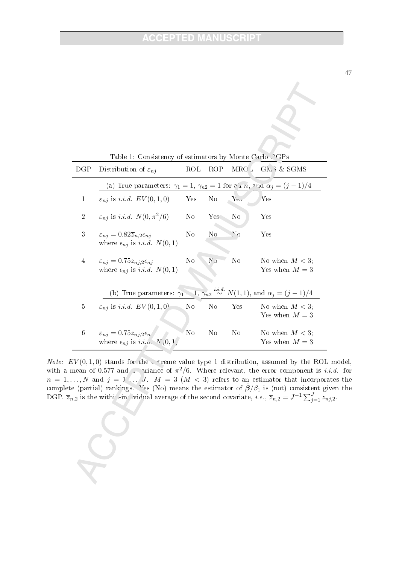|                | rapic r. Consistency or commators by monte $\sim$ (10 $\sim$ 11 s)                                           |                |                  |                            |                                     |
|----------------|--------------------------------------------------------------------------------------------------------------|----------------|------------------|----------------------------|-------------------------------------|
| DGP            | Distribution of $\varepsilon_{nj}$                                                                           | <b>ROL</b>     | ROP              | MRC L                      | $GNS$ & SGMS                        |
|                | (a) True parameters: $\gamma_1 = 1$ , $\gamma_{n2} = 1$ for $\gamma_1 n$ , and $\alpha_j = (j-1)/4$          |                |                  |                            |                                     |
| $\mathbf 1$    | $\varepsilon_{nj}$ is <i>i.i.d.</i> $EV(0,1,0)$                                                              | Yes            | N <sub>0</sub>   | ${\rm Y}$ tor              | Yes                                 |
| $\overline{2}$ | $\varepsilon_{ni}$ is <i>i.i.d.</i> $N(0, \pi^2/6)$                                                          | No             | Yes <sub>1</sub> | N <sub>0</sub>             | Yes                                 |
| 3              | $\varepsilon_{nj} = 0.82\overline{z}_{n,2}\epsilon_{nj}$<br>where $\epsilon_{nj}$ is <i>i.i.d.</i> $N(0, 1)$ | N <sub>0</sub> | No.              | $\mathcal{L}^{\mathsf{T}}$ | Yes                                 |
| 4              | $\varepsilon_{nj} = 0.75 z_{nj,2} \epsilon_{nj}$<br>where $\epsilon_{nj}$ is <i>i.i.d.</i> $N(0, 1)$         | $\rm No$       | $N_{J}$          | No.                        | No when $M < 3$ :<br>Yes when $M=3$ |
|                | (b) True parameters: $\gamma_1$ 1, $\gamma_{n2} \stackrel{i.i.d.}{\sim} N(1,1)$ , and $\alpha_j = (j-1)/4$   |                |                  |                            |                                     |
| 5              | $\varepsilon_{nj}$ is <i>i.i.d.</i> $EV(0, 1, 0)$                                                            | $\sim$ No      | No               | Yes                        | No when $M < 3$ ;<br>Yes when $M=3$ |
| 6              | $\varepsilon_{nj} = 0.75 z_{nj,2} \epsilon_n$<br>where $\epsilon_{nj}$ is <i>i.i.u.</i> $N(0,1)$             | No             | N <sub>0</sub>   | N <sub>0</sub>             | No when $M < 3$ :<br>Yes when $M=3$ |

Table 1: Consistency of estimators by Monte Carlo  $\sqrt{G}P_s$ 

*Note:*  $EV(0, 1, 0)$  stands for the extreme value type 1 distribution, assumed by the ROL model, with a mean of 0.577 and a variance of  $\pi^2/6$ . Where relevant, the error component is *i.i.d.* for  $n = 1, \ldots, N$  and  $j = 1, \ldots, J$ .  $M = 3$   $(M < 3)$  refers to an estimator that incorporates the complete (partial) rankings. Yes (No) means the estimator of  $\tilde{\beta}/\beta_1$  is (not) consistent given the DGP.  $\overline{z}_{n,2}$  is the within-inductividual average of the second covariate, i.e.,  $\overline{z}_{n,2} = J^{-1} \sum_{j=1}^{J} z_{nj,2}$ .

47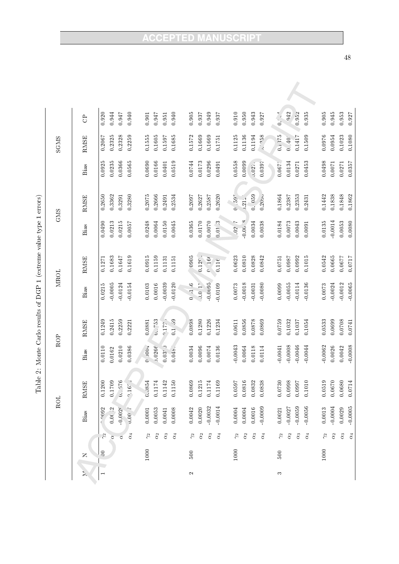|          |              |                       |           |             |               | TON PLAY TO THE PROPERTY OF THE PLAY OF THE PLAY OF THE PLAY OF THE PLAY OF THE PLAY OF THE PLAY OF THE PLAY OF THE PLAY OF THE PLAY OF THE PLAY OF THE PLAY OF THE PLAY OF THE PLAY OF THE PLAY OF THE PLAY OF THE PLAY OF TH |                     |             |            |                   |             |                    |                      |  |
|----------|--------------|-----------------------|-----------|-------------|---------------|--------------------------------------------------------------------------------------------------------------------------------------------------------------------------------------------------------------------------------|---------------------|-------------|------------|-------------------|-------------|--------------------|----------------------|--|
|          |              |                       | ROL       |             | <b>ROP</b>    |                                                                                                                                                                                                                                | <b>MROL</b>         |             |            | GMS               |             | <b>SGMS</b>        |                      |  |
| Σ        | $\mathbf{Z}$ |                       | Bias      | <b>RMSE</b> | Bias          | <b>RMSE</b>                                                                                                                                                                                                                    | Bias                | <b>RMSE</b> | Bias       | <b>RMSE</b>       | Bias        | <b>RMSE</b>        | $\theta$             |  |
|          | $\infty$     | $\gamma_2$            | 0.1092    | 0.1200      | 0.0110        | 0.1249                                                                                                                                                                                                                         | 0.0215              | 0.1271      | 0.0490     | 0.2650            | 0.0925      | 0.2067             | 0.920                |  |
|          |              | ð                     | 0.0012    | 0.1709      | 0.0162        | 0.2415                                                                                                                                                                                                                         | $-0.0005$           | 0.1683      | 0.0213     | 0.3362            | 0.0235      | 0.2325             | 0.944                |  |
|          |              | đ                     | $-0.002f$ | 0.276       | 0.0210        | 0.2259                                                                                                                                                                                                                         | $-0.0124$           | 0.1647      | 0.0215     | 0.3291            | 0.0366      | 0.2328             | 0.947                |  |
|          |              | $\alpha_4$            | 0.0007    | $0.16\%$    | 0.0386        | 0.2221                                                                                                                                                                                                                         | $-0.0154$           | 0.1619      | 0.0057     | 0.3280            | 0.0565      | 0.2259             | 0.940                |  |
|          |              |                       |           |             |               |                                                                                                                                                                                                                                |                     |             |            |                   |             |                    |                      |  |
|          | 1000         | $\approx$             | 0.0001    | 0.0854      | 0.004         | 0.0881                                                                                                                                                                                                                         | 0.0103              | 0.0915      | 0.0248     | 0.2075            | 0.0690      | 0.1555             | 0.901                |  |
|          |              | $\alpha_2$            | 0.0053    | 0.1174      | <b>J.0266</b> | 0.2753                                                                                                                                                                                                                         | 0.0016              | 0.1159      | 0.0064     | 0.2666            | 0.0166      | 0.1605             | 0.947                |  |
|          |              | $\alpha_3$            | 0.0041    | 0.1142      | $0.03'$ J     | 0.172                                                                                                                                                                                                                          | $-0.0039$           | 0.1131      | 0.0150     | 0.2491            | 0.0401      | 0.1597             | 0.951                |  |
|          |              | $\alpha_4$            | 0.0008    | 0.1150      | 0.048.        | $0.1\,59$                                                                                                                                                                                                                      | $-0.0120$           | 0.1151      | 0.0045     | 0.2534            | 0.0519      | 0.1685             | 0.940                |  |
|          |              |                       |           |             |               |                                                                                                                                                                                                                                |                     |             |            |                   |             |                    |                      |  |
| $\sim$   | 500          | $\approx$             | 0.0042    | 0.0869      | 0.0034        | 0.0898                                                                                                                                                                                                                         | $0\,$ $1\,$ $6$     | 0905        | 0.0365     | 0.2097            | 0.0744      | 0.1572             | 0.905                |  |
|          |              | $\alpha_2$            | 0.0020    | 0.1215      | 0.0096        | 0.1280                                                                                                                                                                                                                         | $0.01$ <sup>+</sup> | $0.12o$ .   | $0.0170\,$ | 0.2627            | 0.0173      | 0.1669             | 0.937                |  |
|          |              | $\alpha_3$            | $-0.0032$ | 0.1174      | 0.0074        | 0.1226                                                                                                                                                                                                                         | $-0.0095$           | $0 - 166$   | 0.0070     | 0.2587            | 0.0296      | 0.1669             | 0.949                |  |
|          |              | $\alpha_4$            | $-0.0014$ | 0.1169      | 0.0136        | 0.1234                                                                                                                                                                                                                         | $-0.0109$           | 0.116       | 0.01.3     | 0.2620            | 0.0491      | 0.1751             | 0.937                |  |
|          |              |                       |           |             |               |                                                                                                                                                                                                                                |                     |             |            |                   |             |                    |                      |  |
|          | 1000         | $\approx$             | 0.0004    | 0.0597      | $-0.0043$     | 0.0611                                                                                                                                                                                                                         | 0.0073              | 0.0623      |            | 0.59 <sup>r</sup> | 0.0558      | 0.1125             | 0.910                |  |
|          |              | $\alpha_2$            | 0.0004    | 0.0816      | 0.0064        | 0.0856                                                                                                                                                                                                                         | $-0.0018$           | 0.0810      | $-0.001$   | (21)              | 0.0099      | 0.1136             | 0.950                |  |
|          |              | $\alpha_3$            | 0.0016    | 0.0832      | $0.0118\,$    | 0.0878                                                                                                                                                                                                                         | $-0.0031$           | 0.0828      | 0.0034     | 0.059             | J.027       | 0.1194             | 0.943                |  |
|          |              | $\alpha_4$            | $-0.0009$ | 0.0838      | 0.0114        | 0.0869                                                                                                                                                                                                                         | $-0.0080$           | 0.0842      | 0.0038     | 0.20              | 0.0397      | 8ge <sup>-17</sup> | 0.927                |  |
|          |              |                       |           |             |               |                                                                                                                                                                                                                                |                     |             |            |                   |             |                    |                      |  |
| $\infty$ | 500          | $\approx$             | 0.0021    | 0.0730      | $-0.0041$     | 0.0759                                                                                                                                                                                                                         | 0.0099              | 0.0751      | 0.0184     | 0.1864            | $0.067^{-}$ | 0.1375             | $\int$ $\frac{1}{2}$ |  |
|          |              | $\alpha_2$            | $-0.0027$ | 0.0998      | $-0.0008$     | 0.1032                                                                                                                                                                                                                         | 0.0055              | 0.0987      | 0.0073     | 0.2387            | 0.0134      | $0.40^{4}$         | 942                  |  |
|          |              | $\alpha_3$            | $-0.0059$ | 0.0997      | $-0.0046$     | 0.1037                                                                                                                                                                                                                         | $-0.0114$           | 0.0992      | 0.0043     | 0.2353            | 0.0271      | 0.1417             | 0.952                |  |
|          |              | $\alpha_4$            | $-0.0056$ | 0.1010      | $-0.0044$     | 0.1054                                                                                                                                                                                                                         | $-0.0136$           | 0.1015      | 0.0091     | 0.2431            | 0.0453      | 0.1509             | 0.935                |  |
|          | 1000         | $\gamma$ <sup>2</sup> | 0.0013    | 0.0519      | $-0.0062$     | 0.0533                                                                                                                                                                                                                         | 0.0073              | 0.0542      | 0.0135     | 0.1442            | 0.0498      | 0.0976             | 0.905                |  |
|          |              | $\alpha_2$            | $-0.0004$ | 0.0670      | 0.0026        | 0.0699                                                                                                                                                                                                                         | $-0.0024$           | 0.0665      | $-0.0014$  | 0.1838            | 0.0071      | 0.0954             | 0.945                |  |
|          |              | $\alpha_3$            | 0.0029    | 0.0680      | 0.0042        | 0.0708                                                                                                                                                                                                                         | $-0.0012$           | 0.0677      | 0.0053     | 0.1848            | 0.0271      | 0.1023             | 0.953                |  |
|          |              | $\alpha_4$            | $-0.0005$ | 0.0714      | $-0.0008$     | 0.0741                                                                                                                                                                                                                         | $-0.0065$           | 0.0717      | 0.0080     | 0.1862            | 0.0357      | 0.1080             | 0.927                |  |

Table 2: Monte Carlo results of DGP 1 (extreme value type 1 errors) Table 2: Monte Carlo results of DGP 1 (extreme value type 1 errors) 48

# **ACCEPTED MANUSCRIPT**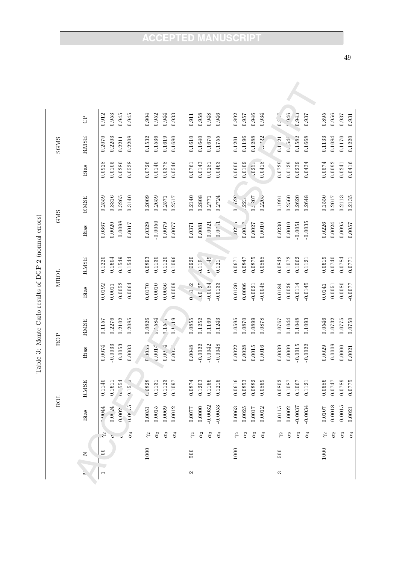|        |              |                       |                       |             |             | Table 3: Monte Carlo results of DGP 2 (normal errors) |                   |             |                             |                   |        |                             |                |  |
|--------|--------------|-----------------------|-----------------------|-------------|-------------|-------------------------------------------------------|-------------------|-------------|-----------------------------|-------------------|--------|-----------------------------|----------------|--|
|        |              |                       |                       | ROL         | $\rm ROP$   |                                                       |                   | <b>MROL</b> |                             | GMS               |        | <b>SGMS</b>                 |                |  |
| Σ      | $\mathbf{Z}$ |                       | Bias                  | <b>RMSE</b> | Bias        | <b>RMSE</b>                                           | Bias              | <b>RMSE</b> | Bias                        | <b>RMSE</b>       | Bias   | <b>RMSE</b>                 | $\overline{c}$ |  |
|        | $\infty$     | $\gamma$ <sup>2</sup> | <b>PF00.2</b>         | 0.1140      | 0.0074      | 0.1157                                                | 0.0192            | 0.1220      | 0.0367                      | 0.2559            | 0.0928 | 0.2070                      | 0.912          |  |
|        |              | $\circ$               | 0.0024                | 0.1611      | $-0.0033$   | 0.2276                                                | 0.0011            | 0.1604      | 0.0020                      | 0.3316            | 0.0105 | 0.2203                      | 0.953          |  |
|        |              | J                     | $-0.002$ <sup>*</sup> | 0.554       | $-0.0053$   | 0.2102                                                | $-0.0052$         | 0.1549      | $-0.0098$                   | 0.3265            | 0.0280 | 0.2211                      | 0.945          |  |
|        |              | $\alpha_4$            | $-0.065$              | 6.915       | 0.0003      | 0.2085                                                | $-0.0064$         | 0.1544      | 0.0017                      | 0.3140            | 0.0538 | 0.2208                      | 0.945          |  |
|        |              |                       |                       |             |             |                                                       |                   |             |                             |                   |        |                             |                |  |
|        | 1000         | $\gamma$ <sup>2</sup> | 0.0051                | 0.0828      | 0.005       | 0.0826                                                | 0.0170            | 0.0893      | 0.0329                      | 0.2009            | 0.0726 | 0.1532                      | 0.904          |  |
|        |              | $\alpha_2$            | 0.0015                | 0.1131      | $0.001^{2}$ | <b>u.584</b>                                          | 0.0010            | 0.1130      | $-0.0050$                   | 0.2659            | 0.0140 | 0.1536                      | 0.952          |  |
|        |              | $\alpha_3$            | 0.0069                | 0.1123      | 0.0014      | $0.15\%$                                              | 0.0056            | 0.1120      | 0.0079                      | 0.2571            | 0.0378 | 0.1619                      | 0.944          |  |
|        |              | $\alpha_4$            | 0.0012                | 0.1097      | 0.002.      | 0.7,19                                                | $-0.0009$         | 0.1096      | 0.0077                      | 0.2517            | 0.0546 | 0.1680                      | 0.933          |  |
|        |              |                       |                       |             |             |                                                       |                   |             |                             |                   |        |                             |                |  |
| $\sim$ | 500          | $\approx$             | 0.0077                | 0.0874      | 0.0048      | 0.0855                                                | $0$ $\lambda$ $2$ | 03920       | 0.0371                      | 0.2140            | 0.0761 | 0.1610                      | $\!0.911$      |  |
|        |              | $\alpha_2$            | 0.0000                | 0.1203      | $-0.0022$   | 0.1252                                                | $0.02^{r}$        | 0.119       | 0.0081                      | 0.2808            | 0.0143 | 0.1640                      | 0.958          |  |
|        |              | $\alpha_3$            | $-0.0032$             | 0.1156      | $-0.0042$   | 0.1169                                                | $-0.0084$         | $0^{10}$ 0  | 0.0021                      | 0.2771            | 0.0281 | 0.1670                      | 0.948          |  |
|        |              | $\alpha_4$            | $-0.0053$             | 0.1215      | $-0.0048$   | 0.1243                                                | $-0.0133$         | 0.121       | $0.0011$                    | 0.2724            | 0.0463 | 0.1755                      | 0.946          |  |
|        |              |                       |                       |             |             |                                                       |                   |             |                             |                   |        |                             |                |  |
|        | 1000         | $\approx$             | 0.0063                | 0.0616      | 0.0022      | 0.0595                                                | 0.0130            | 0.0671      | .02 $\epsilon$ <sub>3</sub> | 0.62 <sup>o</sup> | 0.0600 | 0.1201                      | 0.892          |  |
|        |              | $\alpha_2$            | 0.0025                | 0.0853      | 0.0028      | 0.0870                                                | 0.0006            | 0.0847      | 0.005                       | .225.             | 0.0109 | 0.1196                      | 0.957          |  |
|        |              | $\alpha_3$            | 0.0017                | 0.0882      | 0.0015      | 0.0899                                                | $-0.0021$         | 0.0875      | 0.0027                      | 0.1307            | .025.  | 0.1288                      | 0.946          |  |
|        |              | $\alpha_4$            | 0.0012                | 0.0859      | 0.0016      | 0.0878                                                | $-0.0048$         | 0.0858      | 0.0010                      | 0.220             | 0.0418 | $\tilde{\epsilon}_{\rm{c}}$ | 0.934          |  |
|        |              |                       |                       |             |             |                                                       |                   |             |                             |                   |        |                             |                |  |
| S      | 500          | $\approx$             | 0.0115                | 0.0803      | 0.0039      | 0.0767                                                | 0.0184            | 0.0842      | 0.0230                      | 0.1991            | 0.0720 | $0.1$ $21$                  | 0.5            |  |
|        |              | $\alpha_2$            | 0.0002                | 0.1087      | 0.0009      | 0.1044                                                | $-0.0036$         | 0.1072      | 0.0010                      | 0.2560            | 0.0139 | $0.54$ f                    | $970 - 1$      |  |
|        |              | $\alpha_3$            | $-0.0037$             | 0.1067      | $-0.0015$   | 0.1048                                                | $\,0.0114\,$      | 0.1062      | $\,0.0051\,$                | 0.2620            | 0.0239 | 0.1582                      | 0.943          |  |
|        |              | $\alpha_4$            | $-0.0034$             | 0.1121      | $-0.0022$   | 0.1093                                                | $-0.0145$         | 0.1121      | $-0.0035$                   | 0.2648            | 0.0434 | 0.1668                      | 0.937          |  |
|        | 1000         | $\approx$             | $0.0107\,$            | 0.0586      | 0.0029      | 0.0546                                                | 0.0141            | 0.0619      | 0.0226                      | 0.1550            | 0.0574 | 0.1133                      | $0.895\,$      |  |
|        |              | $\alpha_2$            | $-0.0018$             | 0.0747      | $-0.0009$   | 0.0732                                                | $-0.0051$         | 0.0740      | 0.0024                      | 0.2017            | 0.0092 | 0.1084                      | 0.956          |  |
|        |              | $\alpha_3$            | $-0.0015$             | 0.0789      | 0.0000      | 0.0775                                                | $-0.0080$         | 0.0784      | 0.0095                      | 0.2113            | 0.0241 | 0.1170                      | 0.937          |  |
|        |              | $\alpha_4$            | 0.0021                | 0.0775      | 0.0021      | 0.0750                                                | $-0.0077$         | 0.0771      | 0.0057                      | 0.2135            | 0.0416 | 0.1220                      | 0.931          |  |

Table 3: Monte Carlo results of DGP 2 (normal errors)  $\gamma$ ና ከርኮ ን (<sub>ከ</sub>  $\frac{1}{1+\epsilon}$  $\frac{1}{2}$  $\epsilon$  $\ddot{\phantom{0}}$  $Table 3: M<sub>0</sub>$ 

**ACCEPTED MANUSCRIPT** 

49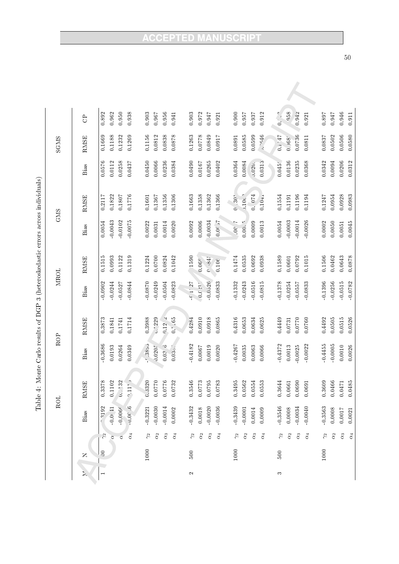|                   |          |            |                 | $1$ able $4$ . |                      | учания социально с приведения при социально с под данных политоров. Обще социально с приведения и социально с |             |             |              |                   |                    |               |                |  |
|-------------------|----------|------------|-----------------|----------------|----------------------|---------------------------------------------------------------------------------------------------------------|-------------|-------------|--------------|-------------------|--------------------|---------------|----------------|--|
|                   |          |            |                 | ROL            | $\rm ROP$            |                                                                                                               | <b>MROL</b> |             |              | GMS               |                    | <b>SGMS</b>   |                |  |
| ≥                 | Z        |            | Bias            | <b>RMSE</b>    | Bias                 | <b>RMSE</b>                                                                                                   | Bias        | <b>RMSE</b> | Bias         | <b>RMSE</b>       | Bias               | <b>RMSE</b>   | $\overline{c}$ |  |
|                   | $\infty$ | $\gamma_2$ | $\sqrt{2192}$   | 0.3378         | -0.3686              | 0.3873                                                                                                        | $-0.0902$   | 0.1515      | 0.0054       | 0.2117            | 0.0576             | 0.1669        | 0.892          |  |
|                   |          | $\alpha$   | $-0.00$ $\pm 1$ | 0.1102         | 0.0193               | 0.1841                                                                                                        | $-0.0244$   | 0.0993      | $-0.0043$    | 0.1822            | 0.0112             | 0.1188        | 0.962          |  |
|                   |          | đ          | $-0.006f$       | 0.132          | 0.0264               | 0.1741                                                                                                        | $-0.0527$   | 0.1122      | $-0.0102$    | 0.1807            | 0.0258             | 0.1232        | 0.950          |  |
|                   |          | $\alpha_4$ | $-0.0066$       | 0.111          | 0.0349               | 0.1714                                                                                                        | $-0.0844$   | 0.1319      | $-0.0075$    | 0.1776            | 0.0437             | 0.1269        | 0.938          |  |
|                   |          |            |                 |                |                      |                                                                                                               |             |             |              |                   |                    |               |                |  |
|                   | 1000     | $\approx$  | $-0.3221$       | 0.3320         | $-3855$              | 0.3988                                                                                                        | $-0.0870$   | 0.1224      | 0.0022       | 0.1601            | 0.0450             | 0.1156        | 0.903          |  |
|                   |          | $\alpha_2$ | $-0.0030$       | 0.0770         | $0.020$ <sup>r</sup> | 0.7229                                                                                                        | $-0.0249$   | 0.0700      | 0.0031       | 0.1367            | 0.0066             | 0.0812        | 0.967          |  |
|                   |          | $\alpha_3$ | $-0.0014$       | 0.0776         | 0.033                | $0.12 \; z$                                                                                                   | $-0.0504$   | 0.0824      | 0.0014       | 0.1356            | 0.0236             | 0.0838        | 0.956          |  |
|                   |          | $\alpha_4$ | 0.0002          | 0.0732         | 0.038c               | $0.7\,465$                                                                                                    | $-0.0823$   | 0.1042      | 0.0020       | 0.1306            | 0.0384             | 0.0878        | 0.941          |  |
|                   |          |            |                 |                |                      |                                                                                                               |             |             |              |                   |                    |               |                |  |
| $\mathbf{\Omega}$ | 500      | $\approx$  | $-0.3432$       | 0.3546         | $-0.4182$            | 0.4284                                                                                                        | $-0$ i $27$ | 1590        | 0.0092       | 0.1663            | 0.0490             | 0.1263        | 0.903          |  |
|                   |          | $\alpha_2$ | 0.0018          | 0.0773         | 0.0067               | 0.0910                                                                                                        | 0.0117      | 0.068       | 0.0006       | 0.1358            | 0.0167             | 0.0778        | 0.972          |  |
|                   |          | $\alpha_3$ | $-0.0020$       | 0.0795         | 0.0019               | 0.0918                                                                                                        | $-0.0526$   | JF8 U       | 0.0034       | 0.1362            | 0.0265             | 0.0849        | 0.947          |  |
|                   |          | $\alpha_4$ | $-0.0036$       | 0.0783         | 0.0020               | 0.0865                                                                                                        | $-0.0833$   | $0.106\,$   | 0.0057       | 0.1366            | 0.0402             | 0.0917        | 0.921          |  |
|                   |          |            |                 |                |                      |                                                                                                               |             |             |              |                   |                    |               |                |  |
|                   | 1000     | $\approx$  | $-0.3439$       | 0.3495         | $-0.4267$            | 0.4316                                                                                                        | $-0.1332$   | 0.1474      | $1/00^\circ$ | $0.30^{4}$        | 0.0364             | 0.0891        | 0.900          |  |
|                   |          | $\alpha_2$ | $-0.0001$       | 0.0562         | 0.0035               | 0.0653                                                                                                        | $-0.0243$   | 0.0535      | $0.00^{-7}$  | 1.10 <sub>k</sub> | 0.0084             | 0.0585        | 0.957          |  |
|                   |          | $\alpha_3$ | 0.0014          | 0.0554         | 0.0063               | 0.0634                                                                                                        | $-0.0516$   | 0.0692      | 0.0009       | 0.074             | J.020.             | 0.0599        | 0.937          |  |
|                   |          | $\alpha_4$ | 0.0009          | 0.0553         | 0.0066               | 0.0625                                                                                                        | $-0.0815$   | 0.0938      | 0.0013       | $0.104_{1}$       | 0.0313             | <b>975.77</b> | 0.912          |  |
|                   |          |            |                 |                |                      |                                                                                                               |             |             |              |                   |                    |               |                |  |
| S                 | 500      | $\approx$  | $-0.3546$       | 0.3644         | $-0.4372$            | 0.4449                                                                                                        | $-0.1378$   | 0.1589      | 0.0054       | 0.1554            | 0.045 <sub>1</sub> | 0.1 47        | 0.1            |  |
|                   |          | $\alpha_2$ | 0.0008          | 0.0661         | 0.0013               | 0.0731                                                                                                        | $-0.0254$   | 0.0601      | $-0.0003$    | 0.1191            | 0.0136             | 0.068'        | 958            |  |
|                   |          | $\alpha_3$ | $-0.0034$       | 0.0690         | $-0.0025$            | 0.0770                                                                                                        | $-0.0557$   | 0.0792      | $-0.0014$    | 0.1196            | 0.0235             | 0.0736        | 0.942          |  |
|                   |          | $\alpha_4$ | $-0.0040$       | 0.0691         | $-0.0022$            | 0.0760                                                                                                        | $-0.0833$   | 0.1015      | $-0.0026$    | 0.1194            | 0.0368             | 0.0811        | 0.921          |  |
|                   |          |            |                 |                |                      |                                                                                                               |             |             |              |                   |                    |               |                |  |
|                   | 1000     | $\approx$  | $-0.3563$       | 0.3609         | $-0.4455$            | 0.4492                                                                                                        | $-0.1396$   | 0.1506      | 0.0002       | 0.1247            | 0.0342             | 0.0837        | 0.897          |  |
|                   |          | $\alpha_2$ | 0.0008          | 0.0466         | $-0.0005$            | 0.0505                                                                                                        | $-0.0256$   | 0.0462      | 0.0050       | 0.0954            | 0.0094             | 0.0502        | 0.947          |  |
|                   |          | $\alpha_3$ | $0.0017\,$      | 0.0471         | 0.0010               | 0.0515                                                                                                        | $-0.0515$   | 0.0643      | 0.0051       | 0.0928            | 0.0206             | 0.0506        | 0.946          |  |
|                   |          | $\alpha_4$ | 0.0021          | 0.0485         | 0.0026               | 0.0526                                                                                                        | $-0.0782$   | 0.0878      | 0.0045       | 0.0983            | 0.0312             | 0.0580        | 0.911          |  |

 $ind_{\text{rel}}$ Table 4: Monte Carlo results of DGP 3 (heteroskedastic errors across individuals)  $J\sim$  $\mathcal{A}$  DCP 3 (boto  $\frac{1}{1+\epsilon}$  $\frac{1}{2}$  $\epsilon$  $\ddot{\cdot}$  $Table 4: Mon$ 

**ACCEPTED MANUSCRIPT** 

50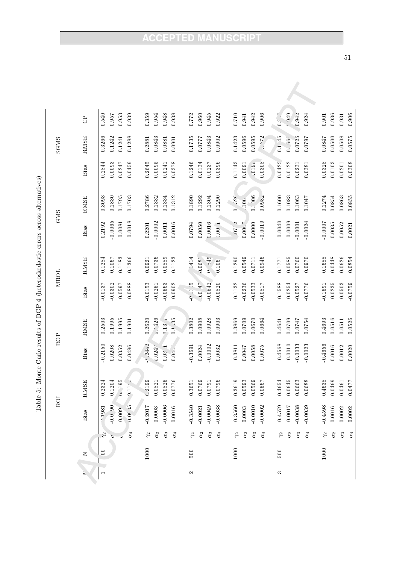|                   |          |                          |           | (Удина и сурсина с солна с солна солна солна солна солна солна солна солна солна солна солна солна солна солна с |           |               |             |               |              |                   |        |             |           |
|-------------------|----------|--------------------------|-----------|------------------------------------------------------------------------------------------------------------------|-----------|---------------|-------------|---------------|--------------|-------------------|--------|-------------|-----------|
|                   |          |                          |           | ROL                                                                                                              |           | ROP           | <b>MROL</b> |               |              | GMS               |        | <b>SGMS</b> |           |
|                   | Z        |                          | Bias      | RMSE                                                                                                             | Bias      | <b>RMSE</b>   | Bias        | <b>RMSE</b>   | Bias         | RMSE              | Bias   | RMSE        | $\theta$  |
|                   | $\Theta$ | $\gamma_2$               | 1861      | 0.2324                                                                                                           | $-0.2150$ | 0.2503        | $-0.0137$   | 0.1284        | 0.2192       | 0.3093            | 0.2844 | 0.3266      | 0.540     |
|                   |          | $\circ$                  | $-0.0$ 90 | 0.1204                                                                                                           | 0.0208    | 0.1995        | 0.0302      | 0.1067        | $-0.0065$    | 0.1830            | 0.0093 | 0.1242      | 0.957     |
|                   |          | J                        | $-0.009'$ | 0.195                                                                                                            | 0.0352    | 0.1995        | $-0.0597$   | 0.1183        | $-0.0081$    | 0.1795            | 0.0247 | 0.1241      | 0.953     |
|                   |          | $\alpha_4$               | $-0.065$  | $0.11\%$                                                                                                         | 0.0486    | 0.1901        | 0.0888      | 0.1366        | $-0.0018$    | 0.1703            | 0.0459 | 0.1288      | 0.939     |
|                   |          |                          |           |                                                                                                                  |           |               |             |               |              |                   |        |             |           |
|                   | 1000     | $\approx$                | $-0.2017$ | 0.2199                                                                                                           | $-7.2442$ | 0.2620        | $-0.0153$   | 0.0921        | 0.2201       | 0.2786            | 0.2645 | 0.2881      | 0.359     |
|                   |          | $\alpha_2$               | 0.0003    | 0.0821                                                                                                           | $0.024$ ? | <b>U.</b> 126 | $-0.0251$   | 0.0736        | $-0.0002$    | 0.1332            | 0.0095 | 0.0843      | 0.954     |
|                   |          | $\alpha_3$               | $-0.0006$ | 0.0825                                                                                                           | $0.03\,1$ | 0.13          | $-0.0563$   | 0.0889        | $0.0011\,$   | 0.1334            | 0.0241 | 0.0881      | 0.948     |
|                   |          | $\alpha_4$               | 0.0016    | 0.0776                                                                                                           | 0.044     | 0.1, 35       | $-0.0902$   | 0.1123        | 0.0016       | 0.1312            | 0.0378 | 0.0901      | 0.938     |
|                   |          |                          |           |                                                                                                                  |           |               |             |               |              |                   |        |             |           |
| $\mathbf{\Omega}$ | 500      | م×<br>م                  | $-0.3540$ | 0.3651                                                                                                           | $-0.3691$ | 0.3802        | $-0.1$ )5   | 1414          | 0.0794       | 0.1890            | 0.1246 | 0.1735      | 0.772     |
|                   |          | $\alpha_2$               | $-0.0021$ | 0.0769                                                                                                           | 0.0024    | 0.0908        | 0.014       | 0.068         | 0.0050       | 0.1292            | 0.0134 | 0.0777      | 0.960     |
|                   |          | $\alpha_3$               | $-0.0049$ | 0.0791                                                                                                           | $-0.0002$ | 0.0928        | $-0.0542$   | 0.749         | 1.0016       | 0.1304            | 0.0237 | 0.0843      | 0.945     |
|                   |          | $\alpha_4$               | $-0.0038$ | 0.0796                                                                                                           | 0.0032    | 0.0903        | $-0.0820$   | $0.106^\circ$ | $0.00^{2}$   | 0.1290            | 0.0396 | 0.0902      | 0.922     |
|                   |          |                          |           |                                                                                                                  |           |               |             |               |              |                   |        |             |           |
|                   | 1000     | $\approx$                | $-0.3560$ | 0.3619                                                                                                           | $-0.3811$ | 0.3869        | $-0.1132$   | 0.1290        | 2.0772       | $0\degree$ 52 $e$ | 0.1143 | 0.1423      | 0.710     |
|                   |          | $\alpha_2$               | 0.0003    | 0.0593                                                                                                           | 0.0047    | 0.0709        | $-0.0236$   | 0.0549        | $0.000^{-7}$ | .106.             | 0.0091 | 0.0596      | 0.941     |
|                   |          | $\alpha_3$               | $-0.0010$ | 0.0569                                                                                                           | 0.0058    | 0.0670        | $-0.0533$   | 0.0711        | 0.0000       | 0.1,006           | .019   | 0.0595      | 0.942     |
|                   |          | $\alpha_4$               | $-0.0002$ | 0.0567                                                                                                           | 0.0075    | 0.0664        | $-0.0817$   | 0.0946        | $-0.0019$    | 0.0982            | 0.0308 | 522         | 0.906     |
|                   |          |                          |           |                                                                                                                  |           |               |             |               |              |                   |        |             |           |
| S                 | 500      | $\approx$                | $-0.4579$ | 0.4654                                                                                                           | $-0.4568$ | 0.4641        | $-0.1588$   | 0.1771        | $-0.0040$    | 0.1600            | 0.0422 | 0.145       | 0.8       |
|                   |          | $\alpha_2$               | $-0.0017$ | 0.0645                                                                                                           | $-0.0010$ | 0.0709        | $-0.0254$   | 0.0585        | $-0.0009$    | 0.1083            | 0.0122 | 0.66f       | $6p_0$    |
|                   |          | $\alpha_3$               | $-0.0038$ | 0.0663                                                                                                           | $-0.0033$ | 0.0747        | $-0.0527$   | 0.0760        | $-0.0001$    | 0.1063            | 0.0231 | 0.0725      | 0.942     |
|                   |          | $\alpha_4$               | $-0.0039$ | 0.0688                                                                                                           | $-0.0023$ | 0.0754        | 0.0776      | 0.0970        | $-0.0024$    | 0.1047            | 0.0381 | 0.0797      | 0.924     |
|                   | 1000     | $\lesssim$               | 0.4598    | 0.4638                                                                                                           | $-0.4656$ | 0.4693        | $-0.1591$   | 0.1688        | $-0.0007$    | 0.1274            | 0.0328 | 0.0847      | $\!0.901$ |
|                   |          |                          | 0.0016    | 0.0469                                                                                                           | 0.0016    | 0.0516        | $-0.0235$   | 0.0448        | 0.0035       | 0.0854            | 0.0103 | 0.0500      | 0.936     |
|                   |          | $\alpha_3$<br>$\alpha_2$ | 0.0002    | 0.0461                                                                                                           | 0.0012    | 0.0511        | $-0.0503$   | 0.0626        | 0.0052       | 0.0863            | 0.0201 | 0.0508      | 0.931     |
|                   |          | $\alpha_4$               | 0.0002    | 0.0477                                                                                                           | 0.0020    | 0.0526        | $-0.0759$   | 0.0854        | 0.0021       | 0.0855            | 0.0308 | 0.0575      | 0.906     |
|                   |          |                          |           |                                                                                                                  |           |               |             |               |              |                   |        |             |           |

alternatives Table 5: Monte Carlo results of DGP 4 (heteroskedastic errors across alternatives) Table 5: Monte Carlo results of DGP 4 (heteroskedastic errors

51

# **ACCEPTED MANUSCRIPT**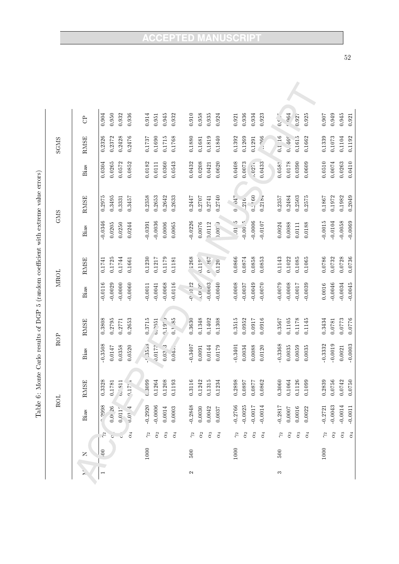|        |          |                 |                    | ROL            | <b>ROP</b>  |                   | MROL      |                    |                | GMS         |        | <b>SCMS</b>       |        |
|--------|----------|-----------------|--------------------|----------------|-------------|-------------------|-----------|--------------------|----------------|-------------|--------|-------------------|--------|
|        | Z        |                 | Bias               | <b>RMSE</b>    | Bias        | <b>RMSE</b>       | Bias      | <b>RMSE</b>        | Bias           | <b>RMSE</b> | Bias   | RMSE              | පි     |
|        | $\infty$ |                 | 866c               | 0.3328         | 0.3508      | 0.3808            | $-0.0116$ | 0.1741             | $-0.0346$      | 0.2975      | 0.0304 | 0.2326            | 0.904  |
|        |          | Ō               | 0.0126             | 0.1781         | 0.0147      | 0.2795            | $-0.0029$ | 0.1725             | 0.0205         | 0.3495      | 0.0265 | 0.2372            | 0.950  |
|        |          | $\breve{\circ}$ | $0.011$ $^{\circ}$ | <b>u.311</b>   | 0.0358      | 0.2771            | $-0.0000$ | 0.1744             | 0.0250         | 0.3331      | 0.0572 | 0.2428            | 0.932  |
|        |          | $\alpha_4$      | 0.014              | $0.17^{6} \mu$ | 0.0520      | 0.2653            | $-0.0060$ | 0.1661             | 0.0244         | 0.3457      | 0.0852 | 0.2476            | 0.936  |
|        |          |                 |                    |                |             |                   |           |                    |                |             |        |                   |        |
|        | 1000     | $\approx$       | $-0.2920$          | G.3099         | $-3553$     | 0.3715            | $-0.0011$ | 0.1230             | $-0.0391$      | 0.2358      | 0.0182 | 0.1737            | 0.914  |
|        |          | $\alpha_2$      | $-0.0006$          | 0.1264         | $0.017^{2}$ | 0.7951            | $-0.0041$ | 0.1217             | $-0.0036$      | 0.2653      | 0.0111 | 0.1690            | 0.951  |
|        |          | $\alpha_3$      | 0.0014             | 0.1208         | 0.033       | 0.19 <sup>c</sup> | $-0.0068$ | 0.1179             | 0.0006         | 0.2642      | 0.0360 | 0.1715            | 0.945  |
|        |          | $\alpha_4$      | 0.0003             | 0.1193         | 0.045       | 0.1,85            | $-0.0116$ | 0.1181             | 0.0065         | 0.2633      | 0.0543 | 0.1768            | 0.932  |
|        |          |                 |                    |                |             |                   |           |                    |                |             |        |                   |        |
| $\sim$ | 500      | $\approx$       | $-0.2848$          | 0.3116         | $-0.3407$   | 0.3630            | $-0.12$   | 1268               | $-0.0226$      | 0.2447      | 0.0432 | 0.1880            | 0.910  |
|        |          | $\alpha_2$      | 0.0030             | 0.1242         | 0.0091      | 0.1348            | $-0.01$   | 0.119 <sup>r</sup> | 0.0076         | 0.2707      | 0.0208 | 0.1681            | 0.958  |
|        |          | $\alpha_3$      | 0.0042             | 0.1315         | 0.0144      | 0.1402            | $-0.0003$ | $196 - 0$          | 0.112          | 0.2741      | 0.0421 | 0.1819            | 0.935  |
|        |          | $\alpha_4$      | 0.0037             | 0.1234         | 0.0179      | 0.1308            | $-0.0040$ | 0.120              | $0.00^{r}$     | 0.2740      | 0.0620 | 0.1840            | 0.924  |
|        |          |                 |                    |                |             |                   |           |                    |                |             |        |                   |        |
|        | 1000     | $\approx$       | $-0.2766$          | 0.2898         | $-0.3401$   | 0.3515            | $-0.0008$ | 0.0866             | $\frac{6}{10}$ | $40^{10}$   | 0.0408 | 0.1392            | 0.921  |
|        |          | $\alpha_2$      | $-0.0025$          | 0.0897         | 0.0034      | 0.0952            | $-0.0037$ | 0.0874             | $-0.00.7$      | .216.       | 0.0073 | 0.1269            | 0.936  |
|        |          | $\alpha_3$      | $-0.0017$          | 0.0877         | 0.0088      | 0.0917            | $-0.0049$ | 0.0858             | $-0.0006$      | 0.1160      | .027c  | 0.1291            | 0.934  |
|        |          | $\alpha_4$      | $-0.0014$          | 0.0862         | 0.0120      | 0.0916            | $-0.0070$ | 0.0853             | $-0.0107$      | 0.2184      | 0.0433 | $99o$ .           | 0.923  |
|        |          |                 |                    |                |             |                   |           |                    |                |             |        |                   |        |
| S      | 500      | $\approx$       | $-0.2817$          | 0.3060         | 0.3368      | 0.3567            | $-0.0079$ | 0.1143             | 0.0024         | 0.2357      | 0.0581 | $0.1 \ 16$        | 0.65   |
|        |          | $\alpha_2$      | 0.0007             | 0.1064         | 0.0035      | 0.1105            | $-0.0008$ | 0.1022             | 0.0088         | 0.2484      | 0.0178 | 0.46 <sup>c</sup> | $-964$ |
|        |          | $\alpha_3$      | 0.0016             | 0.1126         | 0.0059      | 0.1178            | $-0.0017$ | 0.1085             | $0.0111\,$     | 0.2503      | 0.0390 | 0.1615            | 0.927  |
|        |          | $\alpha_4$      | 0.0022             | 0.1099         | 0.0035      | 0.1145            | $-0.0039$ | 0.1065             | 0.0188         | 0.2575      | 0.0609 | 0.1662            | 0.925  |
|        |          |                 |                    |                |             |                   |           |                    |                |             |        |                   |        |
|        | 1000     | $\lesssim$      | $-0.2721$          | 0.2839         | $-0.3332$   | 0.3434            | 0.0016    | 0.0786             | $\bf 0.0015$   | 0.1867      | 0.0510 | 0.1339            | 0.907  |
|        |          | $\alpha_2$      | $-0.0043$          | 0.0756         | $-0.0019$   | 0.0781            | $-0.0046$ | 0.0732             | $-0.0104$      | 0.1972      | 0.0074 | 0.1073            | 0.949  |
|        |          | $\alpha_3$      | $-0.0014$          | 0.0742         | 0.0021      | 0.0773            | $-0.0034$ | 0.0728             | $-0.0058$      | 0.1982      | 0.0263 | 0.1104            | 0.945  |
|        |          | $\alpha_4$      | $-0.0011$          | 0.0750         | $-0.0003$   | 0.0776            | $-0.0045$ | 0.0736             | $-0.0069$      | 0.2049      | 0.0410 | 0.1192            | 0.921  |

Table 6: Monte Carlo results of DGP 5 (random coefficient with extreme value errors) Table 6: Monte Carlo results of DGP 5 (random coecient with extreme value errors) 52

# **ACCEPTED MANUSCRIPT**